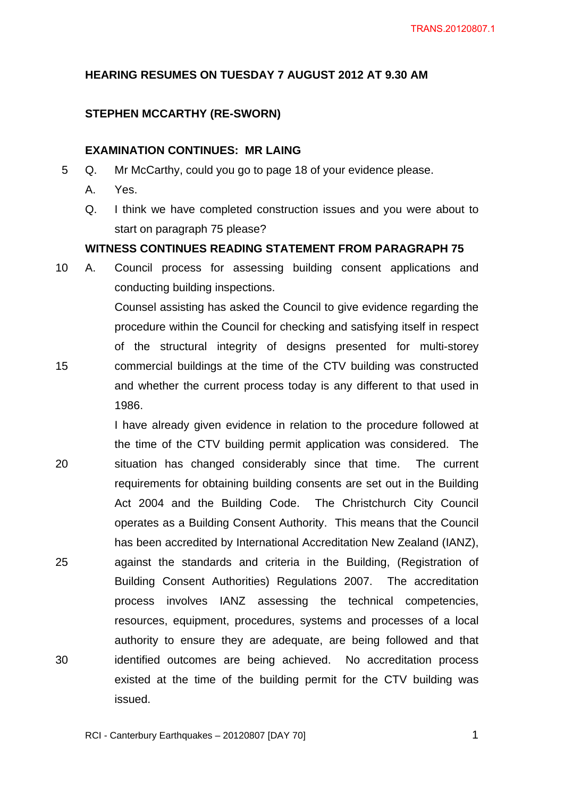## **HEARING RESUMES ON TUESDAY 7 AUGUST 2012 AT 9.30 AM**

### **STEPHEN MCCARTHY (RE-SWORN)**

### **EXAMINATION CONTINUES: MR LAING**

- 5 Q. Mr McCarthy, could you go to page 18 of your evidence please.
	- A. Yes.
	- Q. I think we have completed construction issues and you were about to start on paragraph 75 please?

#### **WITNESS CONTINUES READING STATEMENT FROM PARAGRAPH 75**

10 A. Council process for assessing building consent applications and conducting building inspections.

Counsel assisting has asked the Council to give evidence regarding the procedure within the Council for checking and satisfying itself in respect of the structural integrity of designs presented for multi-storey 15 commercial buildings at the time of the CTV building was constructed and whether the current process today is any different to that used in 1986.

I have already given evidence in relation to the procedure followed at the time of the CTV building permit application was considered. The 20 situation has changed considerably since that time. The current requirements for obtaining building consents are set out in the Building Act 2004 and the Building Code. The Christchurch City Council operates as a Building Consent Authority. This means that the Council has been accredited by International Accreditation New Zealand (IANZ), 25 against the standards and criteria in the Building, (Registration of Building Consent Authorities) Regulations 2007. The accreditation process involves IANZ assessing the technical competencies, resources, equipment, procedures, systems and processes of a local authority to ensure they are adequate, are being followed and that 30 identified outcomes are being achieved. No accreditation process existed at the time of the building permit for the CTV building was issued.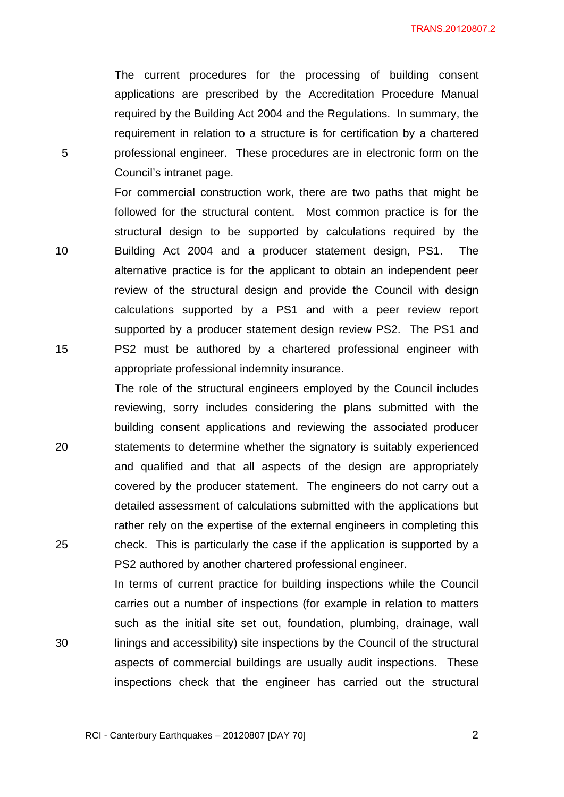TRANS.20120807.2

The current procedures for the processing of building consent applications are prescribed by the Accreditation Procedure Manual required by the Building Act 2004 and the Regulations. In summary, the requirement in relation to a structure is for certification by a chartered 5 professional engineer. These procedures are in electronic form on the Council's intranet page.

For commercial construction work, there are two paths that might be followed for the structural content. Most common practice is for the structural design to be supported by calculations required by the 10 Building Act 2004 and a producer statement design, PS1. The alternative practice is for the applicant to obtain an independent peer review of the structural design and provide the Council with design calculations supported by a PS1 and with a peer review report supported by a producer statement design review PS2. The PS1 and 15 PS2 must be authored by a chartered professional engineer with appropriate professional indemnity insurance.

The role of the structural engineers employed by the Council includes reviewing, sorry includes considering the plans submitted with the building consent applications and reviewing the associated producer 20 statements to determine whether the signatory is suitably experienced and qualified and that all aspects of the design are appropriately covered by the producer statement. The engineers do not carry out a detailed assessment of calculations submitted with the applications but rather rely on the expertise of the external engineers in completing this 25 check. This is particularly the case if the application is supported by a PS2 authored by another chartered professional engineer.

In terms of current practice for building inspections while the Council carries out a number of inspections (for example in relation to matters such as the initial site set out, foundation, plumbing, drainage, wall 30 linings and accessibility) site inspections by the Council of the structural aspects of commercial buildings are usually audit inspections. These inspections check that the engineer has carried out the structural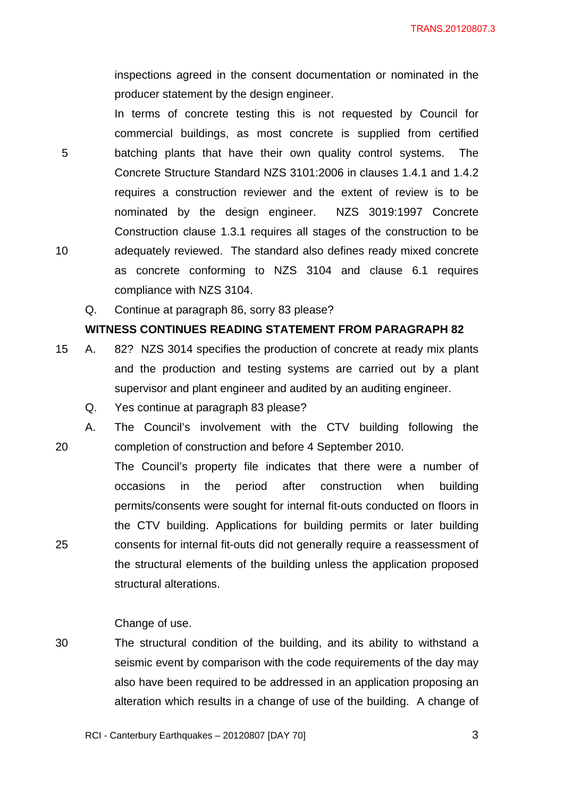inspections agreed in the consent documentation or nominated in the producer statement by the design engineer.

In terms of concrete testing this is not requested by Council for commercial buildings, as most concrete is supplied from certified 5 batching plants that have their own quality control systems. The Concrete Structure Standard NZS 3101:2006 in clauses 1.4.1 and 1.4.2 requires a construction reviewer and the extent of review is to be nominated by the design engineer. NZS 3019:1997 Concrete Construction clause 1.3.1 requires all stages of the construction to be 10 adequately reviewed. The standard also defines ready mixed concrete as concrete conforming to NZS 3104 and clause 6.1 requires compliance with NZS 3104.

Q. Continue at paragraph 86, sorry 83 please?

#### **WITNESS CONTINUES READING STATEMENT FROM PARAGRAPH 82**

- 15 A. 82? NZS 3014 specifies the production of concrete at ready mix plants and the production and testing systems are carried out by a plant supervisor and plant engineer and audited by an auditing engineer.
	- Q. Yes continue at paragraph 83 please?
- A. The Council's involvement with the CTV building following the 20 completion of construction and before 4 September 2010.
- The Council's property file indicates that there were a number of occasions in the period after construction when building permits/consents were sought for internal fit-outs conducted on floors in the CTV building. Applications for building permits or later building 25 consents for internal fit-outs did not generally require a reassessment of the structural elements of the building unless the application proposed structural alterations.

Change of use.

30 The structural condition of the building, and its ability to withstand a seismic event by comparison with the code requirements of the day may also have been required to be addressed in an application proposing an alteration which results in a change of use of the building. A change of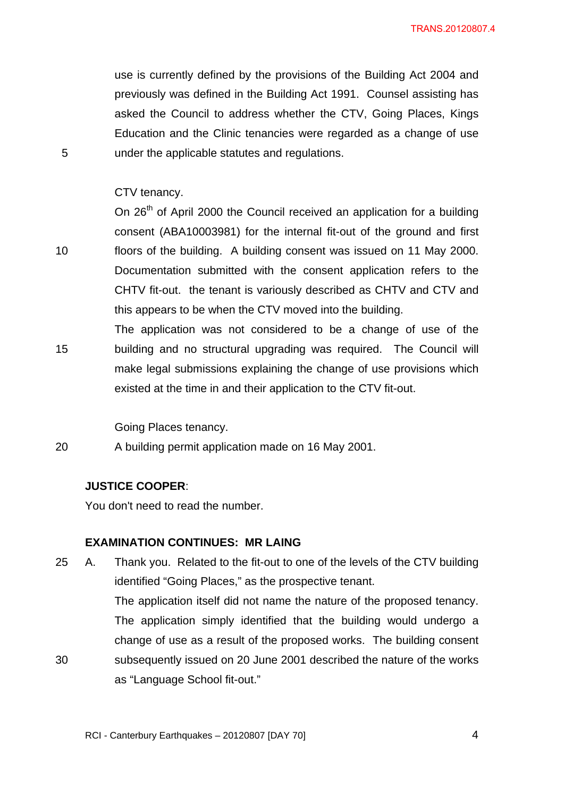use is currently defined by the provisions of the Building Act 2004 and previously was defined in the Building Act 1991. Counsel assisting has asked the Council to address whether the CTV, Going Places, Kings Education and the Clinic tenancies were regarded as a change of use 5 under the applicable statutes and regulations.

### CTV tenancy.

On 26<sup>th</sup> of April 2000 the Council received an application for a building consent (ABA10003981) for the internal fit-out of the ground and first 10 floors of the building. A building consent was issued on 11 May 2000. Documentation submitted with the consent application refers to the CHTV fit-out. the tenant is variously described as CHTV and CTV and this appears to be when the CTV moved into the building.

The application was not considered to be a change of use of the 15 building and no structural upgrading was required. The Council will make legal submissions explaining the change of use provisions which existed at the time in and their application to the CTV fit-out.

Going Places tenancy.

20 A building permit application made on 16 May 2001.

#### **JUSTICE COOPER**:

You don't need to read the number.

#### **EXAMINATION CONTINUES: MR LAING**

25 A. Thank you. Related to the fit-out to one of the levels of the CTV building identified "Going Places," as the prospective tenant. The application itself did not name the nature of the proposed tenancy. The application simply identified that the building would undergo a change of use as a result of the proposed works. The building consent 30 subsequently issued on 20 June 2001 described the nature of the works as "Language School fit-out."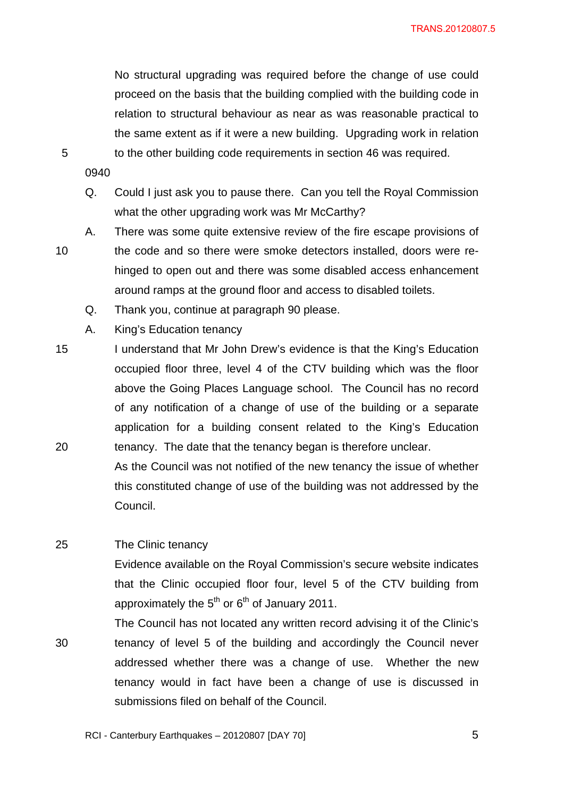No structural upgrading was required before the change of use could proceed on the basis that the building complied with the building code in relation to structural behaviour as near as was reasonable practical to the same extent as if it were a new building. Upgrading work in relation 5 to the other building code requirements in section 46 was required.

- 
- 0940
- Q. Could I just ask you to pause there. Can you tell the Royal Commission what the other upgrading work was Mr McCarthy?
- A. There was some quite extensive review of the fire escape provisions of 10 the code and so there were smoke detectors installed, doors were rehinged to open out and there was some disabled access enhancement around ramps at the ground floor and access to disabled toilets.
	- Q. Thank you, continue at paragraph 90 please.
	- A. King's Education tenancy
- 15 I understand that Mr John Drew's evidence is that the King's Education occupied floor three, level 4 of the CTV building which was the floor above the Going Places Language school. The Council has no record of any notification of a change of use of the building or a separate application for a building consent related to the King's Education 20 tenancy. The date that the tenancy began is therefore unclear.
	- As the Council was not notified of the new tenancy the issue of whether this constituted change of use of the building was not addressed by the Council.

#### 25 The Clinic tenancy

Evidence available on the Royal Commission's secure website indicates that the Clinic occupied floor four, level 5 of the CTV building from approximately the  $5<sup>th</sup>$  or  $6<sup>th</sup>$  of January 2011.

The Council has not located any written record advising it of the Clinic's 30 tenancy of level 5 of the building and accordingly the Council never addressed whether there was a change of use. Whether the new tenancy would in fact have been a change of use is discussed in submissions filed on behalf of the Council.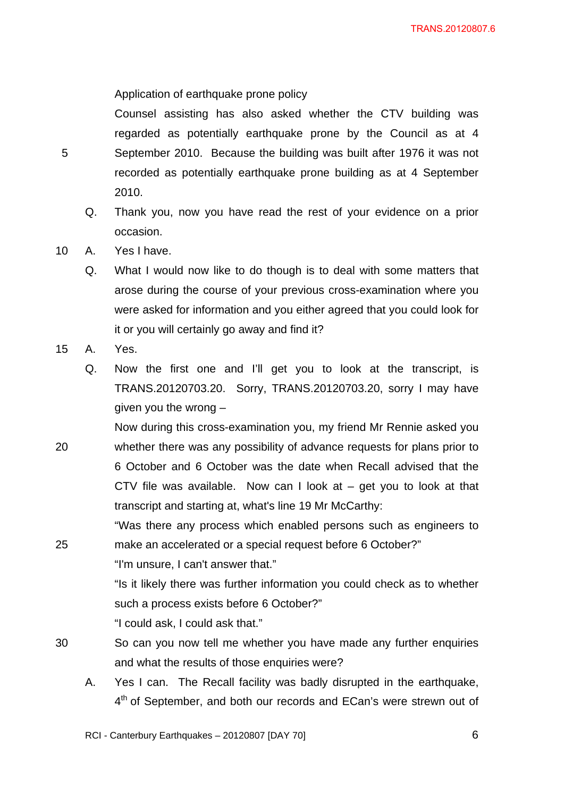Application of earthquake prone policy

Counsel assisting has also asked whether the CTV building was regarded as potentially earthquake prone by the Council as at 4 5 September 2010. Because the building was built after 1976 it was not recorded as potentially earthquake prone building as at 4 September 2010.

- Q. Thank you, now you have read the rest of your evidence on a prior occasion.
- 10 A. Yes I have.
	- Q. What I would now like to do though is to deal with some matters that arose during the course of your previous cross-examination where you were asked for information and you either agreed that you could look for it or you will certainly go away and find it?
- 15 A. Yes.
	- Q. Now the first one and I'll get you to look at the transcript, is TRANS.20120703.20. Sorry, TRANS.20120703.20, sorry I may have given you the wrong –
- Now during this cross-examination you, my friend Mr Rennie asked you 20 whether there was any possibility of advance requests for plans prior to 6 October and 6 October was the date when Recall advised that the CTV file was available. Now can I look at – get you to look at that transcript and starting at, what's line 19 Mr McCarthy:

"Was there any process which enabled persons such as engineers to 25 make an accelerated or a special request before 6 October?"

"I'm unsure, I can't answer that."

"Is it likely there was further information you could check as to whether such a process exists before 6 October?"

"I could ask, I could ask that."

- 30 So can you now tell me whether you have made any further enquiries and what the results of those enquiries were?
	- A. Yes I can. The Recall facility was badly disrupted in the earthquake, 4<sup>th</sup> of September, and both our records and ECan's were strewn out of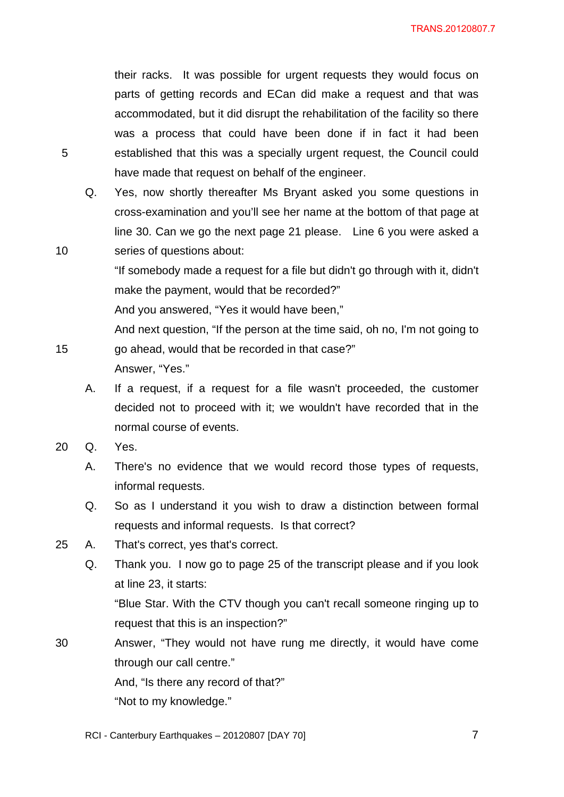their racks. It was possible for urgent requests they would focus on parts of getting records and ECan did make a request and that was accommodated, but it did disrupt the rehabilitation of the facility so there was a process that could have been done if in fact it had been 5 established that this was a specially urgent request, the Council could have made that request on behalf of the engineer.

Q. Yes, now shortly thereafter Ms Bryant asked you some questions in cross-examination and you'll see her name at the bottom of that page at line 30. Can we go the next page 21 please. Line 6 you were asked a 10 series of questions about:

> "If somebody made a request for a file but didn't go through with it, didn't make the payment, would that be recorded?"

And you answered, "Yes it would have been,"

And next question, "If the person at the time said, oh no, I'm not going to 15 go ahead, would that be recorded in that case?"

Answer, "Yes."

- A. If a request, if a request for a file wasn't proceeded, the customer decided not to proceed with it; we wouldn't have recorded that in the normal course of events.
- 20 Q. Yes.
	- A. There's no evidence that we would record those types of requests, informal requests.
	- Q. So as I understand it you wish to draw a distinction between formal requests and informal requests. Is that correct?
- 25 A. That's correct, yes that's correct.
	- Q. Thank you. I now go to page 25 of the transcript please and if you look at line 23, it starts:

"Blue Star. With the CTV though you can't recall someone ringing up to request that this is an inspection?"

30 Answer, "They would not have rung me directly, it would have come through our call centre."

And, "Is there any record of that?"

"Not to my knowledge."

RCI - Canterbury Earthquakes – 20120807 [DAY 70]  $\overline{7}$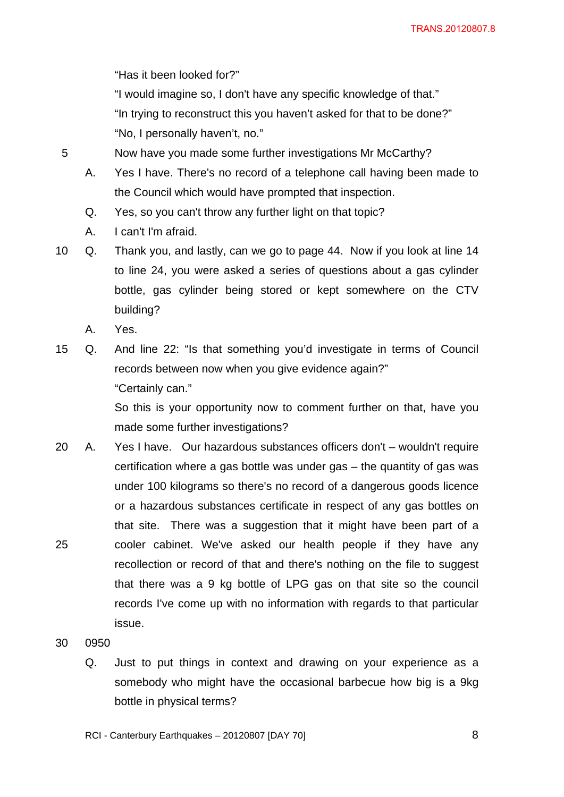TRANS.20120807.8

"Has it been looked for?"

"I would imagine so, I don't have any specific knowledge of that."

"In trying to reconstruct this you haven't asked for that to be done?" "No, I personally haven't, no."

5 Now have you made some further investigations Mr McCarthy?

- A. Yes I have. There's no record of a telephone call having been made to the Council which would have prompted that inspection.
- Q. Yes, so you can't throw any further light on that topic?
- A. I can't I'm afraid.

10 Q. Thank you, and lastly, can we go to page 44. Now if you look at line 14 to line 24, you were asked a series of questions about a gas cylinder bottle, gas cylinder being stored or kept somewhere on the CTV building?

- A. Yes.
- 15 Q. And line 22: "Is that something you'd investigate in terms of Council records between now when you give evidence again?" "Certainly can."

So this is your opportunity now to comment further on that, have you made some further investigations?

20 A. Yes I have. Our hazardous substances officers don't – wouldn't require certification where a gas bottle was under gas – the quantity of gas was under 100 kilograms so there's no record of a dangerous goods licence or a hazardous substances certificate in respect of any gas bottles on that site. There was a suggestion that it might have been part of a 25 cooler cabinet. We've asked our health people if they have any recollection or record of that and there's nothing on the file to suggest that there was a 9 kg bottle of LPG gas on that site so the council records I've come up with no information with regards to that particular issue.

30 0950

Q. Just to put things in context and drawing on your experience as a somebody who might have the occasional barbecue how big is a 9kg bottle in physical terms?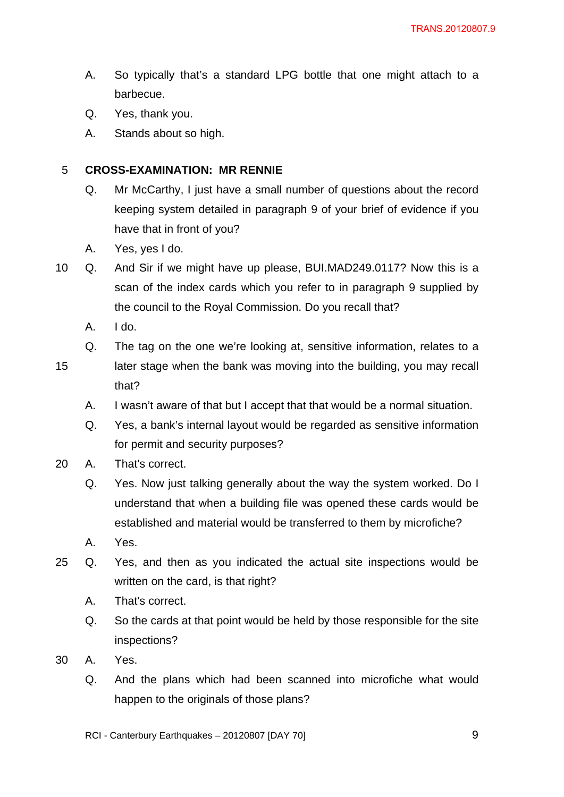- A. So typically that's a standard LPG bottle that one might attach to a barbecue.
- Q. Yes, thank you.
- A. Stands about so high.

# 5 **CROSS-EXAMINATION: MR RENNIE**

- Q. Mr McCarthy, I just have a small number of questions about the record keeping system detailed in paragraph 9 of your brief of evidence if you have that in front of you?
- A. Yes, yes I do.
- 10 Q. And Sir if we might have up please, BUI.MAD249.0117? Now this is a scan of the index cards which you refer to in paragraph 9 supplied by the council to the Royal Commission. Do you recall that?
	- A. I do.
	- Q. The tag on the one we're looking at, sensitive information, relates to a
- 
- 15 later stage when the bank was moving into the building, you may recall that?
	- A. I wasn't aware of that but I accept that that would be a normal situation.
	- Q. Yes, a bank's internal layout would be regarded as sensitive information for permit and security purposes?
- 20 A. That's correct.
	- Q. Yes. Now just talking generally about the way the system worked. Do I understand that when a building file was opened these cards would be established and material would be transferred to them by microfiche?
	- A. Yes.
- 25 Q. Yes, and then as you indicated the actual site inspections would be written on the card, is that right?
	- A. That's correct.
	- Q. So the cards at that point would be held by those responsible for the site inspections?
- 30 A. Yes.
	- Q. And the plans which had been scanned into microfiche what would happen to the originals of those plans?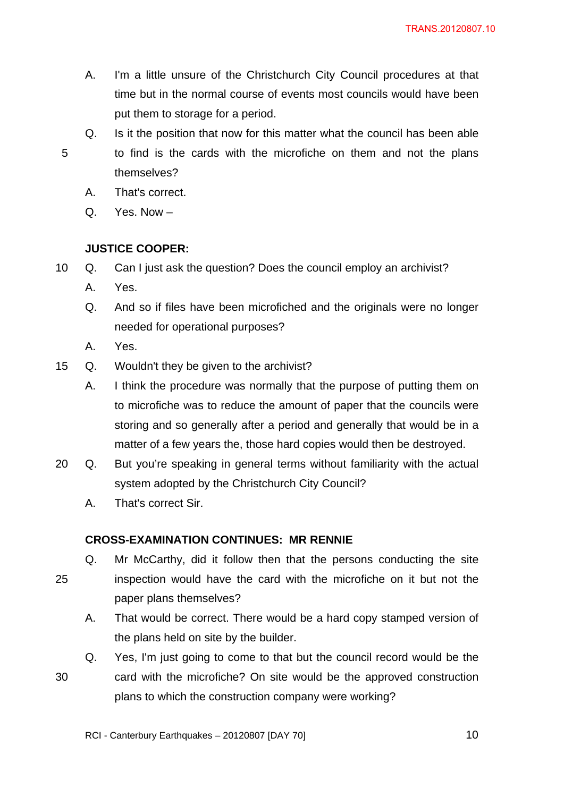- A. I'm a little unsure of the Christchurch City Council procedures at that time but in the normal course of events most councils would have been put them to storage for a period.
- 

Q. Is it the position that now for this matter what the council has been able 5 to find is the cards with the microfiche on them and not the plans themselves?

- A. That's correct.
- Q. Yes. Now –

## **JUSTICE COOPER:**

- 10 Q. Can I just ask the question? Does the council employ an archivist?
	- A. Yes.
	- Q. And so if files have been microfiched and the originals were no longer needed for operational purposes?
	- A. Yes.
- 15 Q. Wouldn't they be given to the archivist?
	- A. I think the procedure was normally that the purpose of putting them on to microfiche was to reduce the amount of paper that the councils were storing and so generally after a period and generally that would be in a matter of a few years the, those hard copies would then be destroyed.
- 20 Q. But you're speaking in general terms without familiarity with the actual system adopted by the Christchurch City Council?
	- A. That's correct Sir.

## **CROSS-EXAMINATION CONTINUES: MR RENNIE**

- Q. Mr McCarthy, did it follow then that the persons conducting the site 25 inspection would have the card with the microfiche on it but not the paper plans themselves?
	- A. That would be correct. There would be a hard copy stamped version of the plans held on site by the builder.
- Q. Yes, I'm just going to come to that but the council record would be the 30 card with the microfiche? On site would be the approved construction plans to which the construction company were working?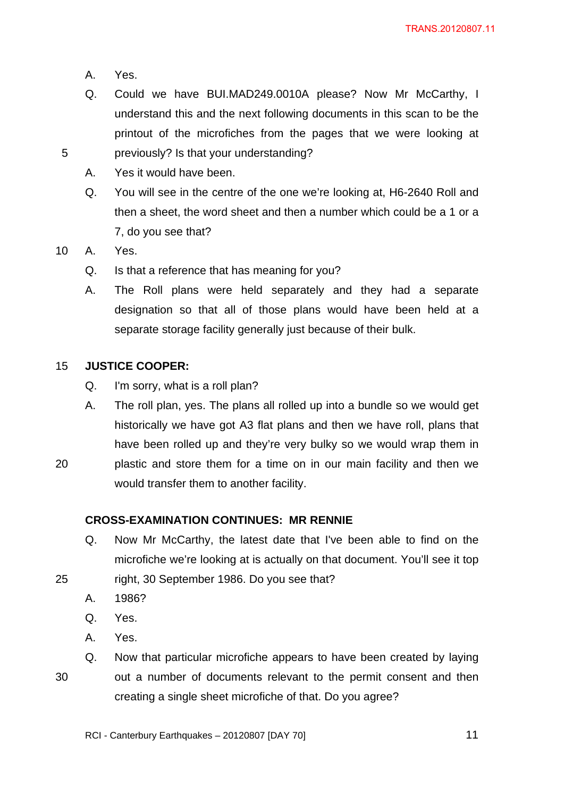- A. Yes.
- Q. Could we have BUI.MAD249.0010A please? Now Mr McCarthy, I understand this and the next following documents in this scan to be the printout of the microfiches from the pages that we were looking at 5 previously? Is that your understanding?
	- A. Yes it would have been.
	- Q. You will see in the centre of the one we're looking at, H6-2640 Roll and then a sheet, the word sheet and then a number which could be a 1 or a 7, do you see that?

10 A. Yes.

- Q. Is that a reference that has meaning for you?
- A. The Roll plans were held separately and they had a separate designation so that all of those plans would have been held at a separate storage facility generally just because of their bulk.

#### 15 **JUSTICE COOPER:**

- Q. I'm sorry, what is a roll plan?
- A. The roll plan, yes. The plans all rolled up into a bundle so we would get historically we have got A3 flat plans and then we have roll, plans that have been rolled up and they're very bulky so we would wrap them in 20 plastic and store them for a time on in our main facility and then we

would transfer them to another facility.

#### **CROSS-EXAMINATION CONTINUES: MR RENNIE**

- Q. Now Mr McCarthy, the latest date that I've been able to find on the microfiche we're looking at is actually on that document. You'll see it top 25 right, 30 September 1986. Do you see that?
	- A. 1986?
	- Q. Yes.
	- A. Yes.
- Q. Now that particular microfiche appears to have been created by laying 30 out a number of documents relevant to the permit consent and then creating a single sheet microfiche of that. Do you agree?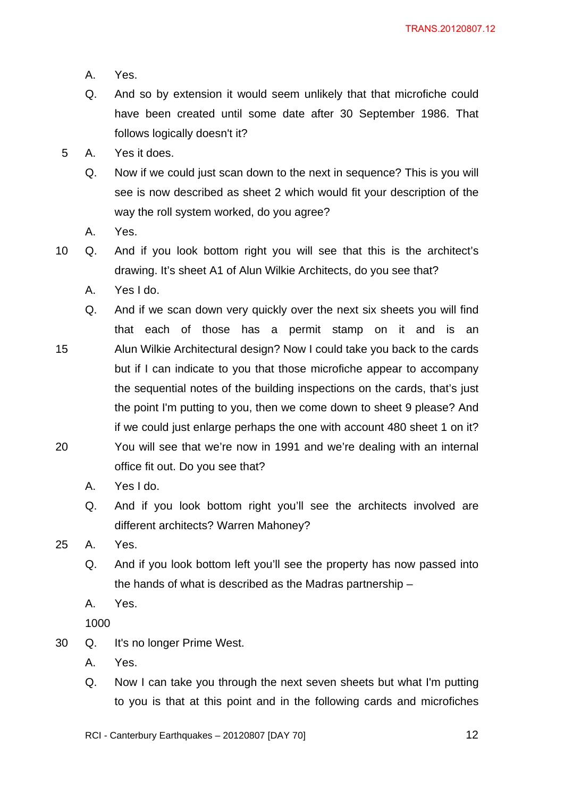- A. Yes.
- Q. And so by extension it would seem unlikely that that microfiche could have been created until some date after 30 September 1986. That follows logically doesn't it?
- 5 A. Yes it does.
	- Q. Now if we could just scan down to the next in sequence? This is you will see is now described as sheet 2 which would fit your description of the way the roll system worked, do you agree?
	- A. Yes.
- 10 Q. And if you look bottom right you will see that this is the architect's drawing. It's sheet A1 of Alun Wilkie Architects, do you see that?
	- A. Yes I do.
- Q. And if we scan down very quickly over the next six sheets you will find that each of those has a permit stamp on it and is an 15 Alun Wilkie Architectural design? Now I could take you back to the cards but if I can indicate to you that those microfiche appear to accompany the sequential notes of the building inspections on the cards, that's just the point I'm putting to you, then we come down to sheet 9 please? And if we could just enlarge perhaps the one with account 480 sheet 1 on it? 20 You will see that we're now in 1991 and we're dealing with an internal office fit out. Do you see that?
	- A. Yes I do.
	- Q. And if you look bottom right you'll see the architects involved are different architects? Warren Mahoney?
- 25 A. Yes.
	- Q. And if you look bottom left you'll see the property has now passed into the hands of what is described as the Madras partnership –
	- A. Yes.

1000

- 30 Q. It's no longer Prime West.
	- A. Yes.
	- Q. Now I can take you through the next seven sheets but what I'm putting to you is that at this point and in the following cards and microfiches
	- RCI Canterbury Earthquakes 20120807 [DAY 70]  $12$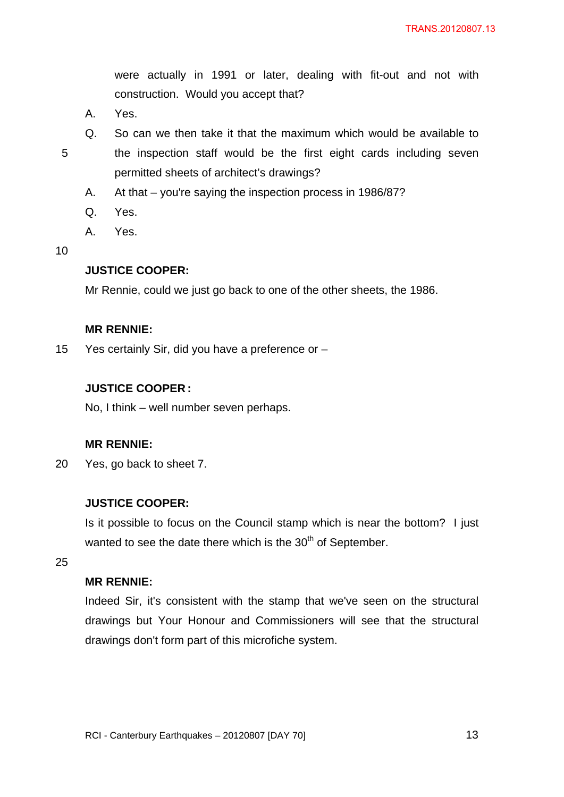were actually in 1991 or later, dealing with fit-out and not with construction. Would you accept that?

- A. Yes.
- 

Q. So can we then take it that the maximum which would be available to 5 the inspection staff would be the first eight cards including seven permitted sheets of architect's drawings?

- A. At that you're saying the inspection process in 1986/87?
- Q. Yes.
- A. Yes.

10

#### **JUSTICE COOPER:**

Mr Rennie, could we just go back to one of the other sheets, the 1986.

## **MR RENNIE:**

15 Yes certainly Sir, did you have a preference or –

### **JUSTICE COOPER :**

No, I think – well number seven perhaps.

#### **MR RENNIE:**

20 Yes, go back to sheet 7.

### **JUSTICE COOPER:**

Is it possible to focus on the Council stamp which is near the bottom? I just wanted to see the date there which is the 30<sup>th</sup> of September.

25

#### **MR RENNIE:**

Indeed Sir, it's consistent with the stamp that we've seen on the structural drawings but Your Honour and Commissioners will see that the structural drawings don't form part of this microfiche system.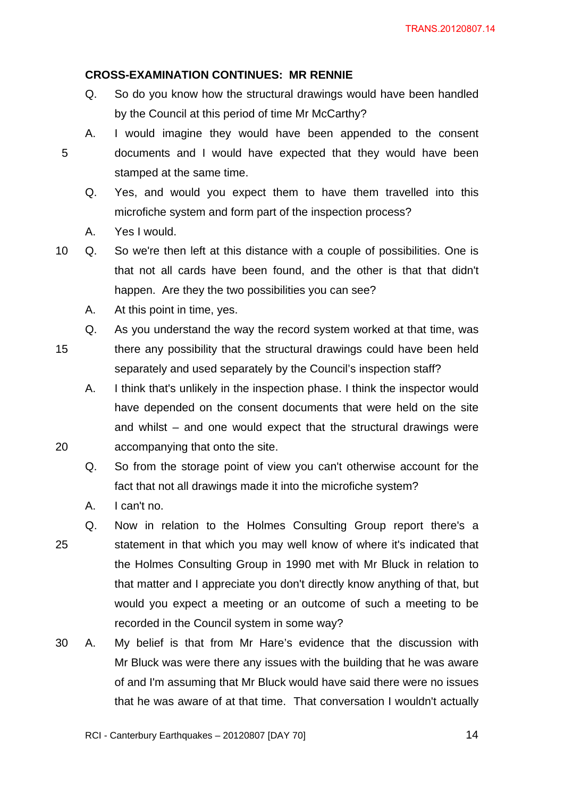## **CROSS-EXAMINATION CONTINUES: MR RENNIE**

- Q. So do you know how the structural drawings would have been handled by the Council at this period of time Mr McCarthy?
- A. I would imagine they would have been appended to the consent 5 documents and I would have expected that they would have been stamped at the same time.
	- Q. Yes, and would you expect them to have them travelled into this microfiche system and form part of the inspection process?
	- A. Yes I would.

10 Q. So we're then left at this distance with a couple of possibilities. One is that not all cards have been found, and the other is that that didn't happen. Are they the two possibilities you can see?

- A. At this point in time, yes.
- Q. As you understand the way the record system worked at that time, was 15 there any possibility that the structural drawings could have been held separately and used separately by the Council's inspection staff?

A. I think that's unlikely in the inspection phase. I think the inspector would have depended on the consent documents that were held on the site and whilst – and one would expect that the structural drawings were 20 accompanying that onto the site.

Q. So from the storage point of view you can't otherwise account for the fact that not all drawings made it into the microfiche system?

A. I can't no.

Q. Now in relation to the Holmes Consulting Group report there's a 25 statement in that which you may well know of where it's indicated that the Holmes Consulting Group in 1990 met with Mr Bluck in relation to that matter and I appreciate you don't directly know anything of that, but would you expect a meeting or an outcome of such a meeting to be recorded in the Council system in some way?

30 A. My belief is that from Mr Hare's evidence that the discussion with Mr Bluck was were there any issues with the building that he was aware of and I'm assuming that Mr Bluck would have said there were no issues that he was aware of at that time. That conversation I wouldn't actually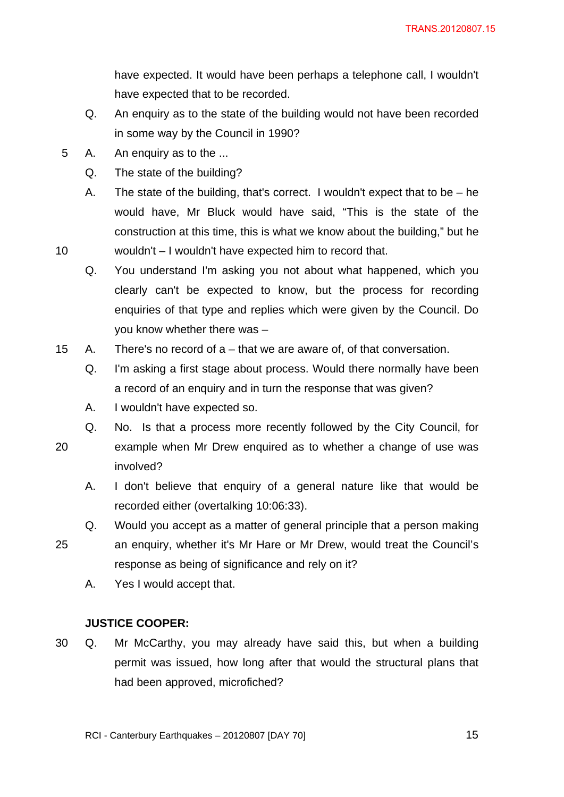have expected. It would have been perhaps a telephone call, I wouldn't have expected that to be recorded.

- Q. An enquiry as to the state of the building would not have been recorded in some way by the Council in 1990?
- 5 A. An enquiry as to the ...
	- Q. The state of the building?
- A. The state of the building, that's correct. I wouldn't expect that to be he would have, Mr Bluck would have said, "This is the state of the construction at this time, this is what we know about the building," but he 10 wouldn't – I wouldn't have expected him to record that.
	- Q. You understand I'm asking you not about what happened, which you clearly can't be expected to know, but the process for recording enquiries of that type and replies which were given by the Council. Do you know whether there was –
- 15 A. There's no record of a that we are aware of, of that conversation.
	- Q. I'm asking a first stage about process. Would there normally have been a record of an enquiry and in turn the response that was given?
	- A. I wouldn't have expected so.
	- Q. No. Is that a process more recently followed by the City Council, for
- 
- 20 example when Mr Drew enquired as to whether a change of use was involved?
	- A. I don't believe that enquiry of a general nature like that would be recorded either (overtalking 10:06:33).
- Q. Would you accept as a matter of general principle that a person making 25 an enquiry, whether it's Mr Hare or Mr Drew, would treat the Council's response as being of significance and rely on it?
	- A. Yes I would accept that.

## **JUSTICE COOPER:**

30 Q. Mr McCarthy, you may already have said this, but when a building permit was issued, how long after that would the structural plans that had been approved, microfiched?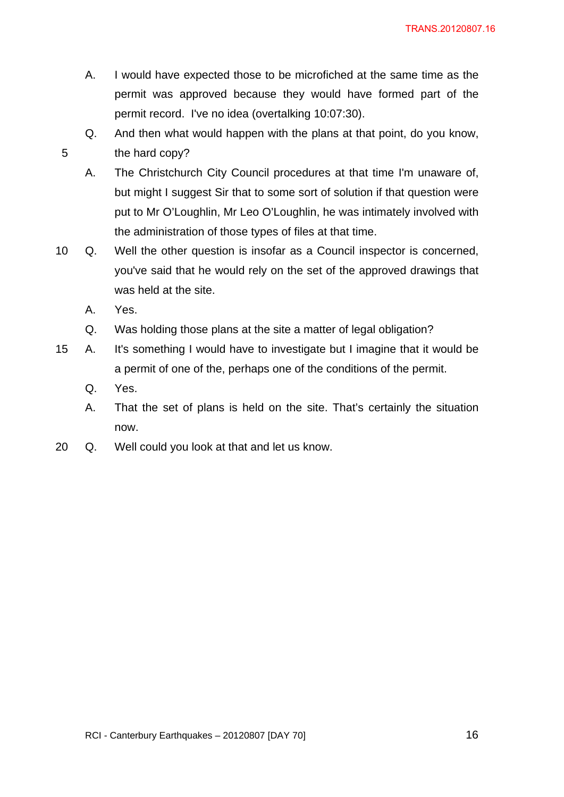- A. I would have expected those to be microfiched at the same time as the permit was approved because they would have formed part of the permit record. I've no idea (overtalking 10:07:30).
- Q. And then what would happen with the plans at that point, do you know, 5 the hard copy?
	- A. The Christchurch City Council procedures at that time I'm unaware of, but might I suggest Sir that to some sort of solution if that question were put to Mr O'Loughlin, Mr Leo O'Loughlin, he was intimately involved with the administration of those types of files at that time.
- 10 Q. Well the other question is insofar as a Council inspector is concerned, you've said that he would rely on the set of the approved drawings that was held at the site.
	- A. Yes.
	- Q. Was holding those plans at the site a matter of legal obligation?
- 15 A. It's something I would have to investigate but I imagine that it would be a permit of one of the, perhaps one of the conditions of the permit.
	- Q. Yes.
	- A. That the set of plans is held on the site. That's certainly the situation now.
- 20 Q. Well could you look at that and let us know.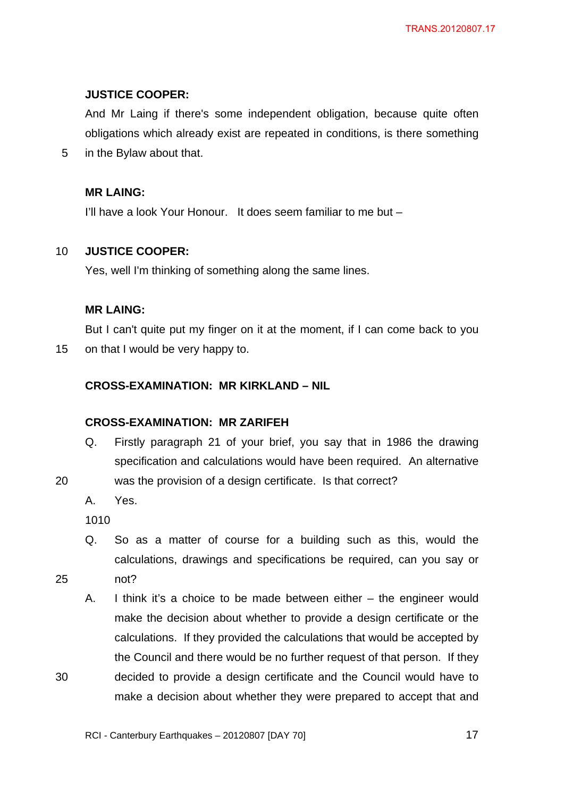# **JUSTICE COOPER:**

And Mr Laing if there's some independent obligation, because quite often obligations which already exist are repeated in conditions, is there something

5 in the Bylaw about that.

# **MR LAING:**

I'll have a look Your Honour. It does seem familiar to me but –

# 10 **JUSTICE COOPER:**

Yes, well I'm thinking of something along the same lines.

# **MR LAING:**

But I can't quite put my finger on it at the moment, if I can come back to you 15 on that I would be very happy to.

# **CROSS-EXAMINATION: MR KIRKLAND – NIL**

## **CROSS-EXAMINATION: MR ZARIFEH**

- Q. Firstly paragraph 21 of your brief, you say that in 1986 the drawing specification and calculations would have been required. An alternative
- 20 was the provision of a design certificate. Is that correct?
	- A. Yes.

1010

- Q. So as a matter of course for a building such as this, would the calculations, drawings and specifications be required, can you say or 25 not?
- 
- A. I think it's a choice to be made between either the engineer would make the decision about whether to provide a design certificate or the calculations. If they provided the calculations that would be accepted by the Council and there would be no further request of that person. If they 30 decided to provide a design certificate and the Council would have to make a decision about whether they were prepared to accept that and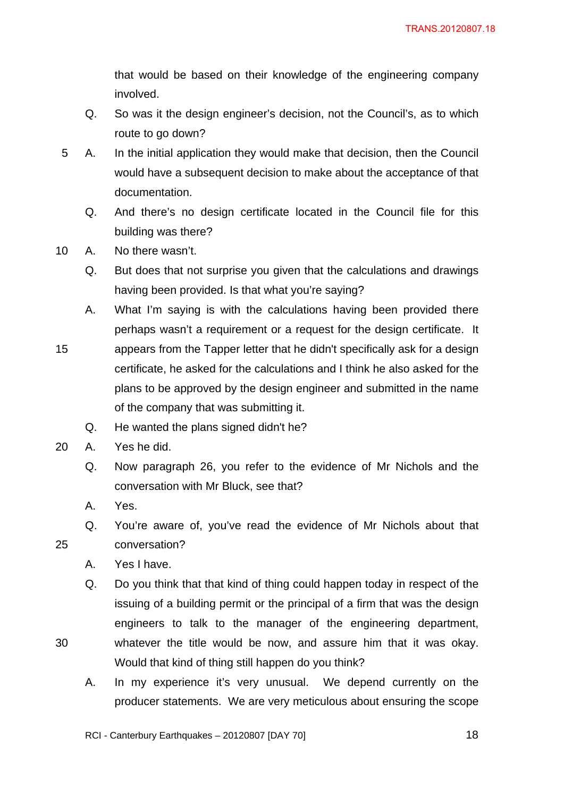that would be based on their knowledge of the engineering company involved.

- Q. So was it the design engineer's decision, not the Council's, as to which route to go down?
- 5 A. In the initial application they would make that decision, then the Council would have a subsequent decision to make about the acceptance of that documentation.
	- Q. And there's no design certificate located in the Council file for this building was there?
- 10 A. No there wasn't.
	- Q. But does that not surprise you given that the calculations and drawings having been provided. Is that what you're saying?
	- A. What I'm saying is with the calculations having been provided there perhaps wasn't a requirement or a request for the design certificate. It
- 15 appears from the Tapper letter that he didn't specifically ask for a design certificate, he asked for the calculations and I think he also asked for the plans to be approved by the design engineer and submitted in the name of the company that was submitting it.
	- Q. He wanted the plans signed didn't he?
- 20 A. Yes he did.
	- Q. Now paragraph 26, you refer to the evidence of Mr Nichols and the conversation with Mr Bluck, see that?
	- A. Yes.
- Q. You're aware of, you've read the evidence of Mr Nichols about that 25 conversation?
	- A. Yes I have.
- Q. Do you think that that kind of thing could happen today in respect of the issuing of a building permit or the principal of a firm that was the design engineers to talk to the manager of the engineering department, 30 whatever the title would be now, and assure him that it was okay. Would that kind of thing still happen do you think?
	- A. In my experience it's very unusual. We depend currently on the producer statements. We are very meticulous about ensuring the scope

RCI - Canterbury Earthquakes – 20120807 [DAY 70]  $\blacksquare$  18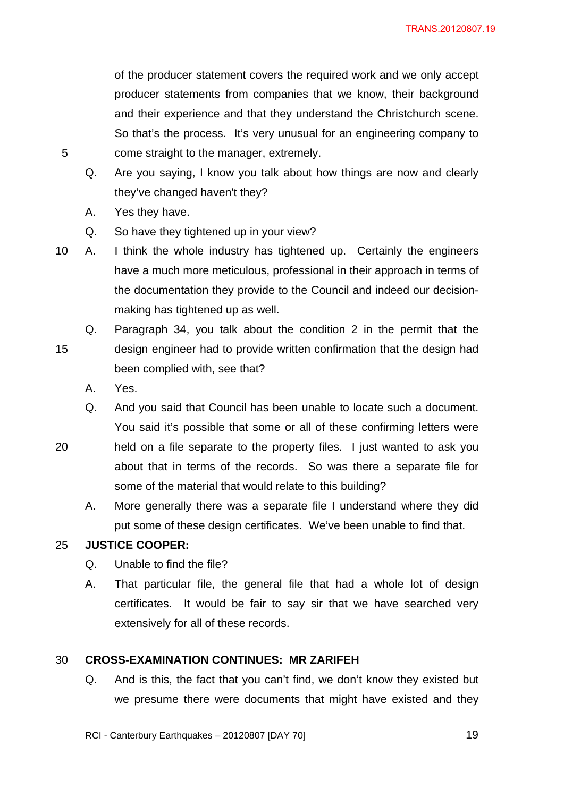of the producer statement covers the required work and we only accept producer statements from companies that we know, their background and their experience and that they understand the Christchurch scene. So that's the process. It's very unusual for an engineering company to 5 come straight to the manager, extremely.

- Q. Are you saying, I know you talk about how things are now and clearly they've changed haven't they?
- A. Yes they have.
- Q. So have they tightened up in your view?
- 10 A. I think the whole industry has tightened up. Certainly the engineers have a much more meticulous, professional in their approach in terms of the documentation they provide to the Council and indeed our decisionmaking has tightened up as well.
- Q. Paragraph 34, you talk about the condition 2 in the permit that the 15 design engineer had to provide written confirmation that the design had been complied with, see that?
	- A. Yes.
	- Q. And you said that Council has been unable to locate such a document. You said it's possible that some or all of these confirming letters were
- 20 held on a file separate to the property files. I just wanted to ask you about that in terms of the records. So was there a separate file for some of the material that would relate to this building?
	- A. More generally there was a separate file I understand where they did put some of these design certificates. We've been unable to find that.

## 25 **JUSTICE COOPER:**

- Q. Unable to find the file?
- A. That particular file, the general file that had a whole lot of design certificates. It would be fair to say sir that we have searched very extensively for all of these records.

## 30 **CROSS-EXAMINATION CONTINUES: MR ZARIFEH**

Q. And is this, the fact that you can't find, we don't know they existed but we presume there were documents that might have existed and they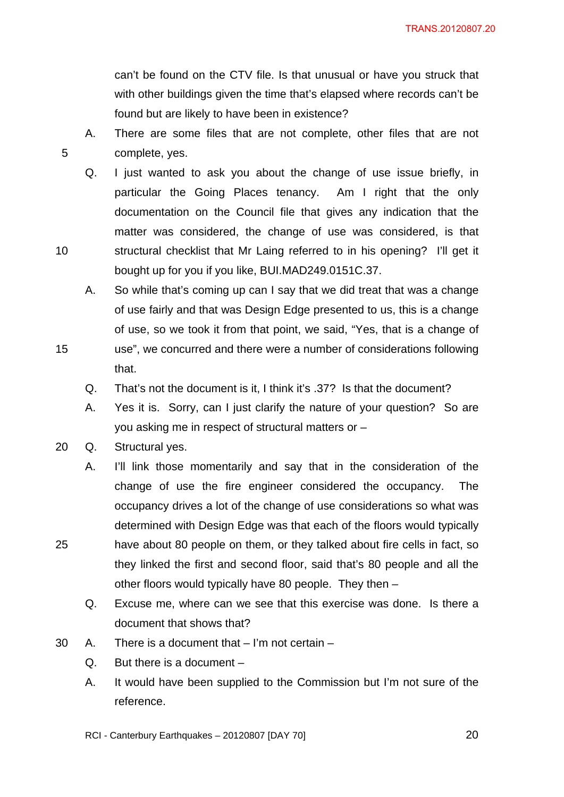can't be found on the CTV file. Is that unusual or have you struck that with other buildings given the time that's elapsed where records can't be found but are likely to have been in existence?

- A. There are some files that are not complete, other files that are not 5 complete, yes.
- Q. I just wanted to ask you about the change of use issue briefly, in particular the Going Places tenancy. Am I right that the only documentation on the Council file that gives any indication that the matter was considered, the change of use was considered, is that 10 structural checklist that Mr Laing referred to in his opening? I'll get it bought up for you if you like, BUI.MAD249.0151C.37.
- A. So while that's coming up can I say that we did treat that was a change of use fairly and that was Design Edge presented to us, this is a change of use, so we took it from that point, we said, "Yes, that is a change of 15 use", we concurred and there were a number of considerations following
	- Q. That's not the document is it, I think it's .37? Is that the document?
	- A. Yes it is. Sorry, can I just clarify the nature of your question? So are you asking me in respect of structural matters or –
- 20 Q. Structural yes.

that.

- A. I'll link those momentarily and say that in the consideration of the change of use the fire engineer considered the occupancy. The occupancy drives a lot of the change of use considerations so what was determined with Design Edge was that each of the floors would typically 25 have about 80 people on them, or they talked about fire cells in fact, so they linked the first and second floor, said that's 80 people and all the other floors would typically have 80 people. They then –
	- Q. Excuse me, where can we see that this exercise was done. Is there a document that shows that?
- 30 A. There is a document that I'm not certain
	- Q. But there is a document –
	- A. It would have been supplied to the Commission but I'm not sure of the reference.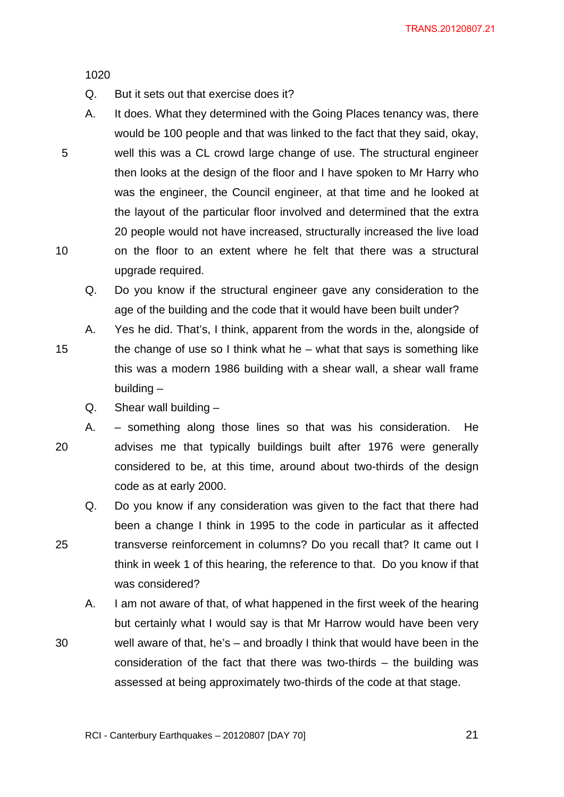1020

- Q. But it sets out that exercise does it?
- A. It does. What they determined with the Going Places tenancy was, there would be 100 people and that was linked to the fact that they said, okay, 5 well this was a CL crowd large change of use. The structural engineer then looks at the design of the floor and I have spoken to Mr Harry who was the engineer, the Council engineer, at that time and he looked at the layout of the particular floor involved and determined that the extra 20 people would not have increased, structurally increased the live load 10 on the floor to an extent where he felt that there was a structural upgrade required.

Q. Do you know if the structural engineer gave any consideration to the age of the building and the code that it would have been built under?

- A. Yes he did. That's, I think, apparent from the words in the, alongside of 15 the change of use so I think what he – what that says is something like this was a modern 1986 building with a shear wall, a shear wall frame building –
	- $Q.$  Shear wall building  $-$
- A. something along those lines so that was his consideration. He 20 advises me that typically buildings built after 1976 were generally considered to be, at this time, around about two-thirds of the design code as at early 2000.
- Q. Do you know if any consideration was given to the fact that there had been a change I think in 1995 to the code in particular as it affected 25 transverse reinforcement in columns? Do you recall that? It came out I think in week 1 of this hearing, the reference to that. Do you know if that was considered?
- A. I am not aware of that, of what happened in the first week of the hearing but certainly what I would say is that Mr Harrow would have been very 30 well aware of that, he's – and broadly I think that would have been in the consideration of the fact that there was two-thirds – the building was assessed at being approximately two-thirds of the code at that stage.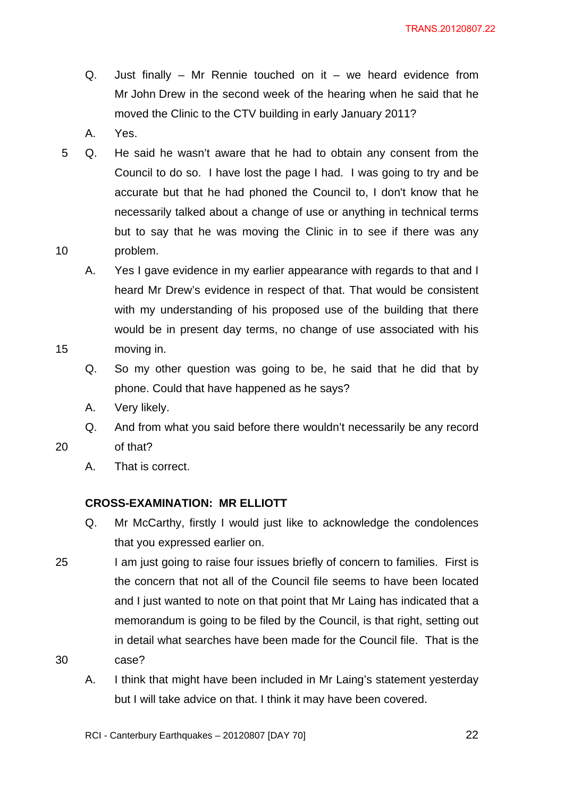- Q. Just finally Mr Rennie touched on it we heard evidence from Mr John Drew in the second week of the hearing when he said that he moved the Clinic to the CTV building in early January 2011?
- A. Yes.
- 5 Q. He said he wasn't aware that he had to obtain any consent from the Council to do so. I have lost the page I had. I was going to try and be accurate but that he had phoned the Council to, I don't know that he necessarily talked about a change of use or anything in technical terms but to say that he was moving the Clinic in to see if there was any 10 problem.
- A. Yes I gave evidence in my earlier appearance with regards to that and I heard Mr Drew's evidence in respect of that. That would be consistent with my understanding of his proposed use of the building that there would be in present day terms, no change of use associated with his 15 moving in.
	- Q. So my other question was going to be, he said that he did that by phone. Could that have happened as he says?
	- A. Very likely.
- Q. And from what you said before there wouldn't necessarily be any record 20 of that?
	- A. That is correct.

## **CROSS-EXAMINATION: MR ELLIOTT**

- Q. Mr McCarthy, firstly I would just like to acknowledge the condolences that you expressed earlier on.
- 25 I am just going to raise four issues briefly of concern to families. First is the concern that not all of the Council file seems to have been located and I just wanted to note on that point that Mr Laing has indicated that a memorandum is going to be filed by the Council, is that right, setting out in detail what searches have been made for the Council file. That is the 30 case?
	- A. I think that might have been included in Mr Laing's statement yesterday but I will take advice on that. I think it may have been covered.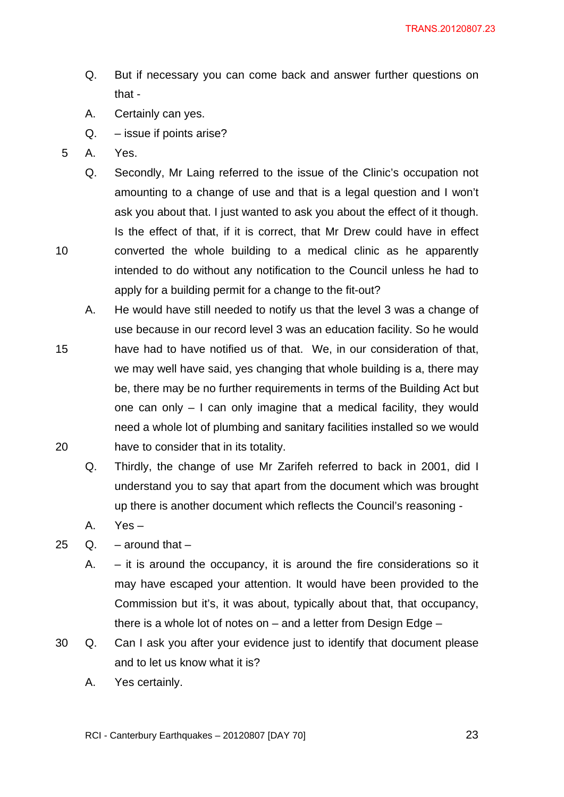- Q. But if necessary you can come back and answer further questions on that -
- A. Certainly can yes.
- Q. issue if points arise?
- 5 A. Yes.
- Q. Secondly, Mr Laing referred to the issue of the Clinic's occupation not amounting to a change of use and that is a legal question and I won't ask you about that. I just wanted to ask you about the effect of it though. Is the effect of that, if it is correct, that Mr Drew could have in effect 10 converted the whole building to a medical clinic as he apparently intended to do without any notification to the Council unless he had to apply for a building permit for a change to the fit-out?
- A. He would have still needed to notify us that the level 3 was a change of use because in our record level 3 was an education facility. So he would 15 have had to have notified us of that. We, in our consideration of that, we may well have said, yes changing that whole building is a, there may be, there may be no further requirements in terms of the Building Act but
- one can only I can only imagine that a medical facility, they would need a whole lot of plumbing and sanitary facilities installed so we would 20 have to consider that in its totality.
	- Q. Thirdly, the change of use Mr Zarifeh referred to back in 2001, did I understand you to say that apart from the document which was brought up there is another document which reflects the Council's reasoning -
	- A. Yes –
- 25  $Q_1$  around that
	- A. it is around the occupancy, it is around the fire considerations so it may have escaped your attention. It would have been provided to the Commission but it's, it was about, typically about that, that occupancy, there is a whole lot of notes on – and a letter from Design Edge –
- 30 Q. Can I ask you after your evidence just to identify that document please and to let us know what it is?
	- A. Yes certainly.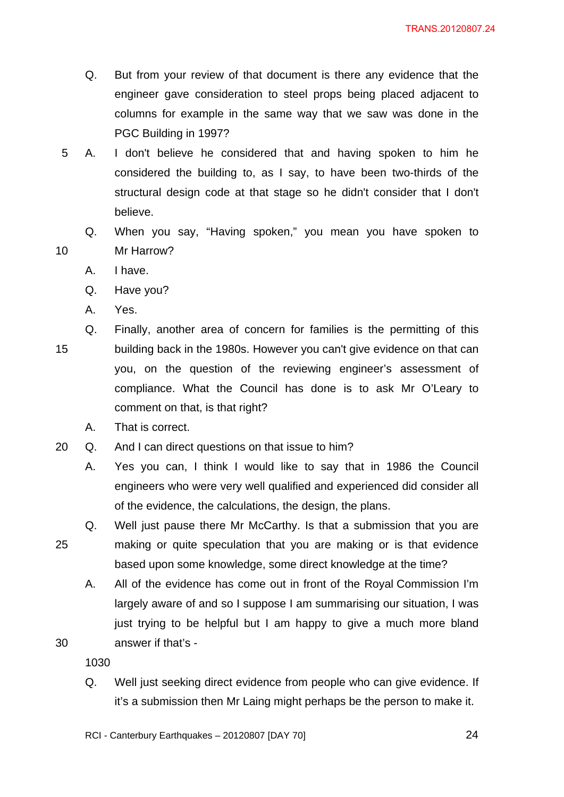- Q. But from your review of that document is there any evidence that the engineer gave consideration to steel props being placed adjacent to columns for example in the same way that we saw was done in the PGC Building in 1997?
- 5 A. I don't believe he considered that and having spoken to him he considered the building to, as I say, to have been two-thirds of the structural design code at that stage so he didn't consider that I don't believe.
- Q. When you say, "Having spoken," you mean you have spoken to 10 Mr Harrow?
	- A. I have.
	- Q. Have you?
	- A. Yes.
- Q. Finally, another area of concern for families is the permitting of this 15 building back in the 1980s. However you can't give evidence on that can you, on the question of the reviewing engineer's assessment of compliance. What the Council has done is to ask Mr O'Leary to comment on that, is that right?
	- A. That is correct.
- 20 Q. And I can direct questions on that issue to him?
	- A. Yes you can, I think I would like to say that in 1986 the Council engineers who were very well qualified and experienced did consider all of the evidence, the calculations, the design, the plans.
- Q. Well just pause there Mr McCarthy. Is that a submission that you are 25 making or quite speculation that you are making or is that evidence based upon some knowledge, some direct knowledge at the time?
- A. All of the evidence has come out in front of the Royal Commission I'm largely aware of and so I suppose I am summarising our situation, I was just trying to be helpful but I am happy to give a much more bland 30 answer if that's -

1030

Q. Well just seeking direct evidence from people who can give evidence. If it's a submission then Mr Laing might perhaps be the person to make it.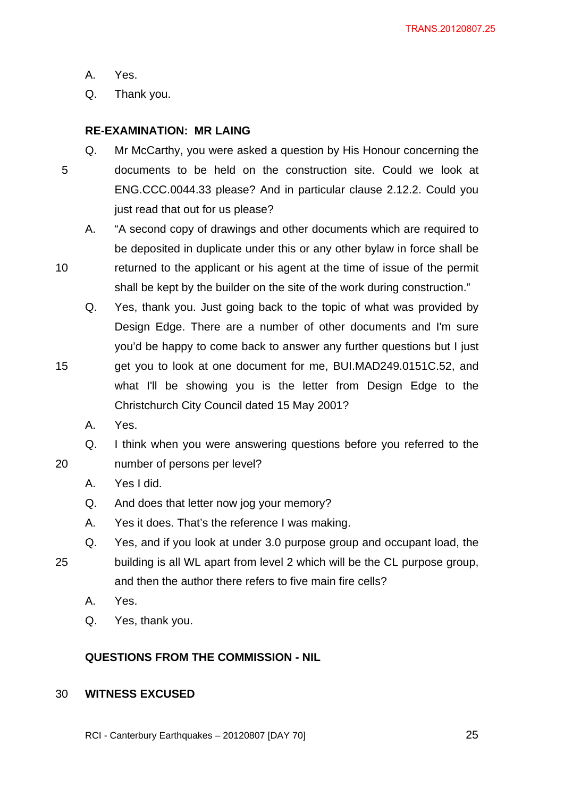A. Yes.

Q. Thank you.

# **RE-EXAMINATION: MR LAING**

- Q. Mr McCarthy, you were asked a question by His Honour concerning the 5 documents to be held on the construction site. Could we look at ENG.CCC.0044.33 please? And in particular clause 2.12.2. Could you just read that out for us please?
- A. "A second copy of drawings and other documents which are required to be deposited in duplicate under this or any other bylaw in force shall be 10 returned to the applicant or his agent at the time of issue of the permit
	- shall be kept by the builder on the site of the work during construction."
		- Q. Yes, thank you. Just going back to the topic of what was provided by Design Edge. There are a number of other documents and I'm sure you'd be happy to come back to answer any further questions but I just
- 15 get you to look at one document for me, BUI.MAD249.0151C.52, and what I'll be showing you is the letter from Design Edge to the Christchurch City Council dated 15 May 2001?
	- A. Yes.
- Q. I think when you were answering questions before you referred to the 20 number of persons per level?
	- A. Yes I did.
	- Q. And does that letter now jog your memory?
	- A. Yes it does. That's the reference I was making.
- Q. Yes, and if you look at under 3.0 purpose group and occupant load, the 25 building is all WL apart from level 2 which will be the CL purpose group, and then the author there refers to five main fire cells?
	- A. Yes.
	- Q. Yes, thank you.

# **QUESTIONS FROM THE COMMISSION - NIL**

## 30 **WITNESS EXCUSED**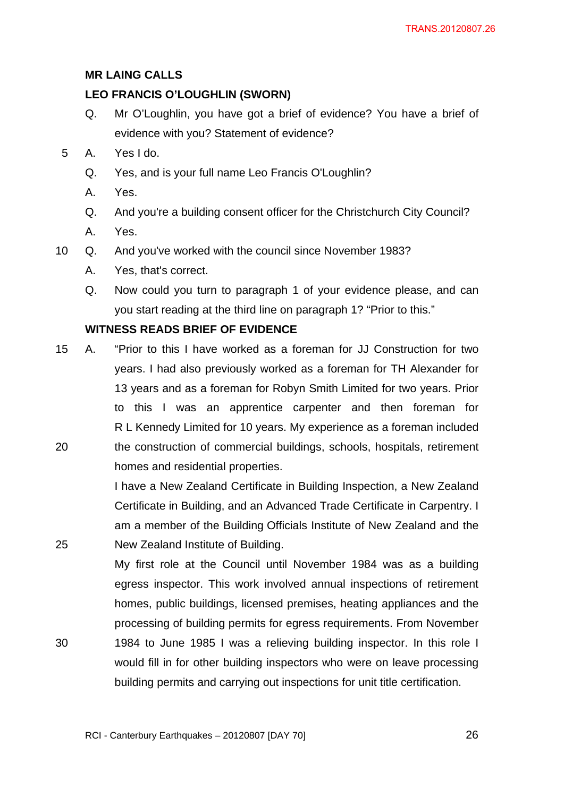## **MR LAING CALLS**

### **LEO FRANCIS O'LOUGHLIN (SWORN)**

- Q. Mr O'Loughlin, you have got a brief of evidence? You have a brief of evidence with you? Statement of evidence?
- 5 A. Yes I do.
	- Q. Yes, and is your full name Leo Francis O'Loughlin?
	- A. Yes.
	- Q. And you're a building consent officer for the Christchurch City Council?
	- A. Yes.
- 10 Q. And you've worked with the council since November 1983?
	- A. Yes, that's correct.
	- Q. Now could you turn to paragraph 1 of your evidence please, and can you start reading at the third line on paragraph 1? "Prior to this."

### **WITNESS READS BRIEF OF EVIDENCE**

15 A. "Prior to this I have worked as a foreman for JJ Construction for two years. I had also previously worked as a foreman for TH Alexander for 13 years and as a foreman for Robyn Smith Limited for two years. Prior to this I was an apprentice carpenter and then foreman for R L Kennedy Limited for 10 years. My experience as a foreman included 20 the construction of commercial buildings, schools, hospitals, retirement homes and residential properties.

I have a New Zealand Certificate in Building Inspection, a New Zealand Certificate in Building, and an Advanced Trade Certificate in Carpentry. I am a member of the Building Officials Institute of New Zealand and the 25 New Zealand Institute of Building.

My first role at the Council until November 1984 was as a building egress inspector. This work involved annual inspections of retirement homes, public buildings, licensed premises, heating appliances and the processing of building permits for egress requirements. From November 30 1984 to June 1985 I was a relieving building inspector. In this role I would fill in for other building inspectors who were on leave processing building permits and carrying out inspections for unit title certification.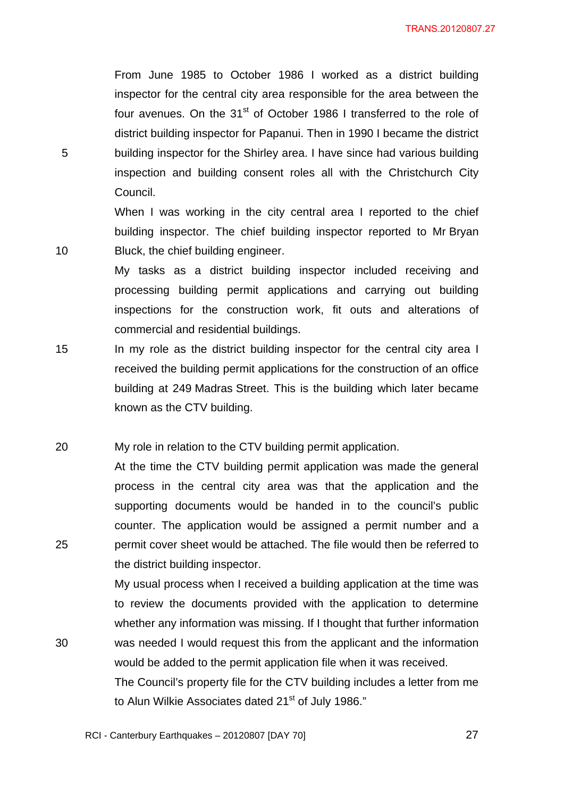From June 1985 to October 1986 I worked as a district building inspector for the central city area responsible for the area between the four avenues. On the 31<sup>st</sup> of October 1986 I transferred to the role of district building inspector for Papanui. Then in 1990 I became the district 5 building inspector for the Shirley area. I have since had various building inspection and building consent roles all with the Christchurch City Council.

When I was working in the city central area I reported to the chief building inspector. The chief building inspector reported to Mr Bryan 10 Bluck, the chief building engineer.

> My tasks as a district building inspector included receiving and processing building permit applications and carrying out building inspections for the construction work, fit outs and alterations of commercial and residential buildings.

- 15 In my role as the district building inspector for the central city area I received the building permit applications for the construction of an office building at 249 Madras Street. This is the building which later became known as the CTV building.
- 20 My role in relation to the CTV building permit application.

At the time the CTV building permit application was made the general process in the central city area was that the application and the supporting documents would be handed in to the council's public counter. The application would be assigned a permit number and a 25 permit cover sheet would be attached. The file would then be referred to the district building inspector.

My usual process when I received a building application at the time was to review the documents provided with the application to determine whether any information was missing. If I thought that further information 30 was needed I would request this from the applicant and the information would be added to the permit application file when it was received.

> The Council's property file for the CTV building includes a letter from me to Alun Wilkie Associates dated 21<sup>st</sup> of July 1986."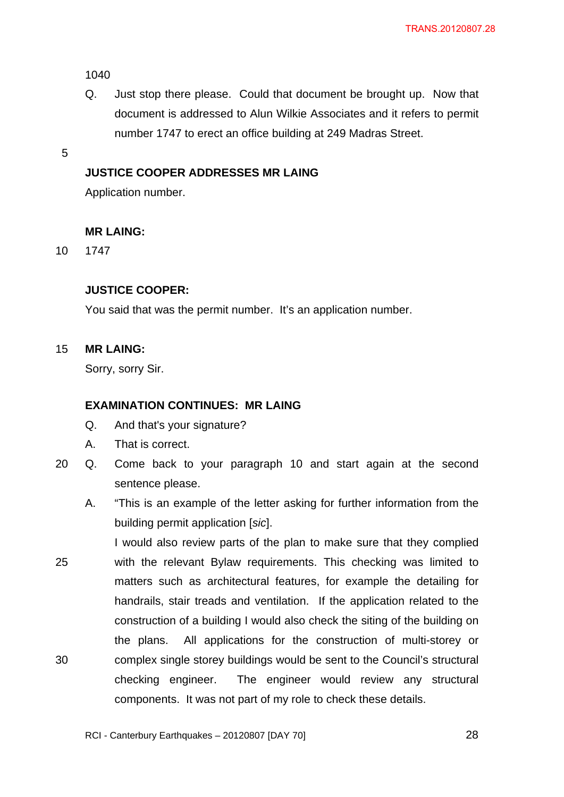1040

Q. Just stop there please. Could that document be brought up. Now that document is addressed to Alun Wilkie Associates and it refers to permit number 1747 to erect an office building at 249 Madras Street.

5

### **JUSTICE COOPER ADDRESSES MR LAING**

Application number.

#### **MR LAING:**

10 1747

### **JUSTICE COOPER:**

You said that was the permit number. It's an application number.

#### 15 **MR LAING:**

Sorry, sorry Sir.

## **EXAMINATION CONTINUES: MR LAING**

- Q. And that's your signature?
- A. That is correct.
- 20 Q. Come back to your paragraph 10 and start again at the second sentence please.
	- A. "This is an example of the letter asking for further information from the building permit application [*sic*].
- I would also review parts of the plan to make sure that they complied 25 with the relevant Bylaw requirements. This checking was limited to matters such as architectural features, for example the detailing for handrails, stair treads and ventilation. If the application related to the construction of a building I would also check the siting of the building on the plans. All applications for the construction of multi-storey or 30 complex single storey buildings would be sent to the Council's structural checking engineer. The engineer would review any structural components. It was not part of my role to check these details.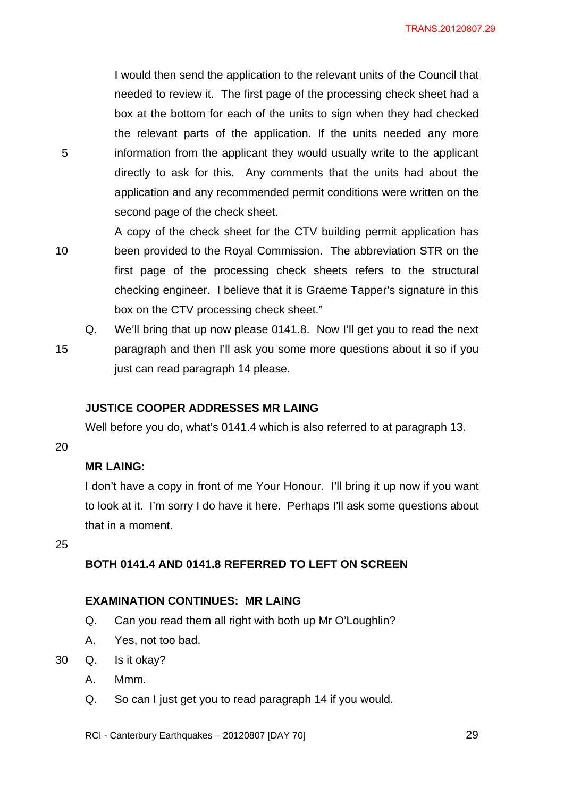I would then send the application to the relevant units of the Council that needed to review it. The first page of the processing check sheet had a box at the bottom for each of the units to sign when they had checked the relevant parts of the application. If the units needed any more 5 information from the applicant they would usually write to the applicant directly to ask for this. Any comments that the units had about the application and any recommended permit conditions were written on the second page of the check sheet.

- A copy of the check sheet for the CTV building permit application has 10 been provided to the Royal Commission. The abbreviation STR on the first page of the processing check sheets refers to the structural checking engineer. I believe that it is Graeme Tapper's signature in this box on the CTV processing check sheet."
- Q. We'll bring that up now please 0141.8. Now I'll get you to read the next 15 paragraph and then I'll ask you some more questions about it so if you just can read paragraph 14 please.

## **JUSTICE COOPER ADDRESSES MR LAING**

Well before you do, what's 0141.4 which is also referred to at paragraph 13.

20

# **MR LAING:**

I don't have a copy in front of me Your Honour. I'll bring it up now if you want to look at it. I'm sorry I do have it here. Perhaps I'll ask some questions about that in a moment.

25

# **BOTH 0141.4 AND 0141.8 REFERRED TO LEFT ON SCREEN**

#### **EXAMINATION CONTINUES: MR LAING**

- Q. Can you read them all right with both up Mr O'Loughlin?
- A. Yes, not too bad.
- 30 Q. Is it okay?
	- A. Mmm.
	- Q. So can I just get you to read paragraph 14 if you would.
	- RCI Canterbury Earthquakes 20120807 [DAY 70]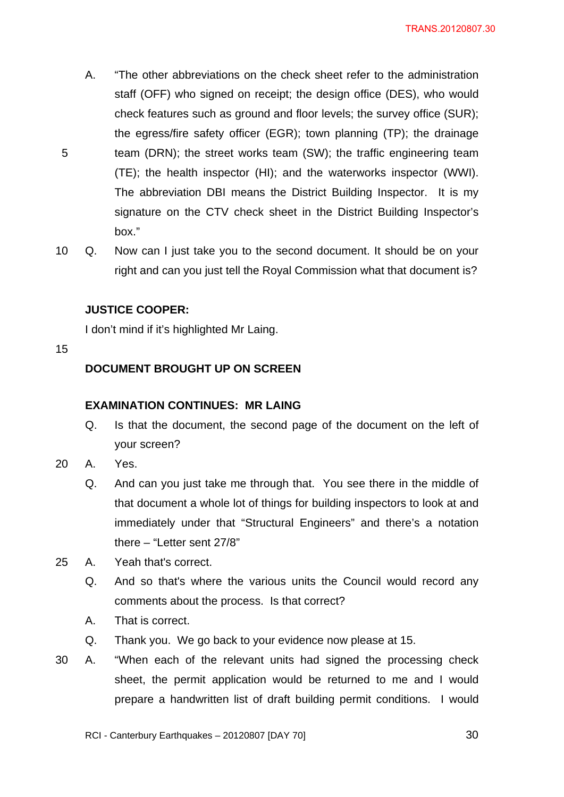- A. "The other abbreviations on the check sheet refer to the administration staff (OFF) who signed on receipt; the design office (DES), who would check features such as ground and floor levels; the survey office (SUR); the egress/fire safety officer (EGR); town planning (TP); the drainage 5 team (DRN); the street works team (SW); the traffic engineering team (TE); the health inspector (HI); and the waterworks inspector (WWI). The abbreviation DBI means the District Building Inspector. It is my signature on the CTV check sheet in the District Building Inspector's box."
- 10 Q. Now can I just take you to the second document. It should be on your right and can you just tell the Royal Commission what that document is?

# **JUSTICE COOPER:**

I don't mind if it's highlighted Mr Laing.

15

# **DOCUMENT BROUGHT UP ON SCREEN**

## **EXAMINATION CONTINUES: MR LAING**

- Q. Is that the document, the second page of the document on the left of your screen?
- 20 A. Yes.
	- Q. And can you just take me through that. You see there in the middle of that document a whole lot of things for building inspectors to look at and immediately under that "Structural Engineers" and there's a notation there – "Letter sent 27/8"
- 25 A. Yeah that's correct.
	- Q. And so that's where the various units the Council would record any comments about the process. Is that correct?
	- A. That is correct.
	- Q. Thank you. We go back to your evidence now please at 15.
- 30 A. "When each of the relevant units had signed the processing check sheet, the permit application would be returned to me and I would prepare a handwritten list of draft building permit conditions. I would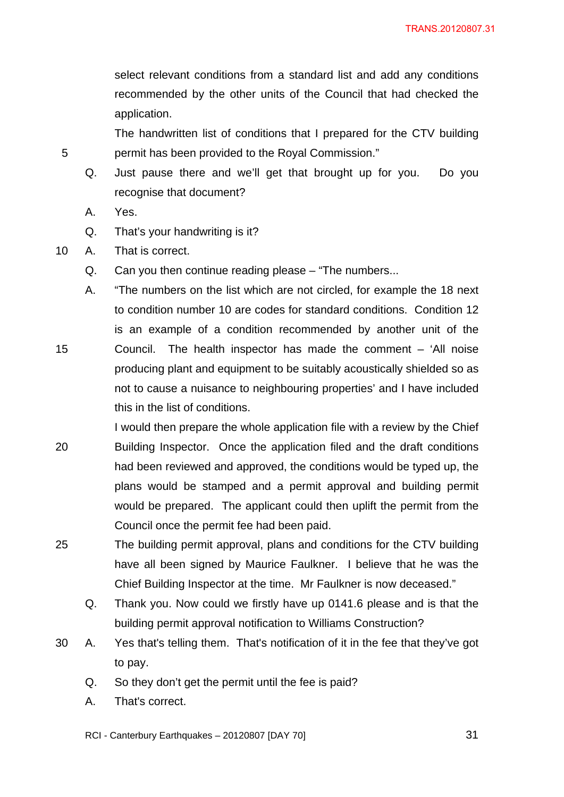select relevant conditions from a standard list and add any conditions recommended by the other units of the Council that had checked the application.

The handwritten list of conditions that I prepared for the CTV building 5 permit has been provided to the Royal Commission."

- Q. Just pause there and we'll get that brought up for you. Do you recognise that document?
- A. Yes.
- Q. That's your handwriting is it?
- 10 A. That is correct.
	- Q. Can you then continue reading please "The numbers...
- A. "The numbers on the list which are not circled, for example the 18 next to condition number 10 are codes for standard conditions. Condition 12 is an example of a condition recommended by another unit of the 15 Council. The health inspector has made the comment – 'All noise producing plant and equipment to be suitably acoustically shielded so as not to cause a nuisance to neighbouring properties' and I have included this in the list of conditions.
- I would then prepare the whole application file with a review by the Chief 20 Building Inspector. Once the application filed and the draft conditions had been reviewed and approved, the conditions would be typed up, the plans would be stamped and a permit approval and building permit would be prepared. The applicant could then uplift the permit from the Council once the permit fee had been paid.
- 25 The building permit approval, plans and conditions for the CTV building have all been signed by Maurice Faulkner. I believe that he was the Chief Building Inspector at the time. Mr Faulkner is now deceased."
	- Q. Thank you. Now could we firstly have up 0141.6 please and is that the building permit approval notification to Williams Construction?
- 30 A. Yes that's telling them. That's notification of it in the fee that they've got to pay.
	- Q. So they don't get the permit until the fee is paid?
	- A. That's correct.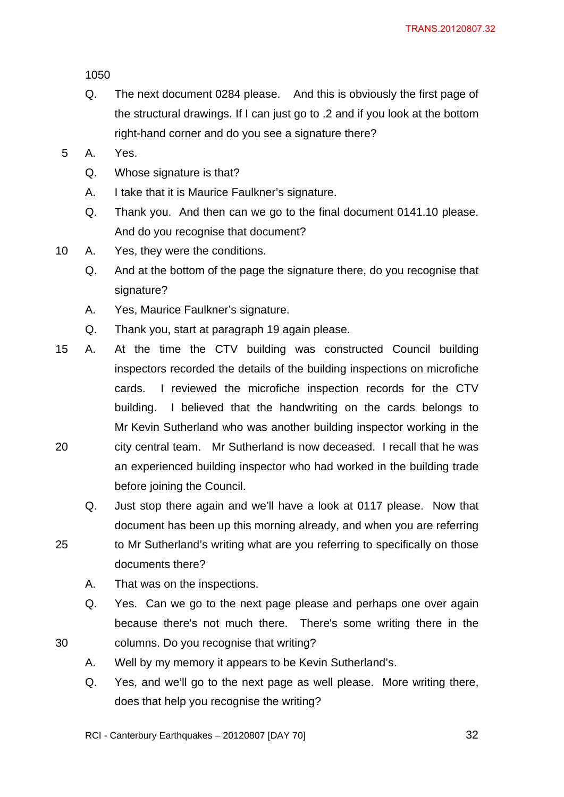1050

- Q. The next document 0284 please. And this is obviously the first page of the structural drawings. If I can just go to .2 and if you look at the bottom right-hand corner and do you see a signature there?
- 5 A. Yes.
	- Q. Whose signature is that?
	- A. I take that it is Maurice Faulkner's signature.
	- Q. Thank you. And then can we go to the final document 0141.10 please. And do you recognise that document?
- 10 A. Yes, they were the conditions.
	- Q. And at the bottom of the page the signature there, do you recognise that signature?
	- A. Yes, Maurice Faulkner's signature.
	- Q. Thank you, start at paragraph 19 again please.
- 15 A. At the time the CTV building was constructed Council building inspectors recorded the details of the building inspections on microfiche cards. I reviewed the microfiche inspection records for the CTV building. I believed that the handwriting on the cards belongs to Mr Kevin Sutherland who was another building inspector working in the 20 city central team. Mr Sutherland is now deceased. I recall that he was an experienced building inspector who had worked in the building trade before joining the Council.
	- Q. Just stop there again and we'll have a look at 0117 please. Now that document has been up this morning already, and when you are referring
- 25 to Mr Sutherland's writing what are you referring to specifically on those documents there?
	- A. That was on the inspections.
- Q. Yes. Can we go to the next page please and perhaps one over again because there's not much there. There's some writing there in the 30 columns. Do you recognise that writing?
	- A. Well by my memory it appears to be Kevin Sutherland's.
	- Q. Yes, and we'll go to the next page as well please. More writing there, does that help you recognise the writing?
	- RCI Canterbury Earthquakes 20120807 [DAY 70]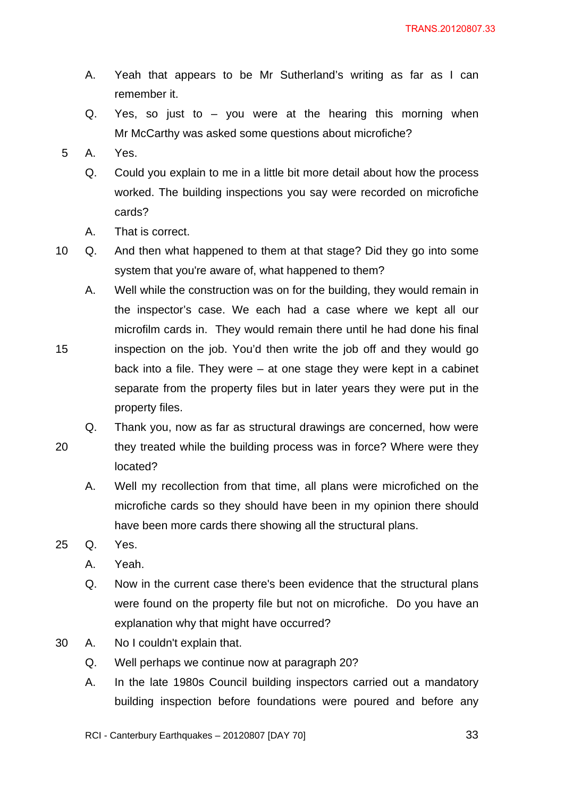- A. Yeah that appears to be Mr Sutherland's writing as far as I can remember it.
- Q. Yes, so just to you were at the hearing this morning when Mr McCarthy was asked some questions about microfiche?
- 5 A. Yes.
	- Q. Could you explain to me in a little bit more detail about how the process worked. The building inspections you say were recorded on microfiche cards?
	- A. That is correct.
- 10 Q. And then what happened to them at that stage? Did they go into some system that you're aware of, what happened to them?
- A. Well while the construction was on for the building, they would remain in the inspector's case. We each had a case where we kept all our microfilm cards in. They would remain there until he had done his final 15 inspection on the job. You'd then write the job off and they would go back into a file. They were – at one stage they were kept in a cabinet separate from the property files but in later years they were put in the property files.
	- Q. Thank you, now as far as structural drawings are concerned, how were
- 20 they treated while the building process was in force? Where were they located?
	- A. Well my recollection from that time, all plans were microfiched on the microfiche cards so they should have been in my opinion there should have been more cards there showing all the structural plans.
- 25 Q. Yes.
	- A. Yeah.
	- Q. Now in the current case there's been evidence that the structural plans were found on the property file but not on microfiche. Do you have an explanation why that might have occurred?
- 30 A. No I couldn't explain that.
	- Q. Well perhaps we continue now at paragraph 20?
	- A. In the late 1980s Council building inspectors carried out a mandatory building inspection before foundations were poured and before any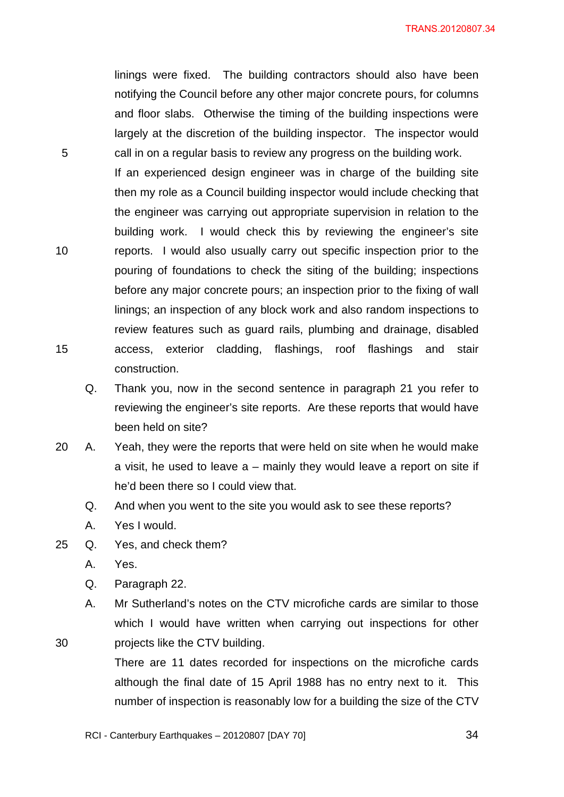TRANS.20120807.34

linings were fixed. The building contractors should also have been notifying the Council before any other major concrete pours, for columns and floor slabs. Otherwise the timing of the building inspections were largely at the discretion of the building inspector. The inspector would 5 call in on a regular basis to review any progress on the building work.

If an experienced design engineer was in charge of the building site then my role as a Council building inspector would include checking that the engineer was carrying out appropriate supervision in relation to the building work. I would check this by reviewing the engineer's site 10 reports. I would also usually carry out specific inspection prior to the pouring of foundations to check the siting of the building; inspections before any major concrete pours; an inspection prior to the fixing of wall linings; an inspection of any block work and also random inspections to review features such as guard rails, plumbing and drainage, disabled 15 access, exterior cladding, flashings, roof flashings and stair construction.

- Q. Thank you, now in the second sentence in paragraph 21 you refer to reviewing the engineer's site reports. Are these reports that would have been held on site?
- 20 A. Yeah, they were the reports that were held on site when he would make a visit, he used to leave  $a$  – mainly they would leave a report on site if he'd been there so I could view that.
	- Q. And when you went to the site you would ask to see these reports?
	- A. Yes I would.
- 25 Q. Yes, and check them?
	- A. Yes.
	- Q. Paragraph 22.
- A. Mr Sutherland's notes on the CTV microfiche cards are similar to those which I would have written when carrying out inspections for other 30 projects like the CTV building.
	- There are 11 dates recorded for inspections on the microfiche cards although the final date of 15 April 1988 has no entry next to it. This number of inspection is reasonably low for a building the size of the CTV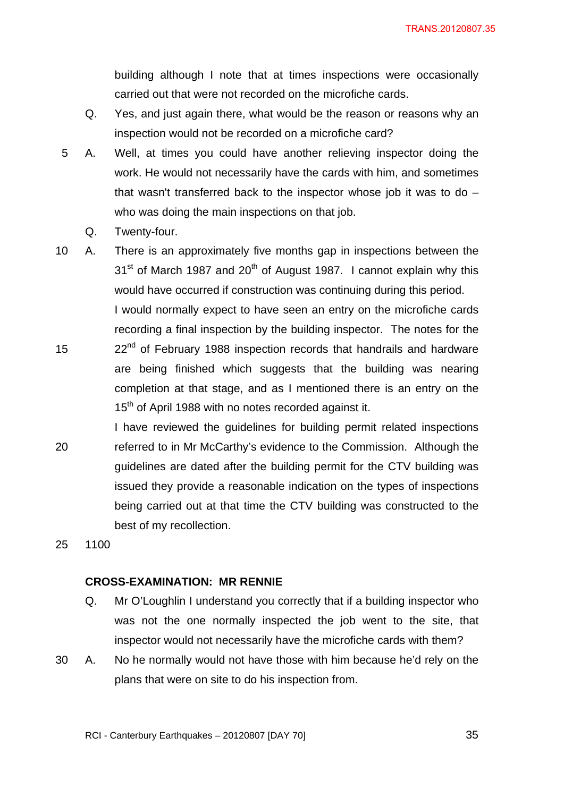building although I note that at times inspections were occasionally carried out that were not recorded on the microfiche cards.

- Q. Yes, and just again there, what would be the reason or reasons why an inspection would not be recorded on a microfiche card?
- 5 A. Well, at times you could have another relieving inspector doing the work. He would not necessarily have the cards with him, and sometimes that wasn't transferred back to the inspector whose job it was to do – who was doing the main inspections on that job.
	- Q. Twenty-four.

10 A. There is an approximately five months gap in inspections between the  $31<sup>st</sup>$  of March 1987 and 20<sup>th</sup> of August 1987. I cannot explain why this would have occurred if construction was continuing during this period. I would normally expect to have seen an entry on the microfiche cards recording a final inspection by the building inspector. The notes for the 15 22<sup>nd</sup> of February 1988 inspection records that handrails and hardware are being finished which suggests that the building was nearing

completion at that stage, and as I mentioned there is an entry on the 15<sup>th</sup> of April 1988 with no notes recorded against it.

I have reviewed the guidelines for building permit related inspections 20 referred to in Mr McCarthy's evidence to the Commission. Although the guidelines are dated after the building permit for the CTV building was issued they provide a reasonable indication on the types of inspections being carried out at that time the CTV building was constructed to the best of my recollection.

25 1100

#### **CROSS-EXAMINATION: MR RENNIE**

- Q. Mr O'Loughlin I understand you correctly that if a building inspector who was not the one normally inspected the job went to the site, that inspector would not necessarily have the microfiche cards with them?
- 30 A. No he normally would not have those with him because he'd rely on the plans that were on site to do his inspection from.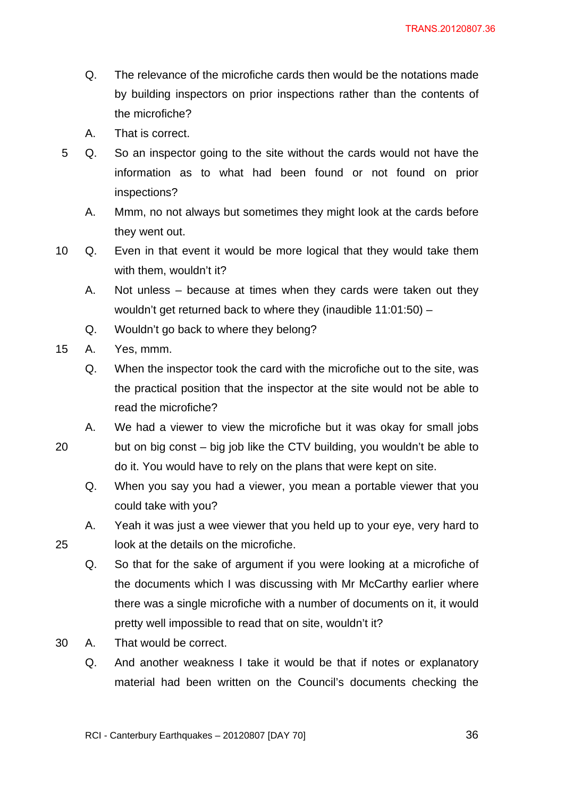- Q. The relevance of the microfiche cards then would be the notations made by building inspectors on prior inspections rather than the contents of the microfiche?
- A. That is correct.
- 5 Q. So an inspector going to the site without the cards would not have the information as to what had been found or not found on prior inspections?
	- A. Mmm, no not always but sometimes they might look at the cards before they went out.
- 10 Q. Even in that event it would be more logical that they would take them with them, wouldn't it?
	- A. Not unless because at times when they cards were taken out they wouldn't get returned back to where they (inaudible 11:01:50) –
	- Q. Wouldn't go back to where they belong?
- 15 A. Yes, mmm.
	- Q. When the inspector took the card with the microfiche out to the site, was the practical position that the inspector at the site would not be able to read the microfiche?
- A. We had a viewer to view the microfiche but it was okay for small jobs 20 but on big const – big job like the CTV building, you wouldn't be able to do it. You would have to rely on the plans that were kept on site.
	- Q. When you say you had a viewer, you mean a portable viewer that you could take with you?
- A. Yeah it was just a wee viewer that you held up to your eye, very hard to 25 look at the details on the microfiche.
	- Q. So that for the sake of argument if you were looking at a microfiche of the documents which I was discussing with Mr McCarthy earlier where there was a single microfiche with a number of documents on it, it would pretty well impossible to read that on site, wouldn't it?
- 30 A. That would be correct.
	- Q. And another weakness I take it would be that if notes or explanatory material had been written on the Council's documents checking the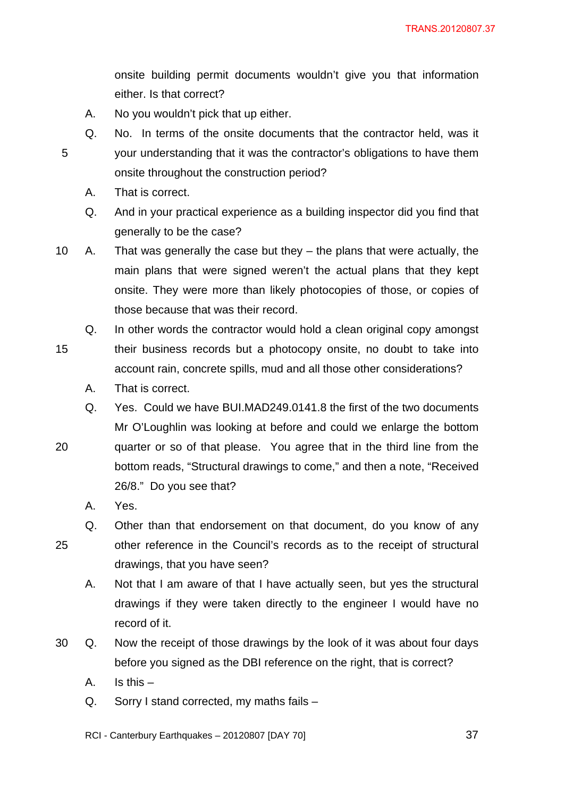onsite building permit documents wouldn't give you that information either. Is that correct?

- A. No you wouldn't pick that up either.
- Q. No. In terms of the onsite documents that the contractor held, was it 5 your understanding that it was the contractor's obligations to have them onsite throughout the construction period?
	- A. That is correct.
	- Q. And in your practical experience as a building inspector did you find that generally to be the case?
- 10 A. That was generally the case but they the plans that were actually, the main plans that were signed weren't the actual plans that they kept onsite. They were more than likely photocopies of those, or copies of those because that was their record.
- Q. In other words the contractor would hold a clean original copy amongst 15 their business records but a photocopy onsite, no doubt to take into account rain, concrete spills, mud and all those other considerations?
	- A. That is correct.
- Q. Yes. Could we have BUI.MAD249.0141.8 the first of the two documents Mr O'Loughlin was looking at before and could we enlarge the bottom 20 quarter or so of that please. You agree that in the third line from the bottom reads, "Structural drawings to come," and then a note, "Received 26/8." Do you see that?
	- A. Yes.
- Q. Other than that endorsement on that document, do you know of any 25 other reference in the Council's records as to the receipt of structural
- 
- drawings, that you have seen? A. Not that I am aware of that I have actually seen, but yes the structural
- drawings if they were taken directly to the engineer I would have no record of it.
- 30 Q. Now the receipt of those drawings by the look of it was about four days before you signed as the DBI reference on the right, that is correct?
	- A. Is this –
	- Q. Sorry I stand corrected, my maths fails –
	- RCI Canterbury Earthquakes 20120807 [DAY 70]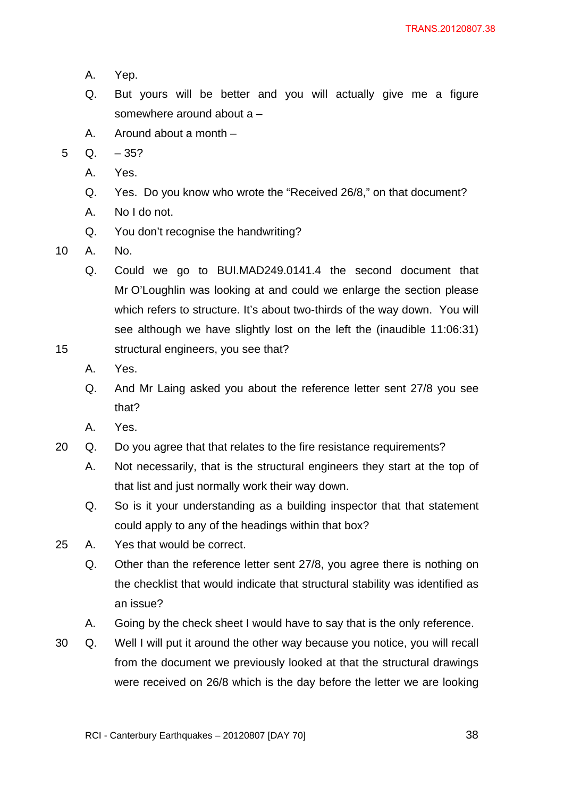- A. Yep.
- Q. But yours will be better and you will actually give me a figure somewhere around about a –
- A. Around about a month –
- $5$  Q.  $-35$ ?
	- A. Yes.
	- Q. Yes. Do you know who wrote the "Received 26/8," on that document?
	- A. No I do not.
	- Q. You don't recognise the handwriting?
- 10 A. No.
- Q. Could we go to BUI.MAD249.0141.4 the second document that Mr O'Loughlin was looking at and could we enlarge the section please which refers to structure. It's about two-thirds of the way down. You will see although we have slightly lost on the left the (inaudible 11:06:31) 15 structural engineers, you see that?
	- A. Yes.
	- Q. And Mr Laing asked you about the reference letter sent 27/8 you see that?
	- A. Yes.
- 20 Q. Do you agree that that relates to the fire resistance requirements?
	- A. Not necessarily, that is the structural engineers they start at the top of that list and just normally work their way down.
	- Q. So is it your understanding as a building inspector that that statement could apply to any of the headings within that box?
- 25 A. Yes that would be correct.
	- Q. Other than the reference letter sent 27/8, you agree there is nothing on the checklist that would indicate that structural stability was identified as an issue?
	- A. Going by the check sheet I would have to say that is the only reference.
- 30 Q. Well I will put it around the other way because you notice, you will recall from the document we previously looked at that the structural drawings were received on 26/8 which is the day before the letter we are looking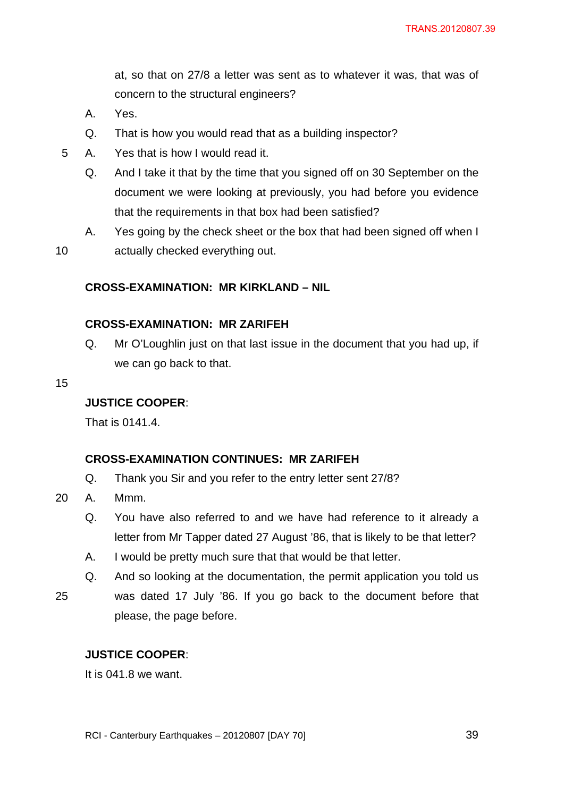at, so that on 27/8 a letter was sent as to whatever it was, that was of concern to the structural engineers?

- A. Yes.
- Q. That is how you would read that as a building inspector?
- 5 A. Yes that is how I would read it.
	- Q. And I take it that by the time that you signed off on 30 September on the document we were looking at previously, you had before you evidence that the requirements in that box had been satisfied?
- A. Yes going by the check sheet or the box that had been signed off when I 10 actually checked everything out.

**CROSS-EXAMINATION: MR KIRKLAND – NIL** 

#### **CROSS-EXAMINATION: MR ZARIFEH**

- Q. Mr O'Loughlin just on that last issue in the document that you had up, if we can go back to that.
- 15

#### **JUSTICE COOPER**:

That is 0141.4.

#### **CROSS-EXAMINATION CONTINUES: MR ZARIFEH**

- Q. Thank you Sir and you refer to the entry letter sent 27/8?
- 20 A. Mmm.
	- Q. You have also referred to and we have had reference to it already a letter from Mr Tapper dated 27 August '86, that is likely to be that letter?
	- A. I would be pretty much sure that that would be that letter.
- Q. And so looking at the documentation, the permit application you told us 25 was dated 17 July '86. If you go back to the document before that please, the page before.

## **JUSTICE COOPER**:

It is 041.8 we want.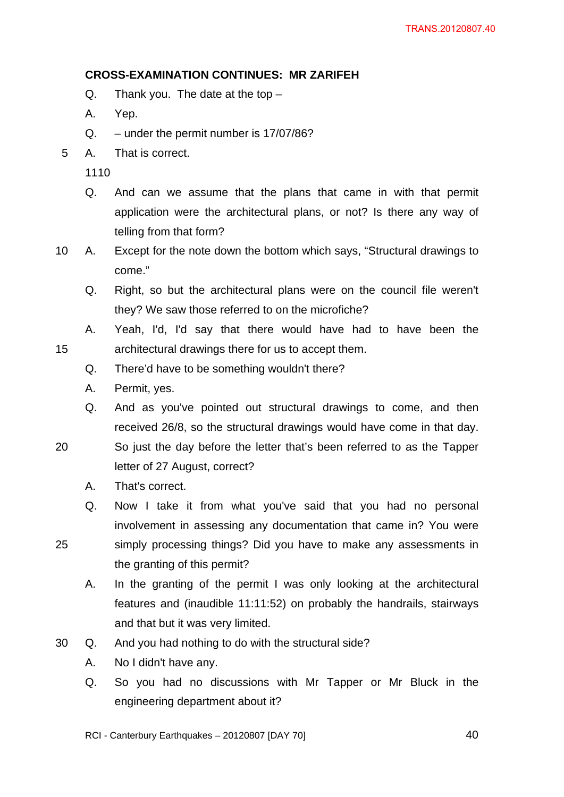## **CROSS-EXAMINATION CONTINUES: MR ZARIFEH**

- Q. Thank you. The date at the top –
- A. Yep.
- Q. under the permit number is 17/07/86?
- 5 A. That is correct.

1110

- Q. And can we assume that the plans that came in with that permit application were the architectural plans, or not? Is there any way of telling from that form?
- 10 A. Except for the note down the bottom which says, "Structural drawings to come."
	- Q. Right, so but the architectural plans were on the council file weren't they? We saw those referred to on the microfiche?
- A. Yeah, I'd, I'd say that there would have had to have been the 15 architectural drawings there for us to accept them.
	- Q. There'd have to be something wouldn't there?
	- A. Permit, yes.
	- Q. And as you've pointed out structural drawings to come, and then received 26/8, so the structural drawings would have come in that day.
- 20 So just the day before the letter that's been referred to as the Tapper letter of 27 August, correct?
	- A. That's correct.
	- Q. Now I take it from what you've said that you had no personal involvement in assessing any documentation that came in? You were
- 25 simply processing things? Did you have to make any assessments in the granting of this permit?
	- A. In the granting of the permit I was only looking at the architectural features and (inaudible 11:11:52) on probably the handrails, stairways and that but it was very limited.
- 30 Q. And you had nothing to do with the structural side?
	- A. No I didn't have any.
	- Q. So you had no discussions with Mr Tapper or Mr Bluck in the engineering department about it?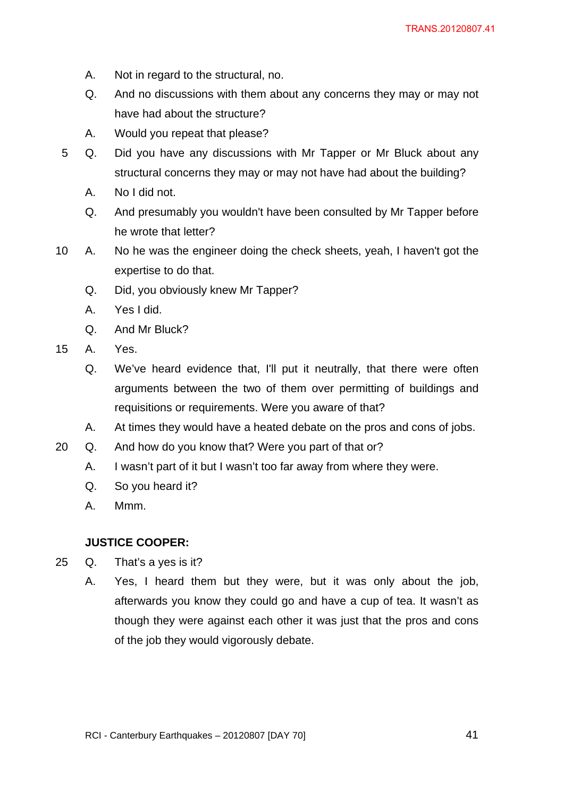- A. Not in regard to the structural, no.
- Q. And no discussions with them about any concerns they may or may not have had about the structure?
- A. Would you repeat that please?
- 5 Q. Did you have any discussions with Mr Tapper or Mr Bluck about any structural concerns they may or may not have had about the building?
	- A. No I did not.
	- Q. And presumably you wouldn't have been consulted by Mr Tapper before he wrote that letter?
- 10 A. No he was the engineer doing the check sheets, yeah, I haven't got the expertise to do that.
	- Q. Did, you obviously knew Mr Tapper?
	- A. Yes I did.
	- Q. And Mr Bluck?
- 15 A. Yes.
	- Q. We've heard evidence that, I'll put it neutrally, that there were often arguments between the two of them over permitting of buildings and requisitions or requirements. Were you aware of that?
	- A. At times they would have a heated debate on the pros and cons of jobs.
- 20 Q. And how do you know that? Were you part of that or?
	- A. I wasn't part of it but I wasn't too far away from where they were.
	- Q. So you heard it?
	- A. Mmm.

## **JUSTICE COOPER:**

- 25 Q. That's a yes is it?
	- A. Yes, I heard them but they were, but it was only about the job, afterwards you know they could go and have a cup of tea. It wasn't as though they were against each other it was just that the pros and cons of the job they would vigorously debate.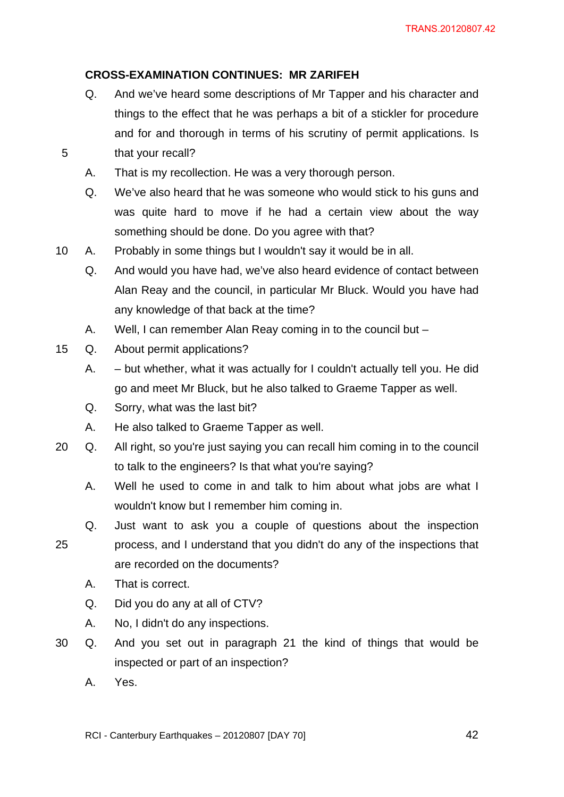# **CROSS-EXAMINATION CONTINUES: MR ZARIFEH**

- Q. And we've heard some descriptions of Mr Tapper and his character and things to the effect that he was perhaps a bit of a stickler for procedure and for and thorough in terms of his scrutiny of permit applications. Is 5 that your recall?
	- A. That is my recollection. He was a very thorough person.
	- Q. We've also heard that he was someone who would stick to his guns and was quite hard to move if he had a certain view about the way something should be done. Do you agree with that?
- 10 A. Probably in some things but I wouldn't say it would be in all.
	- Q. And would you have had, we've also heard evidence of contact between Alan Reay and the council, in particular Mr Bluck. Would you have had any knowledge of that back at the time?
	- A. Well, I can remember Alan Reay coming in to the council but –
- 15 Q. About permit applications?
	- A. but whether, what it was actually for I couldn't actually tell you. He did go and meet Mr Bluck, but he also talked to Graeme Tapper as well.
	- Q. Sorry, what was the last bit?
	- A. He also talked to Graeme Tapper as well.
- 20 Q. All right, so you're just saying you can recall him coming in to the council to talk to the engineers? Is that what you're saying?
	- A. Well he used to come in and talk to him about what jobs are what I wouldn't know but I remember him coming in.
- Q. Just want to ask you a couple of questions about the inspection 25 process, and I understand that you didn't do any of the inspections that are recorded on the documents?
	- A. That is correct.
	- Q. Did you do any at all of CTV?
	- A. No, I didn't do any inspections.
- 30 Q. And you set out in paragraph 21 the kind of things that would be inspected or part of an inspection?
	- A. Yes.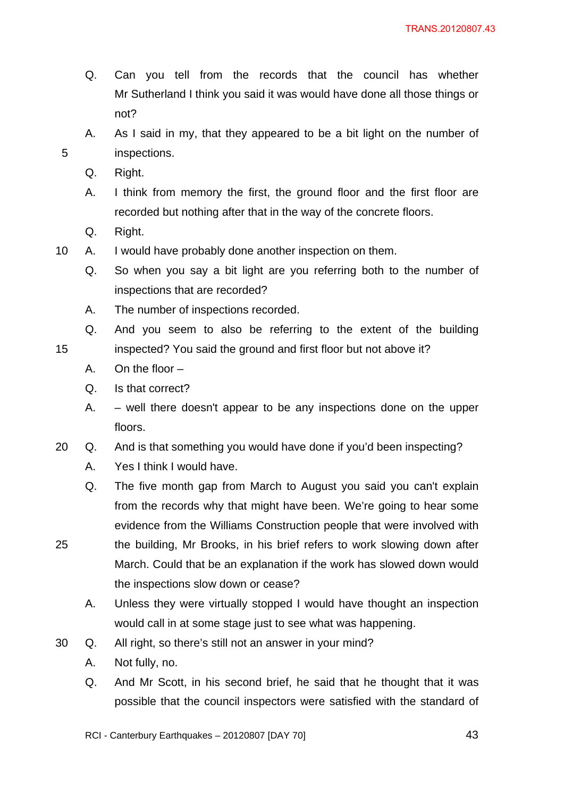- Q. Can you tell from the records that the council has whether Mr Sutherland I think you said it was would have done all those things or not?
- A. As I said in my, that they appeared to be a bit light on the number of 5 inspections.
	- Q. Right.
	- A. I think from memory the first, the ground floor and the first floor are recorded but nothing after that in the way of the concrete floors.
	- Q. Right.
- 10 A. I would have probably done another inspection on them.
	- Q. So when you say a bit light are you referring both to the number of inspections that are recorded?
	- A. The number of inspections recorded.
- Q. And you seem to also be referring to the extent of the building 15 inspected? You said the ground and first floor but not above it?
	- A. On the floor –
	- Q. Is that correct?
	- A. well there doesn't appear to be any inspections done on the upper floors.
- 20 Q. And is that something you would have done if you'd been inspecting?
	- A. Yes I think I would have.
- Q. The five month gap from March to August you said you can't explain from the records why that might have been. We're going to hear some evidence from the Williams Construction people that were involved with 25 the building, Mr Brooks, in his brief refers to work slowing down after March. Could that be an explanation if the work has slowed down would
	- A. Unless they were virtually stopped I would have thought an inspection would call in at some stage just to see what was happening.
- 30 Q. All right, so there's still not an answer in your mind?

the inspections slow down or cease?

- A. Not fully, no.
- Q. And Mr Scott, in his second brief, he said that he thought that it was possible that the council inspectors were satisfied with the standard of
- RCI Canterbury Earthquakes 20120807 [DAY 70] 43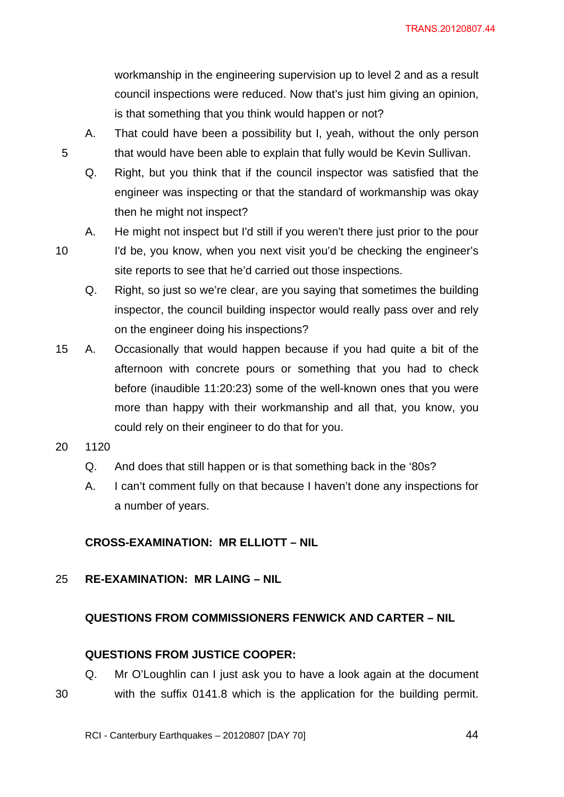workmanship in the engineering supervision up to level 2 and as a result council inspections were reduced. Now that's just him giving an opinion, is that something that you think would happen or not?

- A. That could have been a possibility but I, yeah, without the only person 5 that would have been able to explain that fully would be Kevin Sullivan.
	- Q. Right, but you think that if the council inspector was satisfied that the engineer was inspecting or that the standard of workmanship was okay then he might not inspect?
	- A. He might not inspect but I'd still if you weren't there just prior to the pour
- 10 I'd be, you know, when you next visit you'd be checking the engineer's site reports to see that he'd carried out those inspections.
	- Q. Right, so just so we're clear, are you saying that sometimes the building inspector, the council building inspector would really pass over and rely on the engineer doing his inspections?
- 15 A. Occasionally that would happen because if you had quite a bit of the afternoon with concrete pours or something that you had to check before (inaudible 11:20:23) some of the well-known ones that you were more than happy with their workmanship and all that, you know, you could rely on their engineer to do that for you.
- 20 1120
	- Q. And does that still happen or is that something back in the '80s?
	- A. I can't comment fully on that because I haven't done any inspections for a number of years.

# **CROSS-EXAMINATION: MR ELLIOTT – NIL**

## 25 **RE-EXAMINATION: MR LAING – NIL**

## **QUESTIONS FROM COMMISSIONERS FENWICK AND CARTER – NIL**

## **QUESTIONS FROM JUSTICE COOPER:**

Q. Mr O'Loughlin can I just ask you to have a look again at the document 30 with the suffix 0141.8 which is the application for the building permit.

RCI - Canterbury Earthquakes – 20120807 [DAY 70]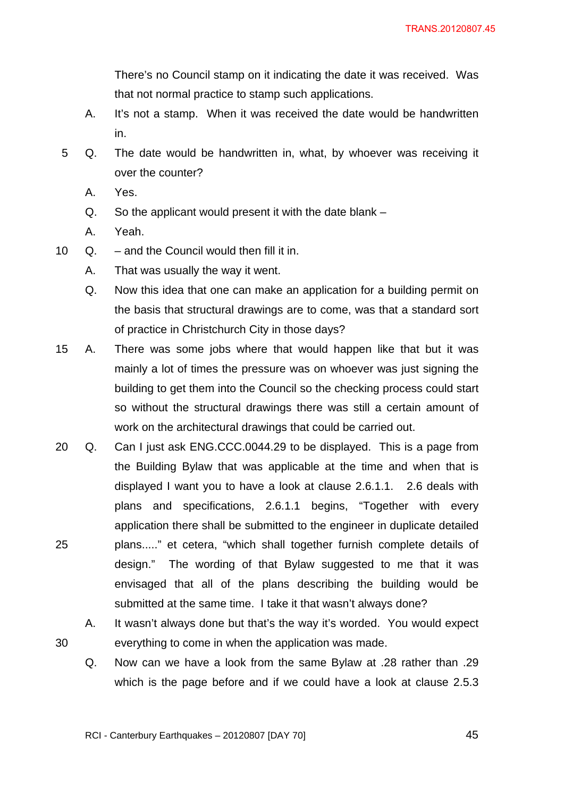There's no Council stamp on it indicating the date it was received. Was that not normal practice to stamp such applications.

- A. It's not a stamp. When it was received the date would be handwritten in.
- 5 Q. The date would be handwritten in, what, by whoever was receiving it over the counter?
	- A. Yes.
	- Q. So the applicant would present it with the date blank –
	- A. Yeah.
- 10 Q. and the Council would then fill it in.
	- A. That was usually the way it went.
	- Q. Now this idea that one can make an application for a building permit on the basis that structural drawings are to come, was that a standard sort of practice in Christchurch City in those days?
- 15 A. There was some jobs where that would happen like that but it was mainly a lot of times the pressure was on whoever was just signing the building to get them into the Council so the checking process could start so without the structural drawings there was still a certain amount of work on the architectural drawings that could be carried out.
- 20 Q. Can I just ask ENG.CCC.0044.29 to be displayed. This is a page from the Building Bylaw that was applicable at the time and when that is displayed I want you to have a look at clause 2.6.1.1. 2.6 deals with plans and specifications, 2.6.1.1 begins, "Together with every application there shall be submitted to the engineer in duplicate detailed 25 plans....." et cetera, "which shall together furnish complete details of design." The wording of that Bylaw suggested to me that it was envisaged that all of the plans describing the building would be submitted at the same time. I take it that wasn't always done?
- A. It wasn't always done but that's the way it's worded. You would expect 30 everything to come in when the application was made.
	- Q. Now can we have a look from the same Bylaw at .28 rather than .29 which is the page before and if we could have a look at clause 2.5.3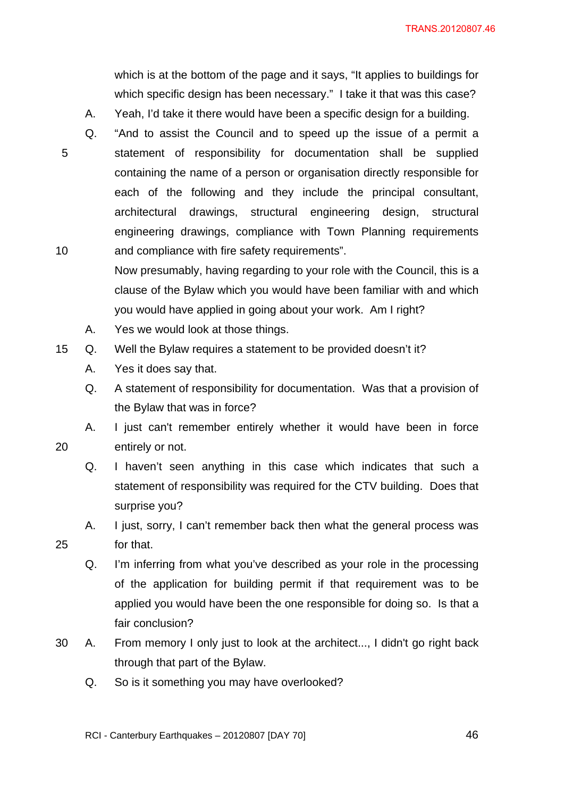which is at the bottom of the page and it says, "It applies to buildings for which specific design has been necessary." I take it that was this case?

- A. Yeah, I'd take it there would have been a specific design for a building.
- 
- Q. "And to assist the Council and to speed up the issue of a permit a 5 statement of responsibility for documentation shall be supplied containing the name of a person or organisation directly responsible for each of the following and they include the principal consultant, architectural drawings, structural engineering design, structural engineering drawings, compliance with Town Planning requirements 10 and compliance with fire safety requirements".
	- Now presumably, having regarding to your role with the Council, this is a clause of the Bylaw which you would have been familiar with and which you would have applied in going about your work. Am I right?
	- A. Yes we would look at those things.
- 15 Q. Well the Bylaw requires a statement to be provided doesn't it?
	- A. Yes it does say that.
	- Q. A statement of responsibility for documentation. Was that a provision of the Bylaw that was in force?
- A. I just can't remember entirely whether it would have been in force 20 entirely or not.
	- Q. I haven't seen anything in this case which indicates that such a statement of responsibility was required for the CTV building. Does that surprise you?
- A. I just, sorry, I can't remember back then what the general process was 25 for that.
	- Q. I'm inferring from what you've described as your role in the processing of the application for building permit if that requirement was to be applied you would have been the one responsible for doing so. Is that a fair conclusion?
- 30 A. From memory I only just to look at the architect..., I didn't go right back through that part of the Bylaw.
	- Q. So is it something you may have overlooked?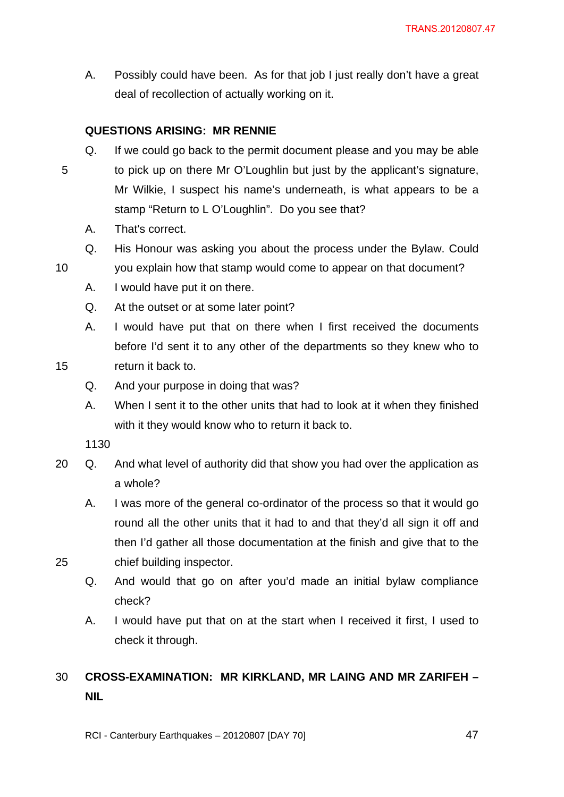A. Possibly could have been. As for that job I just really don't have a great deal of recollection of actually working on it.

# **QUESTIONS ARISING: MR RENNIE**

- Q. If we could go back to the permit document please and you may be able 5 to pick up on there Mr O'Loughlin but just by the applicant's signature, Mr Wilkie, I suspect his name's underneath, is what appears to be a stamp "Return to L O'Loughlin". Do you see that?
	- A. That's correct.
	- Q. His Honour was asking you about the process under the Bylaw. Could
- 10 you explain how that stamp would come to appear on that document?
	- A. I would have put it on there.
	- Q. At the outset or at some later point?
- A. I would have put that on there when I first received the documents before I'd sent it to any other of the departments so they knew who to 15 return it back to.

- Q. And your purpose in doing that was?
- A. When I sent it to the other units that had to look at it when they finished with it they would know who to return it back to.

1130

- 20 Q. And what level of authority did that show you had over the application as a whole?
- A. I was more of the general co-ordinator of the process so that it would go round all the other units that it had to and that they'd all sign it off and then I'd gather all those documentation at the finish and give that to the 25 chief building inspector.

Q. And would that go on after you'd made an initial bylaw compliance check?

A. I would have put that on at the start when I received it first, I used to check it through.

# 30 **CROSS-EXAMINATION: MR KIRKLAND, MR LAING AND MR ZARIFEH – NIL**

RCI - Canterbury Earthquakes – 20120807 [DAY 70]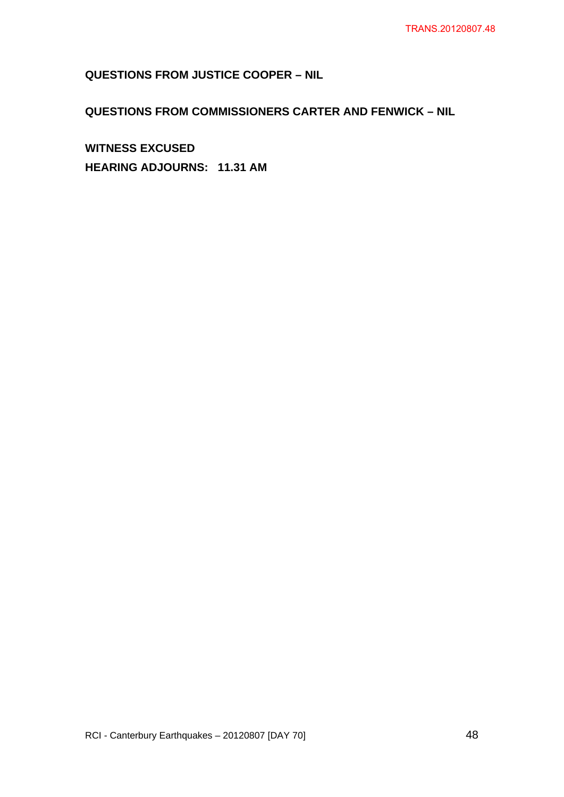# **QUESTIONS FROM JUSTICE COOPER – NIL**

# **QUESTIONS FROM COMMISSIONERS CARTER AND FENWICK – NIL**

**WITNESS EXCUSED HEARING ADJOURNS: 11.31 AM**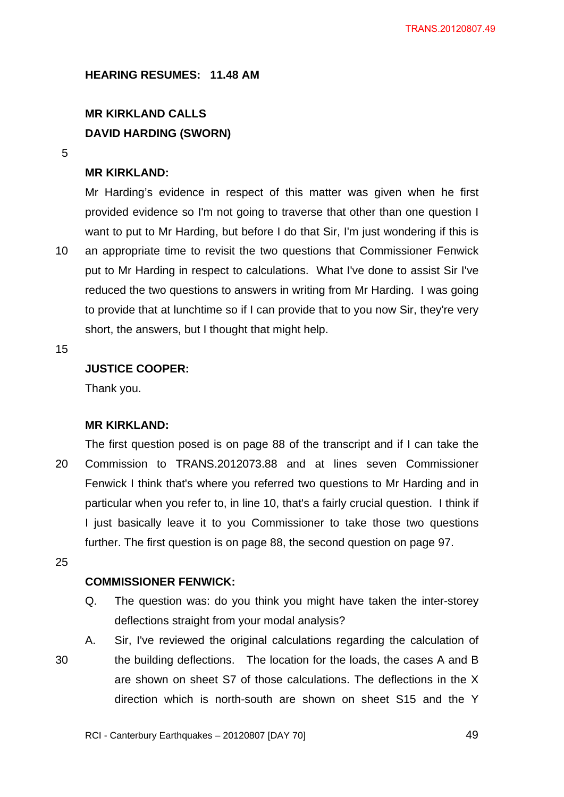**HEARING RESUMES: 11.48 AM** 

# **MR KIRKLAND CALLS DAVID HARDING (SWORN)**

5

### **MR KIRKLAND:**

Mr Harding's evidence in respect of this matter was given when he first provided evidence so I'm not going to traverse that other than one question I want to put to Mr Harding, but before I do that Sir, I'm just wondering if this is 10 an appropriate time to revisit the two questions that Commissioner Fenwick put to Mr Harding in respect to calculations. What I've done to assist Sir I've reduced the two questions to answers in writing from Mr Harding. I was going to provide that at lunchtime so if I can provide that to you now Sir, they're very short, the answers, but I thought that might help.

15

## **JUSTICE COOPER:**

Thank you.

#### **MR KIRKLAND:**

The first question posed is on page 88 of the transcript and if I can take the 20 Commission to TRANS.2012073.88 and at lines seven Commissioner Fenwick I think that's where you referred two questions to Mr Harding and in particular when you refer to, in line 10, that's a fairly crucial question. I think if I just basically leave it to you Commissioner to take those two questions further. The first question is on page 88, the second question on page 97.

25

### **COMMISSIONER FENWICK:**

- Q. The question was: do you think you might have taken the inter-storey deflections straight from your modal analysis?
- A. Sir, I've reviewed the original calculations regarding the calculation of 30 the building deflections. The location for the loads, the cases A and B are shown on sheet S7 of those calculations. The deflections in the X direction which is north-south are shown on sheet S15 and the Y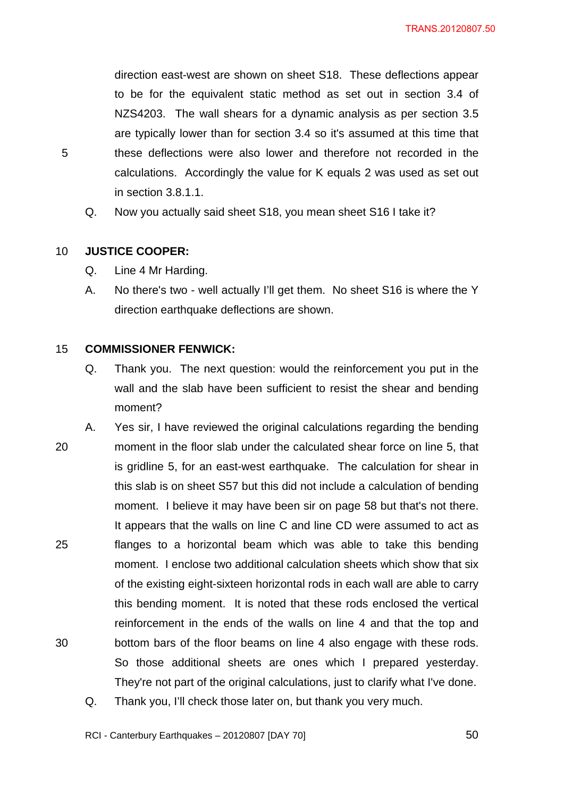direction east-west are shown on sheet S18. These deflections appear to be for the equivalent static method as set out in section 3.4 of NZS4203. The wall shears for a dynamic analysis as per section 3.5 are typically lower than for section 3.4 so it's assumed at this time that 5 these deflections were also lower and therefore not recorded in the calculations. Accordingly the value for K equals 2 was used as set out in section 3.8.1.1.

Q. Now you actually said sheet S18, you mean sheet S16 I take it?

#### 10 **JUSTICE COOPER:**

- Q. Line 4 Mr Harding.
- A. No there's two well actually I'll get them. No sheet S16 is where the Y direction earthquake deflections are shown.

#### 15 **COMMISSIONER FENWICK:**

- Q. Thank you. The next question: would the reinforcement you put in the wall and the slab have been sufficient to resist the shear and bending moment?
- A. Yes sir, I have reviewed the original calculations regarding the bending 20 moment in the floor slab under the calculated shear force on line 5, that is gridline 5, for an east-west earthquake. The calculation for shear in this slab is on sheet S57 but this did not include a calculation of bending moment. I believe it may have been sir on page 58 but that's not there. It appears that the walls on line C and line CD were assumed to act as 25 flanges to a horizontal beam which was able to take this bending moment. I enclose two additional calculation sheets which show that six of the existing eight-sixteen horizontal rods in each wall are able to carry this bending moment. It is noted that these rods enclosed the vertical reinforcement in the ends of the walls on line 4 and that the top and 30 bottom bars of the floor beams on line 4 also engage with these rods. So those additional sheets are ones which I prepared yesterday. They're not part of the original calculations, just to clarify what I've done.
	- Q. Thank you, I'll check those later on, but thank you very much.

RCI - Canterbury Earthquakes – 20120807 [DAY 70]  $50$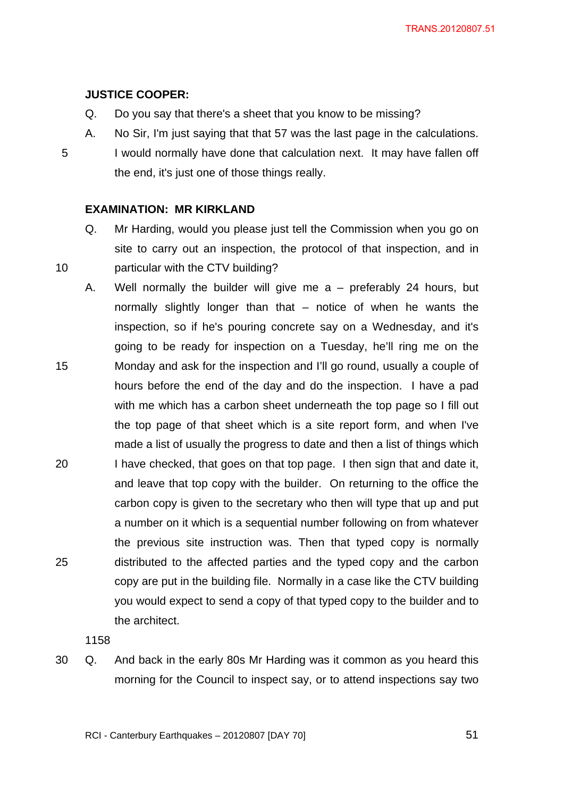# **JUSTICE COOPER:**

- Q. Do you say that there's a sheet that you know to be missing?
- A. No Sir, I'm just saying that that 57 was the last page in the calculations. 5 I would normally have done that calculation next. It may have fallen off the end, it's just one of those things really.

## **EXAMINATION: MR KIRKLAND**

- Q. Mr Harding, would you please just tell the Commission when you go on site to carry out an inspection, the protocol of that inspection, and in 10 particular with the CTV building?
- A. Well normally the builder will give me a preferably 24 hours, but normally slightly longer than that – notice of when he wants the inspection, so if he's pouring concrete say on a Wednesday, and it's going to be ready for inspection on a Tuesday, he'll ring me on the 15 Monday and ask for the inspection and I'll go round, usually a couple of hours before the end of the day and do the inspection. I have a pad with me which has a carbon sheet underneath the top page so I fill out the top page of that sheet which is a site report form, and when I've made a list of usually the progress to date and then a list of things which 20 I have checked, that goes on that top page. I then sign that and date it, and leave that top copy with the builder. On returning to the office the carbon copy is given to the secretary who then will type that up and put a number on it which is a sequential number following on from whatever the previous site instruction was. Then that typed copy is normally 25 distributed to the affected parties and the typed copy and the carbon copy are put in the building file. Normally in a case like the CTV building you would expect to send a copy of that typed copy to the builder and to the architect.

1158

30 Q. And back in the early 80s Mr Harding was it common as you heard this morning for the Council to inspect say, or to attend inspections say two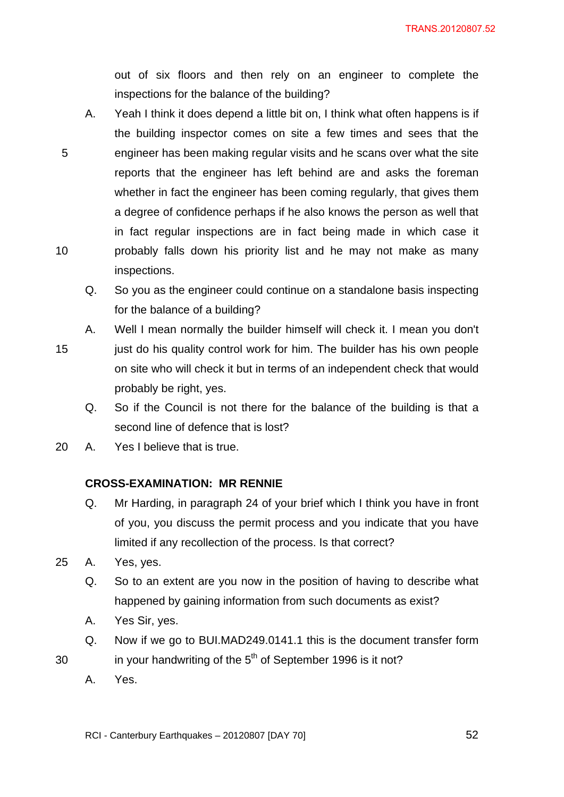out of six floors and then rely on an engineer to complete the inspections for the balance of the building?

- A. Yeah I think it does depend a little bit on, I think what often happens is if the building inspector comes on site a few times and sees that the 5 engineer has been making regular visits and he scans over what the site reports that the engineer has left behind are and asks the foreman whether in fact the engineer has been coming regularly, that gives them a degree of confidence perhaps if he also knows the person as well that in fact regular inspections are in fact being made in which case it 10 probably falls down his priority list and he may not make as many inspections.
	- Q. So you as the engineer could continue on a standalone basis inspecting for the balance of a building?
	- A. Well I mean normally the builder himself will check it. I mean you don't
- 15 just do his quality control work for him. The builder has his own people on site who will check it but in terms of an independent check that would probably be right, yes.
	- Q. So if the Council is not there for the balance of the building is that a second line of defence that is lost?
- 20 A. Yes I believe that is true.

# **CROSS-EXAMINATION: MR RENNIE**

- Q. Mr Harding, in paragraph 24 of your brief which I think you have in front of you, you discuss the permit process and you indicate that you have limited if any recollection of the process. Is that correct?
- 25 A. Yes, yes.
	- Q. So to an extent are you now in the position of having to describe what happened by gaining information from such documents as exist?
	- A. Yes Sir, yes.
	- Q. Now if we go to BUI.MAD249.0141.1 this is the document transfer form
- 30 in your handwriting of the  $5<sup>th</sup>$  of September 1996 is it not?
	- A. Yes.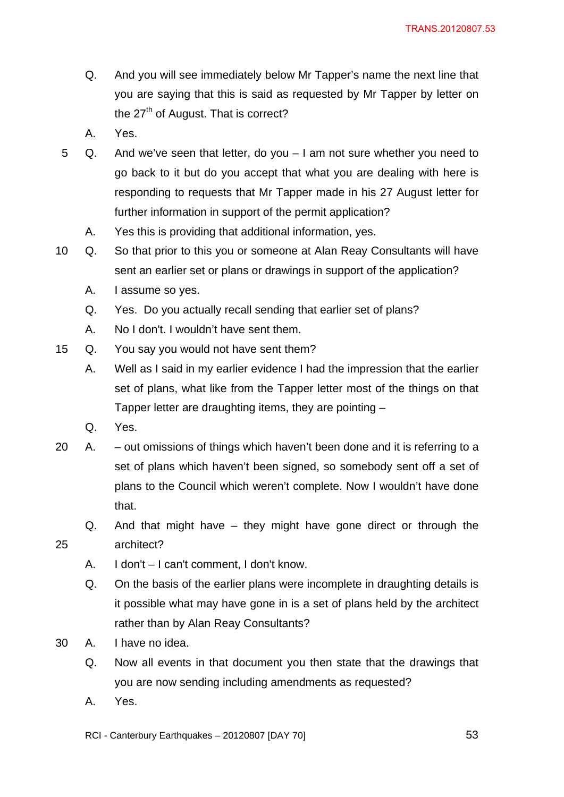- Q. And you will see immediately below Mr Tapper's name the next line that you are saying that this is said as requested by Mr Tapper by letter on the  $27<sup>th</sup>$  of August. That is correct?
- A. Yes.
- 5 Q. And we've seen that letter, do you I am not sure whether you need to go back to it but do you accept that what you are dealing with here is responding to requests that Mr Tapper made in his 27 August letter for further information in support of the permit application?
	- A. Yes this is providing that additional information, yes.
- 10 Q. So that prior to this you or someone at Alan Reay Consultants will have sent an earlier set or plans or drawings in support of the application?
	- A. I assume so yes.
	- Q. Yes. Do you actually recall sending that earlier set of plans?
	- A. No I don't. I wouldn't have sent them.
- 15 Q. You say you would not have sent them?
	- A. Well as I said in my earlier evidence I had the impression that the earlier set of plans, what like from the Tapper letter most of the things on that Tapper letter are draughting items, they are pointing –
	- Q. Yes.
- 20 A. out omissions of things which haven't been done and it is referring to a set of plans which haven't been signed, so somebody sent off a set of plans to the Council which weren't complete. Now I wouldn't have done that.
- Q. And that might have they might have gone direct or through the 25 architect?
	- A. I don't I can't comment, I don't know.
	- Q. On the basis of the earlier plans were incomplete in draughting details is it possible what may have gone in is a set of plans held by the architect rather than by Alan Reay Consultants?
- 30 A. I have no idea.
	- Q. Now all events in that document you then state that the drawings that you are now sending including amendments as requested?
	- A. Yes.

RCI - Canterbury Earthquakes – 20120807 [DAY 70]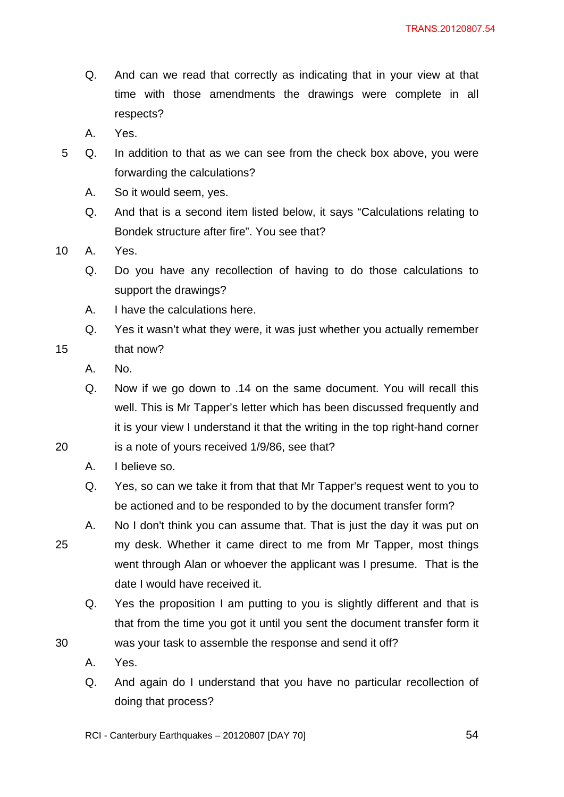- Q. And can we read that correctly as indicating that in your view at that time with those amendments the drawings were complete in all respects?
- A. Yes.
- 5 Q. In addition to that as we can see from the check box above, you were forwarding the calculations?
	- A. So it would seem, yes.
	- Q. And that is a second item listed below, it says "Calculations relating to Bondek structure after fire". You see that?
- 10 A. Yes.
	- Q. Do you have any recollection of having to do those calculations to support the drawings?
	- A. I have the calculations here.
- Q. Yes it wasn't what they were, it was just whether you actually remember 15 that now?
	- A. No.
	- Q. Now if we go down to .14 on the same document. You will recall this well. This is Mr Tapper's letter which has been discussed frequently and it is your view I understand it that the writing in the top right-hand corner
- 20 is a note of yours received 1/9/86, see that?
	- A. I believe so.
	- Q. Yes, so can we take it from that that Mr Tapper's request went to you to be actioned and to be responded to by the document transfer form?
- A. No I don't think you can assume that. That is just the day it was put on 25 my desk. Whether it came direct to me from Mr Tapper, most things went through Alan or whoever the applicant was I presume. That is the date I would have received it.
- Q. Yes the proposition I am putting to you is slightly different and that is that from the time you got it until you sent the document transfer form it 30 was your task to assemble the response and send it off?
	- A. Yes.
	- Q. And again do I understand that you have no particular recollection of doing that process?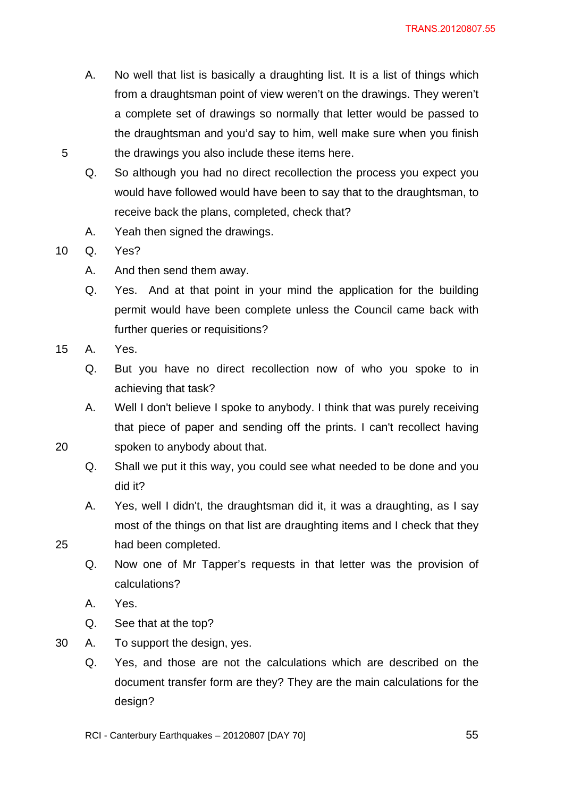- A. No well that list is basically a draughting list. It is a list of things which from a draughtsman point of view weren't on the drawings. They weren't a complete set of drawings so normally that letter would be passed to the draughtsman and you'd say to him, well make sure when you finish 5 the drawings you also include these items here.
	- Q. So although you had no direct recollection the process you expect you would have followed would have been to say that to the draughtsman, to receive back the plans, completed, check that?
	- A. Yeah then signed the drawings.

10 Q. Yes?

- A. And then send them away.
- Q. Yes. And at that point in your mind the application for the building permit would have been complete unless the Council came back with further queries or requisitions?
- 15 A. Yes.
	- Q. But you have no direct recollection now of who you spoke to in achieving that task?
- A. Well I don't believe I spoke to anybody. I think that was purely receiving that piece of paper and sending off the prints. I can't recollect having 20 spoken to anybody about that.
	- Q. Shall we put it this way, you could see what needed to be done and you did it?
- A. Yes, well I didn't, the draughtsman did it, it was a draughting, as I say most of the things on that list are draughting items and I check that they 25 had been completed.
	- Q. Now one of Mr Tapper's requests in that letter was the provision of calculations?
	- A. Yes.
	- Q. See that at the top?
- 30 A. To support the design, yes.
	- Q. Yes, and those are not the calculations which are described on the document transfer form are they? They are the main calculations for the design?
	- RCI Canterbury Earthquakes 20120807 [DAY 70]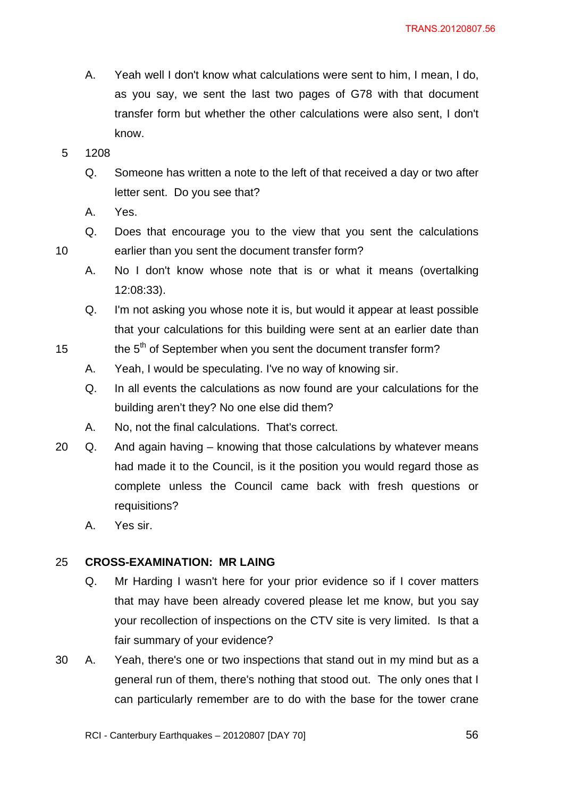- A. Yeah well I don't know what calculations were sent to him, I mean, I do, as you say, we sent the last two pages of G78 with that document transfer form but whether the other calculations were also sent, I don't know.
- 5 1208
	- Q. Someone has written a note to the left of that received a day or two after letter sent. Do you see that?
	- A. Yes.
- Q. Does that encourage you to the view that you sent the calculations 10 earlier than you sent the document transfer form?
	- A. No I don't know whose note that is or what it means (overtalking 12:08:33).
	- Q. I'm not asking you whose note it is, but would it appear at least possible that your calculations for this building were sent at an earlier date than
- 15 the  $5<sup>th</sup>$  of September when you sent the document transfer form?
	- A. Yeah, I would be speculating. I've no way of knowing sir.
	- Q. In all events the calculations as now found are your calculations for the building aren't they? No one else did them?
	- A. No, not the final calculations. That's correct.
- 20 Q. And again having knowing that those calculations by whatever means had made it to the Council, is it the position you would regard those as complete unless the Council came back with fresh questions or requisitions?
	- A. Yes sir.

#### 25 **CROSS-EXAMINATION: MR LAING**

- Q. Mr Harding I wasn't here for your prior evidence so if I cover matters that may have been already covered please let me know, but you say your recollection of inspections on the CTV site is very limited. Is that a fair summary of your evidence?
- 30 A. Yeah, there's one or two inspections that stand out in my mind but as a general run of them, there's nothing that stood out. The only ones that I can particularly remember are to do with the base for the tower crane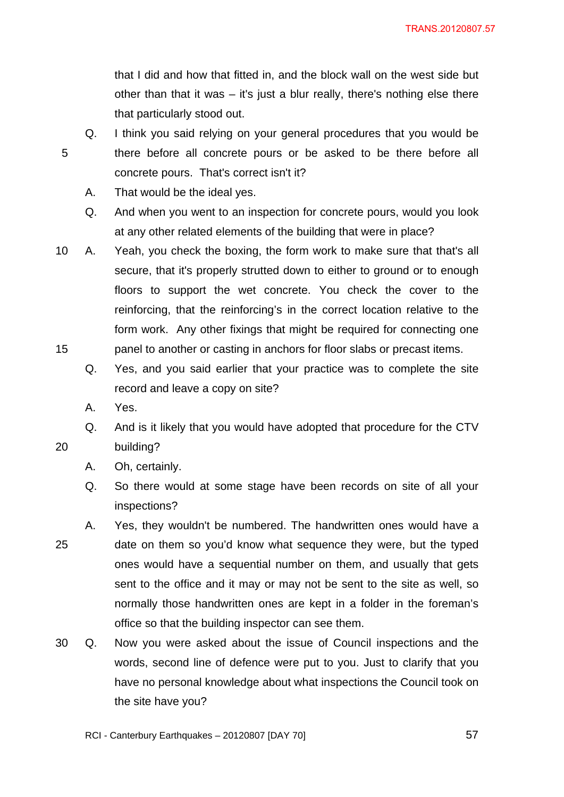that I did and how that fitted in, and the block wall on the west side but other than that it was – it's just a blur really, there's nothing else there that particularly stood out.

- Q. I think you said relying on your general procedures that you would be 5 there before all concrete pours or be asked to be there before all concrete pours. That's correct isn't it?
	- A. That would be the ideal yes.
	- Q. And when you went to an inspection for concrete pours, would you look at any other related elements of the building that were in place?
- 10 A. Yeah, you check the boxing, the form work to make sure that that's all secure, that it's properly strutted down to either to ground or to enough floors to support the wet concrete. You check the cover to the reinforcing, that the reinforcing's in the correct location relative to the form work. Any other fixings that might be required for connecting one 15 panel to another or casting in anchors for floor slabs or precast items.
	- Q. Yes, and you said earlier that your practice was to complete the site record and leave a copy on site?
	- A. Yes.
- Q. And is it likely that you would have adopted that procedure for the CTV 20 building?
	- A. Oh, certainly.
	- Q. So there would at some stage have been records on site of all your inspections?
- A. Yes, they wouldn't be numbered. The handwritten ones would have a 25 date on them so you'd know what sequence they were, but the typed ones would have a sequential number on them, and usually that gets sent to the office and it may or may not be sent to the site as well, so normally those handwritten ones are kept in a folder in the foreman's office so that the building inspector can see them.
- 30 Q. Now you were asked about the issue of Council inspections and the words, second line of defence were put to you. Just to clarify that you have no personal knowledge about what inspections the Council took on the site have you?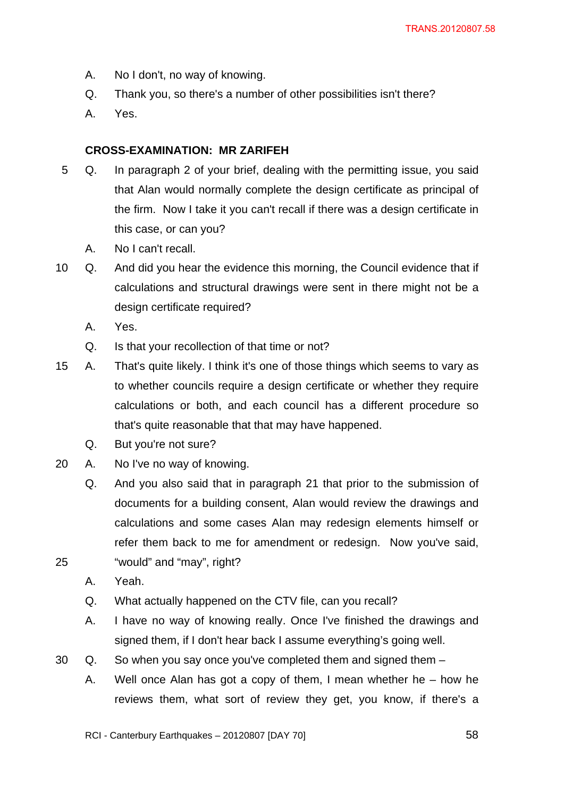- A. No I don't, no way of knowing.
- Q. Thank you, so there's a number of other possibilities isn't there?
- A. Yes.

### **CROSS-EXAMINATION: MR ZARIFEH**

- 5 Q. In paragraph 2 of your brief, dealing with the permitting issue, you said that Alan would normally complete the design certificate as principal of the firm. Now I take it you can't recall if there was a design certificate in this case, or can you?
	- A. No I can't recall.
- 10 Q. And did you hear the evidence this morning, the Council evidence that if calculations and structural drawings were sent in there might not be a design certificate required?
	- A. Yes.
	- Q. Is that your recollection of that time or not?
- 15 A. That's quite likely. I think it's one of those things which seems to vary as to whether councils require a design certificate or whether they require calculations or both, and each council has a different procedure so that's quite reasonable that that may have happened.
	- Q. But you're not sure?
- 20 A. No I've no way of knowing.
- Q. And you also said that in paragraph 21 that prior to the submission of documents for a building consent, Alan would review the drawings and calculations and some cases Alan may redesign elements himself or refer them back to me for amendment or redesign. Now you've said, 25 "would" and "may", right?
	- A. Yeah.
	- Q. What actually happened on the CTV file, can you recall?
	- A. I have no way of knowing really. Once I've finished the drawings and signed them, if I don't hear back I assume everything's going well.
- 30 Q. So when you say once you've completed them and signed them
	- A. Well once Alan has got a copy of them, I mean whether he how he reviews them, what sort of review they get, you know, if there's a

RCI - Canterbury Earthquakes – 20120807 [DAY 70]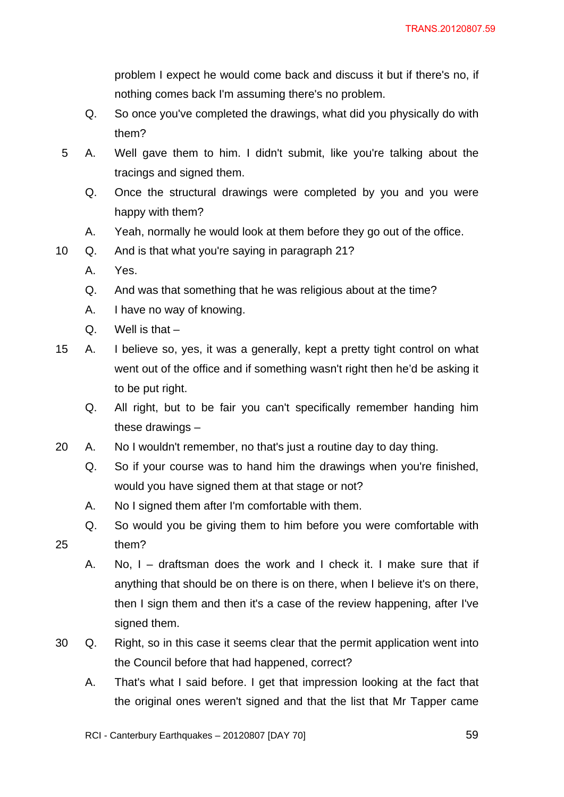problem I expect he would come back and discuss it but if there's no, if nothing comes back I'm assuming there's no problem.

- Q. So once you've completed the drawings, what did you physically do with them?
- 5 A. Well gave them to him. I didn't submit, like you're talking about the tracings and signed them.
	- Q. Once the structural drawings were completed by you and you were happy with them?
	- A. Yeah, normally he would look at them before they go out of the office.
- 10 Q. And is that what you're saying in paragraph 21?
	- A. Yes.
	- Q. And was that something that he was religious about at the time?
	- A. I have no way of knowing.
	- $Q.$  Well is that  $-$
- 15 A. I believe so, yes, it was a generally, kept a pretty tight control on what went out of the office and if something wasn't right then he'd be asking it to be put right.
	- Q. All right, but to be fair you can't specifically remember handing him these drawings –
- 20 A. No I wouldn't remember, no that's just a routine day to day thing.
	- Q. So if your course was to hand him the drawings when you're finished, would you have signed them at that stage or not?
	- A. No I signed them after I'm comfortable with them.
- Q. So would you be giving them to him before you were comfortable with 25 them?
	- A. No, I draftsman does the work and I check it. I make sure that if anything that should be on there is on there, when I believe it's on there, then I sign them and then it's a case of the review happening, after I've signed them.
- 30 Q. Right, so in this case it seems clear that the permit application went into the Council before that had happened, correct?
	- A. That's what I said before. I get that impression looking at the fact that the original ones weren't signed and that the list that Mr Tapper came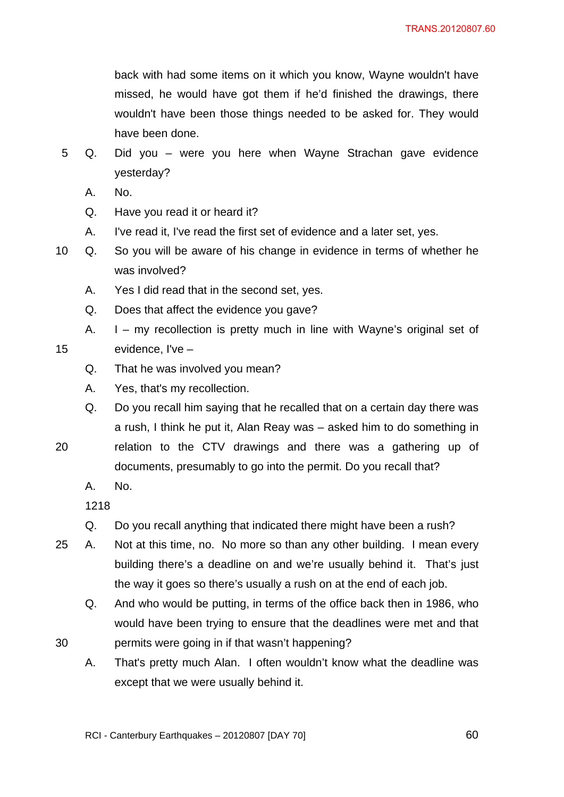back with had some items on it which you know, Wayne wouldn't have missed, he would have got them if he'd finished the drawings, there wouldn't have been those things needed to be asked for. They would have been done.

- 5 Q. Did you were you here when Wayne Strachan gave evidence yesterday?
	- A. No.
	- Q. Have you read it or heard it?
	- A. I've read it, I've read the first set of evidence and a later set, yes.
- 10 Q. So you will be aware of his change in evidence in terms of whether he was involved?
	- A. Yes I did read that in the second set, yes.
	- Q. Does that affect the evidence you gave?
- A. I my recollection is pretty much in line with Wayne's original set of 15 evidence, I've –
	- Q. That he was involved you mean?
	- A. Yes, that's my recollection.
- Q. Do you recall him saying that he recalled that on a certain day there was a rush, I think he put it, Alan Reay was – asked him to do something in 20 relation to the CTV drawings and there was a gathering up of
- 
- documents, presumably to go into the permit. Do you recall that?

A. No.

1218

- Q. Do you recall anything that indicated there might have been a rush?
- 25 A. Not at this time, no. No more so than any other building. I mean every building there's a deadline on and we're usually behind it. That's just the way it goes so there's usually a rush on at the end of each job.
- Q. And who would be putting, in terms of the office back then in 1986, who would have been trying to ensure that the deadlines were met and that 30 permits were going in if that wasn't happening?
	- A. That's pretty much Alan. I often wouldn't know what the deadline was except that we were usually behind it.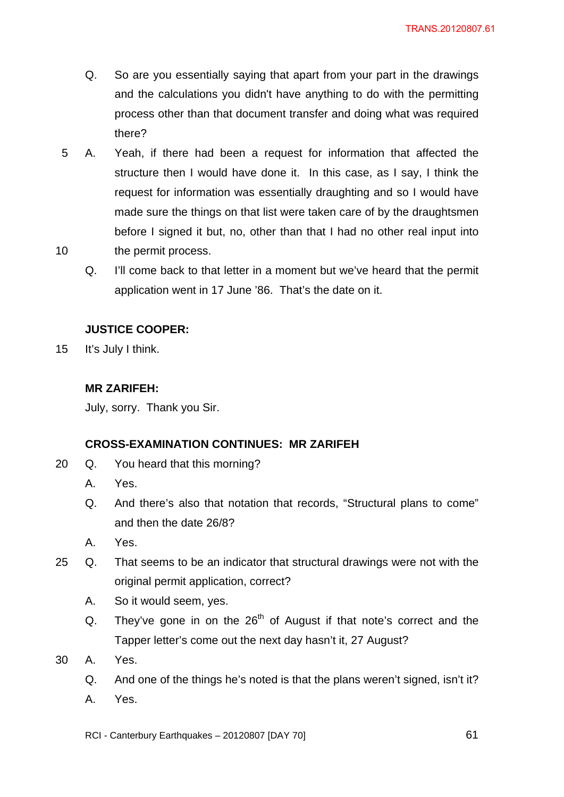- Q. So are you essentially saying that apart from your part in the drawings and the calculations you didn't have anything to do with the permitting process other than that document transfer and doing what was required there?
- 5 A. Yeah, if there had been a request for information that affected the structure then I would have done it. In this case, as I say, I think the request for information was essentially draughting and so I would have made sure the things on that list were taken care of by the draughtsmen before I signed it but, no, other than that I had no other real input into 10 the permit process.
	- Q. I'll come back to that letter in a moment but we've heard that the permit application went in 17 June '86. That's the date on it.

# **JUSTICE COOPER:**

15 It's July I think.

# **MR ZARIFEH:**

July, sorry. Thank you Sir.

## **CROSS-EXAMINATION CONTINUES: MR ZARIFEH**

- 20 Q. You heard that this morning?
	- A. Yes.
	- Q. And there's also that notation that records, "Structural plans to come" and then the date 26/8?
	- A. Yes.
- 25 Q. That seems to be an indicator that structural drawings were not with the original permit application, correct?
	- A. So it would seem, yes.
	- Q. They've gone in on the  $26<sup>th</sup>$  of August if that note's correct and the Tapper letter's come out the next day hasn't it, 27 August?
- 30 A. Yes.
	- Q. And one of the things he's noted is that the plans weren't signed, isn't it?
	- A. Yes.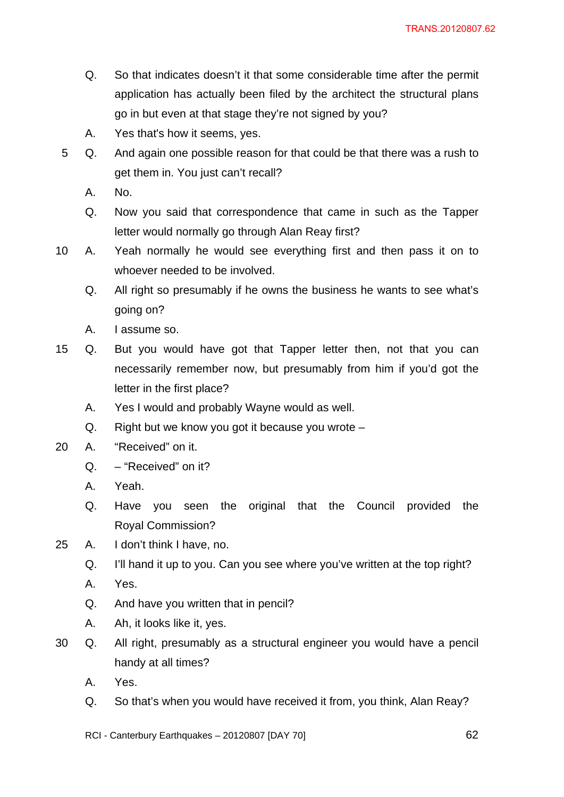- Q. So that indicates doesn't it that some considerable time after the permit application has actually been filed by the architect the structural plans go in but even at that stage they're not signed by you?
- A. Yes that's how it seems, yes.
- 5 Q. And again one possible reason for that could be that there was a rush to get them in. You just can't recall?
	- A. No.
	- Q. Now you said that correspondence that came in such as the Tapper letter would normally go through Alan Reay first?
- 10 A. Yeah normally he would see everything first and then pass it on to whoever needed to be involved.
	- Q. All right so presumably if he owns the business he wants to see what's going on?
	- A. I assume so.
- 15 Q. But you would have got that Tapper letter then, not that you can necessarily remember now, but presumably from him if you'd got the letter in the first place?
	- A. Yes I would and probably Wayne would as well.
	- Q. Right but we know you got it because you wrote –
- 20 A. "Received" on it.
	- Q. "Received" on it?
	- A. Yeah.
	- Q. Have you seen the original that the Council provided the Royal Commission?
- 25 A. I don't think I have, no.
	- Q. I'll hand it up to you. Can you see where you've written at the top right?
	- A. Yes.
	- Q. And have you written that in pencil?
	- A. Ah, it looks like it, yes.
- 30 Q. All right, presumably as a structural engineer you would have a pencil handy at all times?
	- A. Yes.
	- Q. So that's when you would have received it from, you think, Alan Reay?
	- RCI Canterbury Earthquakes 20120807 [DAY 70]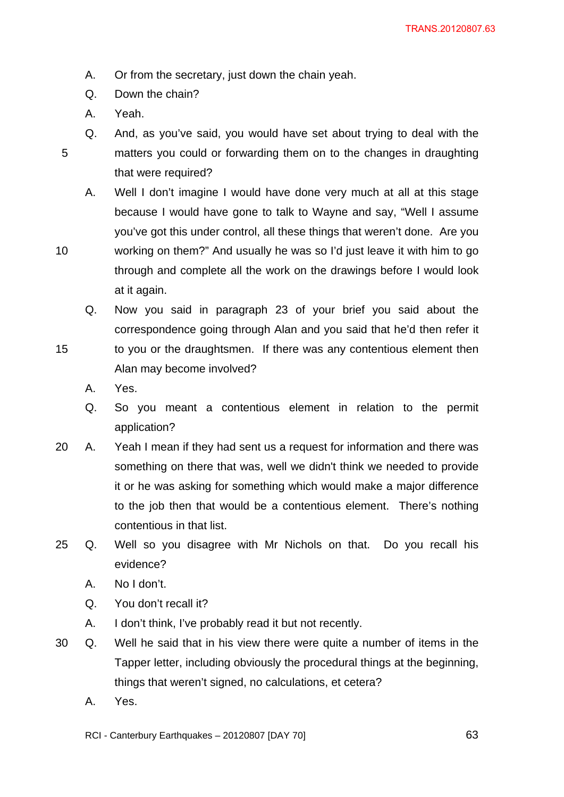- A. Or from the secretary, just down the chain yeah.
- Q. Down the chain?
- A. Yeah.

Q. And, as you've said, you would have set about trying to deal with the 5 matters you could or forwarding them on to the changes in draughting that were required?

A. Well I don't imagine I would have done very much at all at this stage because I would have gone to talk to Wayne and say, "Well I assume you've got this under control, all these things that weren't done. Are you

10 working on them?" And usually he was so I'd just leave it with him to go through and complete all the work on the drawings before I would look at it again.

Q. Now you said in paragraph 23 of your brief you said about the correspondence going through Alan and you said that he'd then refer it

- 15 to you or the draughtsmen. If there was any contentious element then Alan may become involved?
	- A. Yes.
	- Q. So you meant a contentious element in relation to the permit application?
- 20 A. Yeah I mean if they had sent us a request for information and there was something on there that was, well we didn't think we needed to provide it or he was asking for something which would make a major difference to the job then that would be a contentious element. There's nothing contentious in that list.
- 25 Q. Well so you disagree with Mr Nichols on that. Do you recall his evidence?
	- A. No I don't.
	- Q. You don't recall it?
	- A. I don't think, I've probably read it but not recently.
- 30 Q. Well he said that in his view there were quite a number of items in the Tapper letter, including obviously the procedural things at the beginning, things that weren't signed, no calculations, et cetera?
	- A. Yes.

RCI - Canterbury Earthquakes – 20120807 [DAY 70]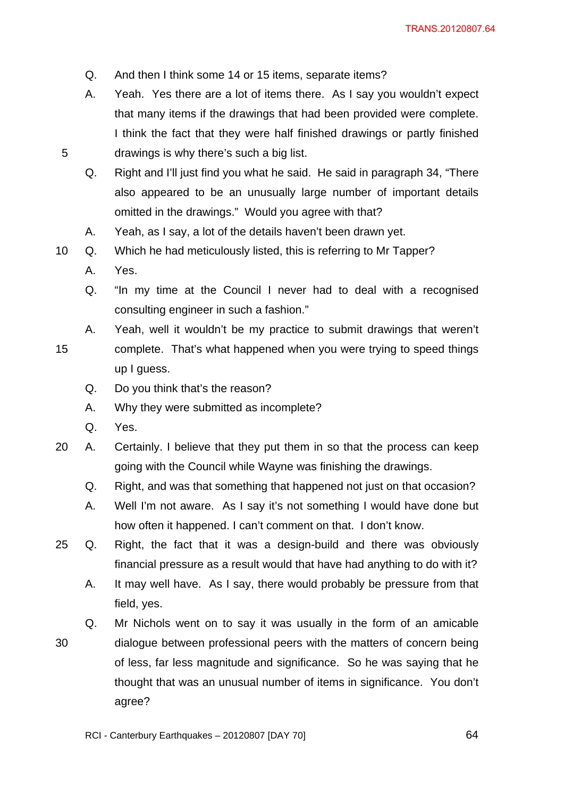- Q. And then I think some 14 or 15 items, separate items?
- A. Yeah. Yes there are a lot of items there. As I say you wouldn't expect that many items if the drawings that had been provided were complete. I think the fact that they were half finished drawings or partly finished 5 drawings is why there's such a big list.
	- Q. Right and I'll just find you what he said. He said in paragraph 34, "There also appeared to be an unusually large number of important details omitted in the drawings." Would you agree with that?
	- A. Yeah, as I say, a lot of the details haven't been drawn yet.
- 10 Q. Which he had meticulously listed, this is referring to Mr Tapper?
	- A. Yes.
	- Q. "In my time at the Council I never had to deal with a recognised consulting engineer in such a fashion."
	- A. Yeah, well it wouldn't be my practice to submit drawings that weren't
- 15 complete. That's what happened when you were trying to speed things up I guess.
	- Q. Do you think that's the reason?
	- A. Why they were submitted as incomplete?
	- Q. Yes.
- 20 A. Certainly. I believe that they put them in so that the process can keep going with the Council while Wayne was finishing the drawings.
	- Q. Right, and was that something that happened not just on that occasion?
	- A. Well I'm not aware. As I say it's not something I would have done but how often it happened. I can't comment on that. I don't know.
- 25 Q. Right, the fact that it was a design-build and there was obviously financial pressure as a result would that have had anything to do with it?
	- A. It may well have. As I say, there would probably be pressure from that field, yes.
- Q. Mr Nichols went on to say it was usually in the form of an amicable 30 dialogue between professional peers with the matters of concern being of less, far less magnitude and significance. So he was saying that he thought that was an unusual number of items in significance. You don't agree?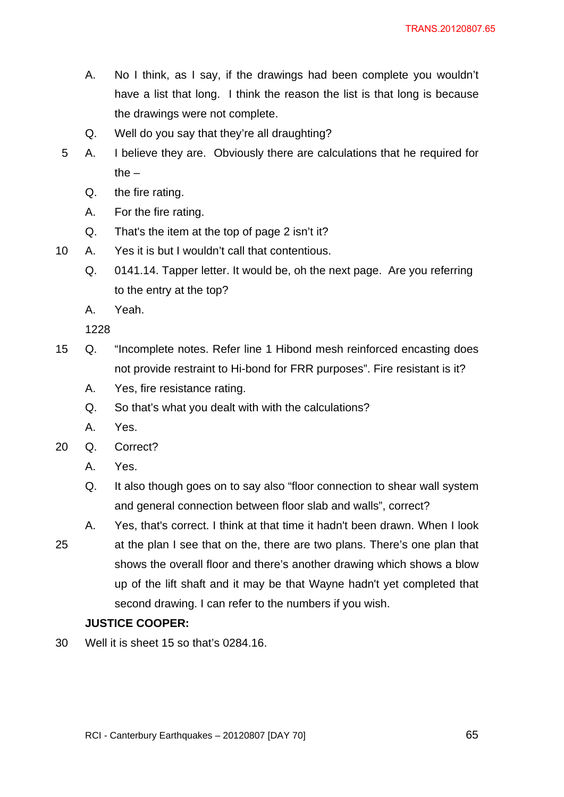- A. No I think, as I say, if the drawings had been complete you wouldn't have a list that long. I think the reason the list is that long is because the drawings were not complete.
- Q. Well do you say that they're all draughting?
- 5 A. I believe they are. Obviously there are calculations that he required for the  $-$ 
	- Q. the fire rating.
	- A. For the fire rating.
	- Q. That's the item at the top of page 2 isn't it?
- 10 A. Yes it is but I wouldn't call that contentious.
	- Q. 0141.14. Tapper letter. It would be, oh the next page. Are you referring to the entry at the top?
	- A. Yeah.

1228

- 15 Q. "Incomplete notes. Refer line 1 Hibond mesh reinforced encasting does not provide restraint to Hi-bond for FRR purposes". Fire resistant is it?
	- A. Yes, fire resistance rating.
	- Q. So that's what you dealt with with the calculations?
	- A. Yes.
- 20 Q. Correct?
	- A. Yes.
	- Q. It also though goes on to say also "floor connection to shear wall system and general connection between floor slab and walls", correct?
- A. Yes, that's correct. I think at that time it hadn't been drawn. When I look 25 at the plan I see that on the, there are two plans. There's one plan that shows the overall floor and there's another drawing which shows a blow
	- up of the lift shaft and it may be that Wayne hadn't yet completed that second drawing. I can refer to the numbers if you wish.

## **JUSTICE COOPER:**

30 Well it is sheet 15 so that's 0284.16.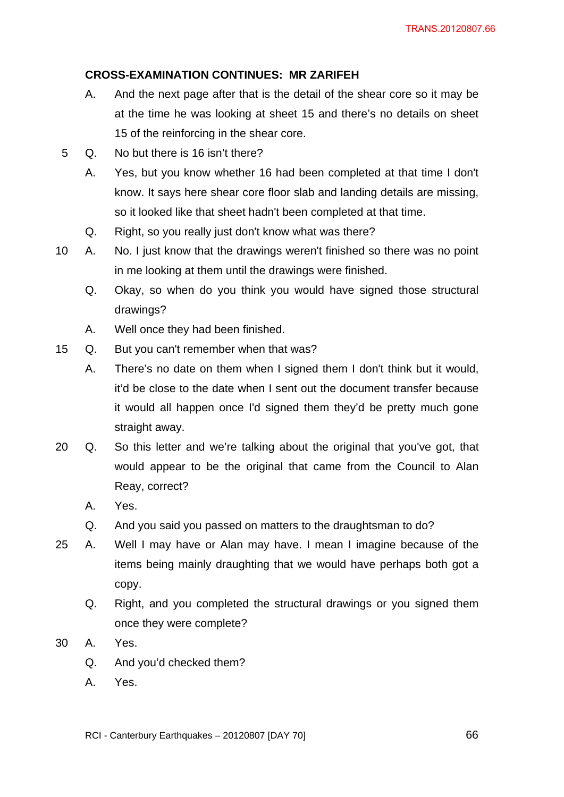# **CROSS-EXAMINATION CONTINUES: MR ZARIFEH**

- A. And the next page after that is the detail of the shear core so it may be at the time he was looking at sheet 15 and there's no details on sheet 15 of the reinforcing in the shear core.
- 5 Q. No but there is 16 isn't there?
	- A. Yes, but you know whether 16 had been completed at that time I don't know. It says here shear core floor slab and landing details are missing, so it looked like that sheet hadn't been completed at that time.
	- Q. Right, so you really just don't know what was there?
- 10 A. No. I just know that the drawings weren't finished so there was no point in me looking at them until the drawings were finished.
	- Q. Okay, so when do you think you would have signed those structural drawings?
	- A. Well once they had been finished.
- 15 Q. But you can't remember when that was?
	- A. There's no date on them when I signed them I don't think but it would, it'd be close to the date when I sent out the document transfer because it would all happen once I'd signed them they'd be pretty much gone straight away.
- 20 Q. So this letter and we're talking about the original that you've got, that would appear to be the original that came from the Council to Alan Reay, correct?
	- A. Yes.
	- Q. And you said you passed on matters to the draughtsman to do?
- 25 A. Well I may have or Alan may have. I mean I imagine because of the items being mainly draughting that we would have perhaps both got a copy.
	- Q. Right, and you completed the structural drawings or you signed them once they were complete?
- 30 A. Yes.
	- Q. And you'd checked them?
	- A. Yes.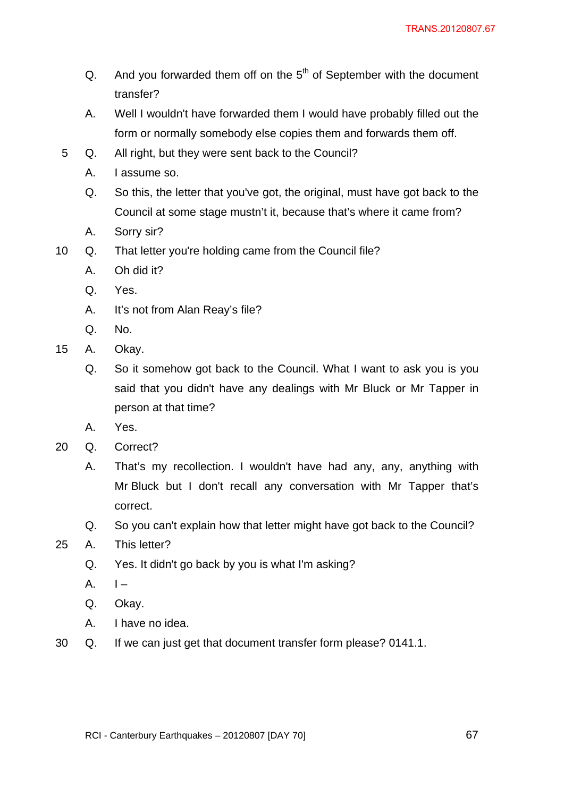- Q. And you forwarded them off on the  $5<sup>th</sup>$  of September with the document transfer?
- A. Well I wouldn't have forwarded them I would have probably filled out the form or normally somebody else copies them and forwards them off.
- 5 Q. All right, but they were sent back to the Council?
	- A. I assume so.
	- Q. So this, the letter that you've got, the original, must have got back to the Council at some stage mustn't it, because that's where it came from?
	- A. Sorry sir?
- 10 Q. That letter you're holding came from the Council file?
	- A. Oh did it?
	- Q. Yes.
	- A. It's not from Alan Reay's file?
	- Q. No.
- 15 A. Okay.
	- Q. So it somehow got back to the Council. What I want to ask you is you said that you didn't have any dealings with Mr Bluck or Mr Tapper in person at that time?
	- A. Yes.
- 20 Q. Correct?
	- A. That's my recollection. I wouldn't have had any, any, anything with Mr Bluck but I don't recall any conversation with Mr Tapper that's correct.
	- Q. So you can't explain how that letter might have got back to the Council?
- 25 A. This letter?
	- Q. Yes. It didn't go back by you is what I'm asking?
	- $A.$   $I -$
	- Q. Okay.
	- A. I have no idea.
- 30 Q. If we can just get that document transfer form please? 0141.1.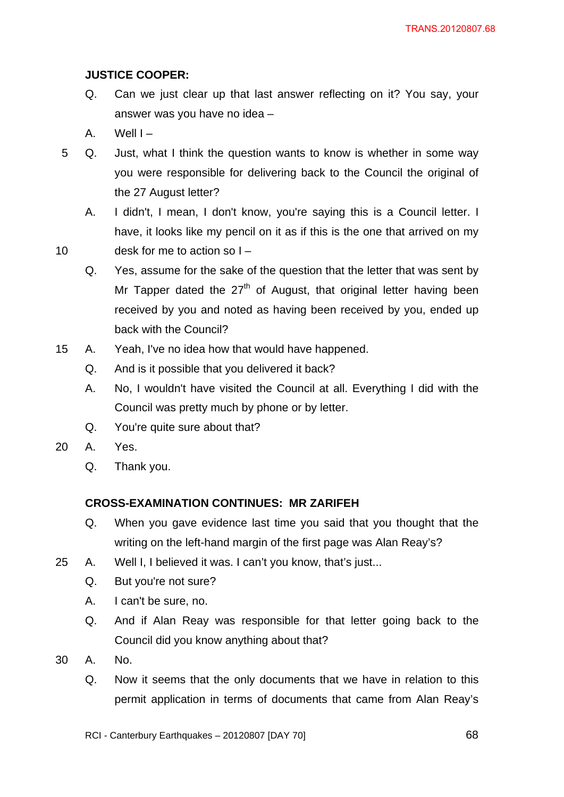# **JUSTICE COOPER:**

- Q. Can we just clear up that last answer reflecting on it? You say, your answer was you have no idea –
- A. Well  $I -$
- 5 Q. Just, what I think the question wants to know is whether in some way you were responsible for delivering back to the Council the original of the 27 August letter?
	- A. I didn't, I mean, I don't know, you're saying this is a Council letter. I have, it looks like my pencil on it as if this is the one that arrived on my
- 10 desk for me to action so I
	- Q. Yes, assume for the sake of the question that the letter that was sent by Mr Tapper dated the  $27<sup>th</sup>$  of August, that original letter having been received by you and noted as having been received by you, ended up back with the Council?
- 15 A. Yeah, I've no idea how that would have happened.
	- Q. And is it possible that you delivered it back?
	- A. No, I wouldn't have visited the Council at all. Everything I did with the Council was pretty much by phone or by letter.
	- Q. You're quite sure about that?
- 20 A. Yes.
	- Q. Thank you.

## **CROSS-EXAMINATION CONTINUES: MR ZARIFEH**

- Q. When you gave evidence last time you said that you thought that the writing on the left-hand margin of the first page was Alan Reay's?
- 25 A. Well I, I believed it was. I can't you know, that's just...
	- Q. But you're not sure?
	- A. I can't be sure, no.
	- Q. And if Alan Reay was responsible for that letter going back to the Council did you know anything about that?
- 30 A. No.
	- Q. Now it seems that the only documents that we have in relation to this permit application in terms of documents that came from Alan Reay's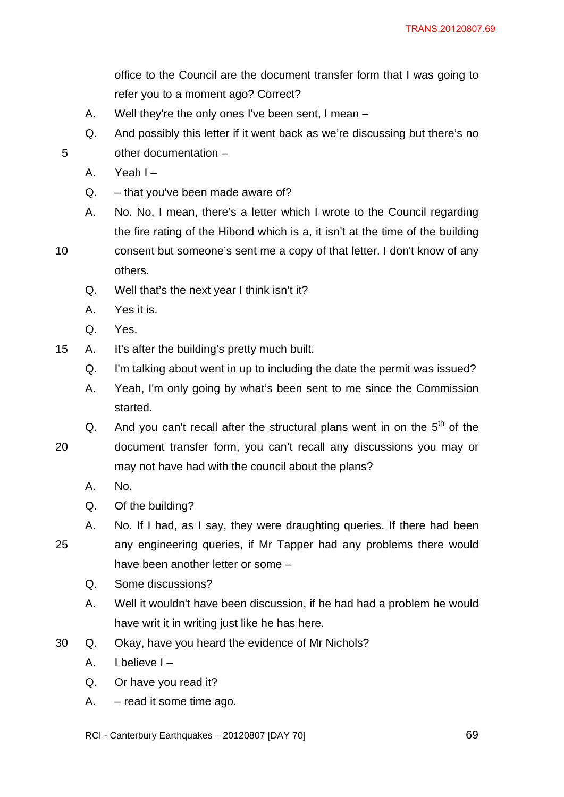office to the Council are the document transfer form that I was going to refer you to a moment ago? Correct?

- A. Well they're the only ones I've been sent, I mean –
- Q. And possibly this letter if it went back as we're discussing but there's no 5 other documentation –
	- A. Yeah I –
	- Q. that you've been made aware of?
	- A. No. No, I mean, there's a letter which I wrote to the Council regarding the fire rating of the Hibond which is a, it isn't at the time of the building
- 10 consent but someone's sent me a copy of that letter. I don't know of any others.
	- Q. Well that's the next year I think isn't it?
	- A. Yes it is.
	- Q. Yes.
- 15 A. It's after the building's pretty much built.
	- Q. I'm talking about went in up to including the date the permit was issued?
	- A. Yeah, I'm only going by what's been sent to me since the Commission started.
	- Q. And you can't recall after the structural plans went in on the  $5<sup>th</sup>$  of the
- 20 document transfer form, you can't recall any discussions you may or may not have had with the council about the plans?
	- A. No.
	- Q. Of the building?
- A. No. If I had, as I say, they were draughting queries. If there had been 25 any engineering queries, if Mr Tapper had any problems there would have been another letter or some –
	- Q. Some discussions?
	- A. Well it wouldn't have been discussion, if he had had a problem he would have writ it in writing just like he has here.
- 30 Q. Okay, have you heard the evidence of Mr Nichols?
	- A. I believe I –
	- Q. Or have you read it?
	- A. read it some time ago.
	- RCI Canterbury Earthquakes 20120807 [DAY 70]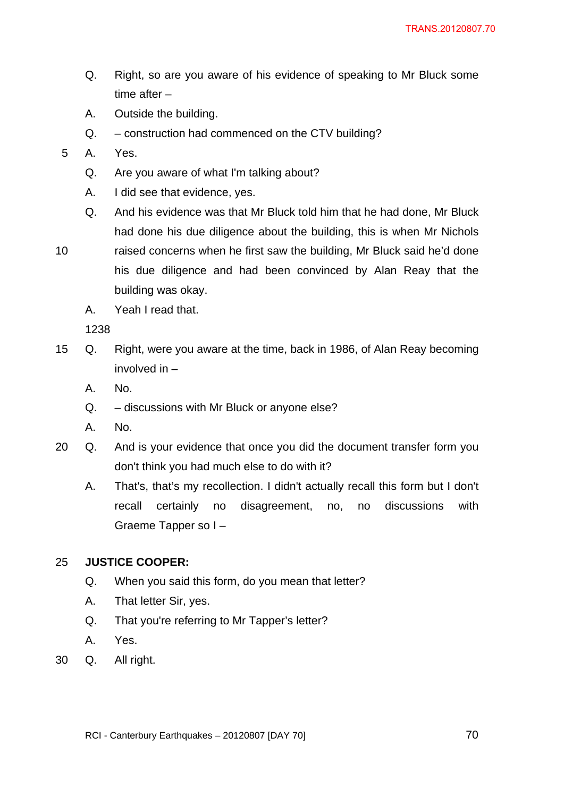- Q. Right, so are you aware of his evidence of speaking to Mr Bluck some time after –
- A. Outside the building.
- Q. construction had commenced on the CTV building?
- 5 A. Yes.
	- Q. Are you aware of what I'm talking about?
	- A. I did see that evidence, yes.
	- Q. And his evidence was that Mr Bluck told him that he had done, Mr Bluck had done his due diligence about the building, this is when Mr Nichols
- 

10 raised concerns when he first saw the building, Mr Bluck said he'd done his due diligence and had been convinced by Alan Reay that the building was okay.

A. Yeah I read that.

1238

- 15 Q. Right, were you aware at the time, back in 1986, of Alan Reay becoming involved in –
	- A. No.
	- Q. discussions with Mr Bluck or anyone else?
	- A. No.
- 20 Q. And is your evidence that once you did the document transfer form you don't think you had much else to do with it?
	- A. That's, that's my recollection. I didn't actually recall this form but I don't recall certainly no disagreement, no, no discussions with Graeme Tapper so I –

## 25 **JUSTICE COOPER:**

- Q. When you said this form, do you mean that letter?
- A. That letter Sir, yes.
- Q. That you're referring to Mr Tapper's letter?
- A. Yes.
- 30 Q. All right.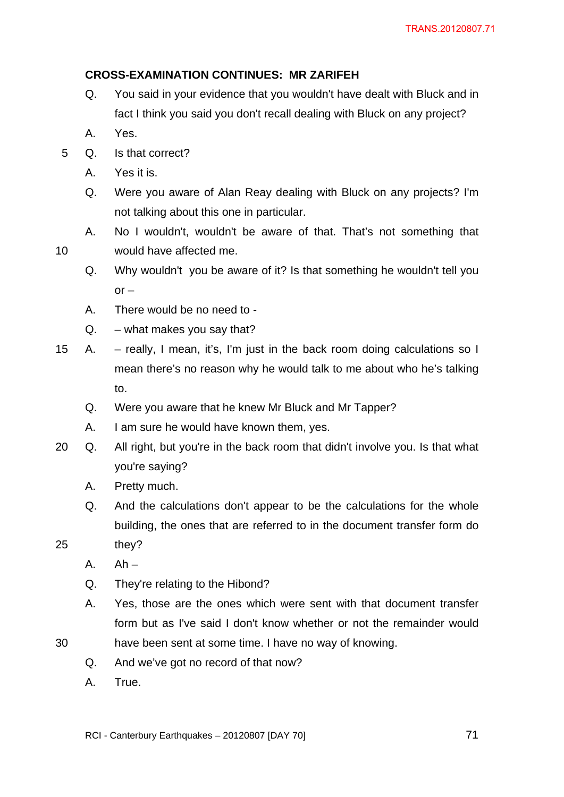# **CROSS-EXAMINATION CONTINUES: MR ZARIFEH**

- Q. You said in your evidence that you wouldn't have dealt with Bluck and in fact I think you said you don't recall dealing with Bluck on any project?
- A. Yes.
- 5 Q. Is that correct?
	- A. Yes it is.
	- Q. Were you aware of Alan Reay dealing with Bluck on any projects? I'm not talking about this one in particular.
- A. No I wouldn't, wouldn't be aware of that. That's not something that 10 would have affected me.
	- Q. Why wouldn't you be aware of it? Is that something he wouldn't tell you  $or -$
	- A. There would be no need to -
	- $Q. -$  what makes you say that?
- 15 A. really, I mean, it's, I'm just in the back room doing calculations so I mean there's no reason why he would talk to me about who he's talking to.
	- Q. Were you aware that he knew Mr Bluck and Mr Tapper?
	- A. I am sure he would have known them, yes.
- 20 Q. All right, but you're in the back room that didn't involve you. Is that what you're saying?
	- A. Pretty much.
	- Q. And the calculations don't appear to be the calculations for the whole building, the ones that are referred to in the document transfer form do
- 25 they?
	- $A.$  Ah –
	- Q. They're relating to the Hibond?
	- A. Yes, those are the ones which were sent with that document transfer form but as I've said I don't know whether or not the remainder would
- 30 have been sent at some time. I have no way of knowing.
	- Q. And we've got no record of that now?
	- A. True.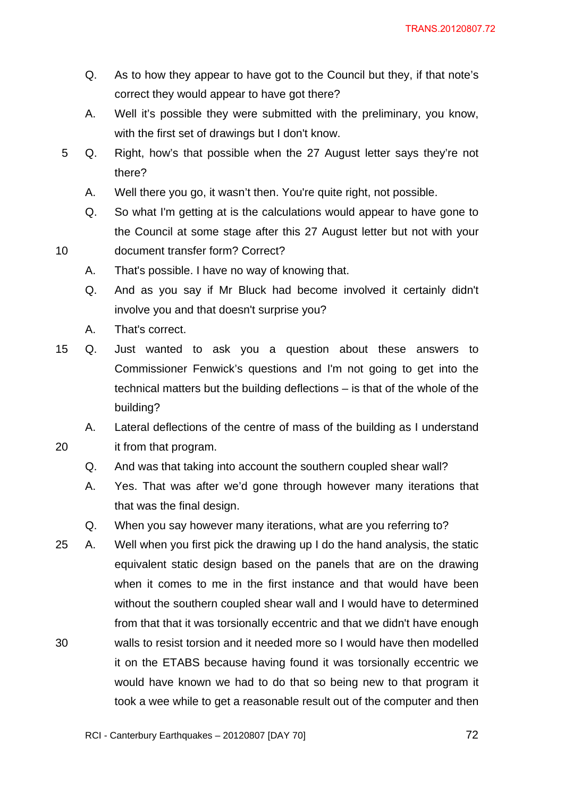- Q. As to how they appear to have got to the Council but they, if that note's correct they would appear to have got there?
- A. Well it's possible they were submitted with the preliminary, you know, with the first set of drawings but I don't know.
- 5 Q. Right, how's that possible when the 27 August letter says they're not there?
	- A. Well there you go, it wasn't then. You're quite right, not possible.
	- Q. So what I'm getting at is the calculations would appear to have gone to the Council at some stage after this 27 August letter but not with your
- 10 document transfer form? Correct?
	- A. That's possible. I have no way of knowing that.
	- Q. And as you say if Mr Bluck had become involved it certainly didn't involve you and that doesn't surprise you?
	- A. That's correct.
- 15 Q. Just wanted to ask you a question about these answers to Commissioner Fenwick's questions and I'm not going to get into the technical matters but the building deflections – is that of the whole of the building?

A. Lateral deflections of the centre of mass of the building as I understand 20 it from that program.

- Q. And was that taking into account the southern coupled shear wall?
- A. Yes. That was after we'd gone through however many iterations that that was the final design.
- Q. When you say however many iterations, what are you referring to?
- 25 A. Well when you first pick the drawing up I do the hand analysis, the static equivalent static design based on the panels that are on the drawing when it comes to me in the first instance and that would have been without the southern coupled shear wall and I would have to determined from that that it was torsionally eccentric and that we didn't have enough 30 walls to resist torsion and it needed more so I would have then modelled it on the ETABS because having found it was torsionally eccentric we would have known we had to do that so being new to that program it took a wee while to get a reasonable result out of the computer and then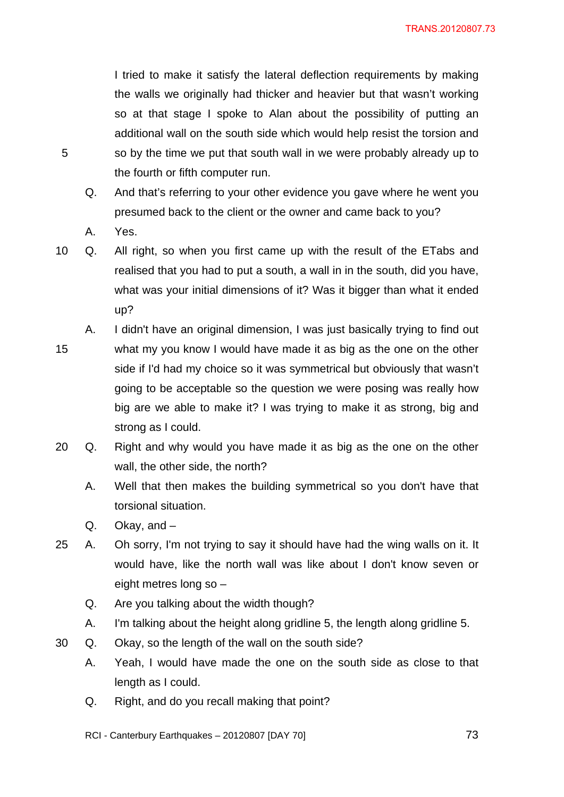I tried to make it satisfy the lateral deflection requirements by making the walls we originally had thicker and heavier but that wasn't working so at that stage I spoke to Alan about the possibility of putting an additional wall on the south side which would help resist the torsion and 5 so by the time we put that south wall in we were probably already up to the fourth or fifth computer run.

- Q. And that's referring to your other evidence you gave where he went you presumed back to the client or the owner and came back to you?
- A. Yes.

10 Q. All right, so when you first came up with the result of the ETabs and realised that you had to put a south, a wall in in the south, did you have, what was your initial dimensions of it? Was it bigger than what it ended up?

- A. I didn't have an original dimension, I was just basically trying to find out
- 15 what my you know I would have made it as big as the one on the other side if I'd had my choice so it was symmetrical but obviously that wasn't going to be acceptable so the question we were posing was really how big are we able to make it? I was trying to make it as strong, big and strong as I could.
- 20 Q. Right and why would you have made it as big as the one on the other wall, the other side, the north?
	- A. Well that then makes the building symmetrical so you don't have that torsional situation.
	- Q. Okay, and –
- 25 A. Oh sorry, I'm not trying to say it should have had the wing walls on it. It would have, like the north wall was like about I don't know seven or eight metres long so –
	- Q. Are you talking about the width though?
	- A. I'm talking about the height along gridline 5, the length along gridline 5.
- 30 Q. Okay, so the length of the wall on the south side?
	- A. Yeah, I would have made the one on the south side as close to that length as I could.
	- Q. Right, and do you recall making that point?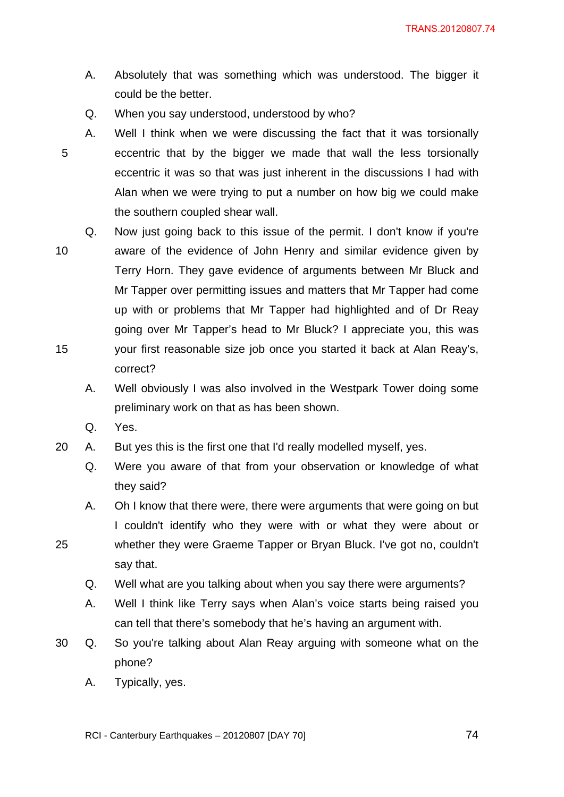- A. Absolutely that was something which was understood. The bigger it could be the better.
- Q. When you say understood, understood by who?
- A. Well I think when we were discussing the fact that it was torsionally 5 eccentric that by the bigger we made that wall the less torsionally eccentric it was so that was just inherent in the discussions I had with Alan when we were trying to put a number on how big we could make the southern coupled shear wall.
- Q. Now just going back to this issue of the permit. I don't know if you're 10 aware of the evidence of John Henry and similar evidence given by Terry Horn. They gave evidence of arguments between Mr Bluck and Mr Tapper over permitting issues and matters that Mr Tapper had come up with or problems that Mr Tapper had highlighted and of Dr Reay going over Mr Tapper's head to Mr Bluck? I appreciate you, this was 15 your first reasonable size job once you started it back at Alan Reay's, correct?
	- A. Well obviously I was also involved in the Westpark Tower doing some preliminary work on that as has been shown.
	- Q. Yes.
- 20 A. But yes this is the first one that I'd really modelled myself, yes.
	- Q. Were you aware of that from your observation or knowledge of what they said?
- A. Oh I know that there were, there were arguments that were going on but I couldn't identify who they were with or what they were about or 25 whether they were Graeme Tapper or Bryan Bluck. I've got no, couldn't say that.
	- Q. Well what are you talking about when you say there were arguments?
	- A. Well I think like Terry says when Alan's voice starts being raised you can tell that there's somebody that he's having an argument with.
- 30 Q. So you're talking about Alan Reay arguing with someone what on the phone?
	- A. Typically, yes.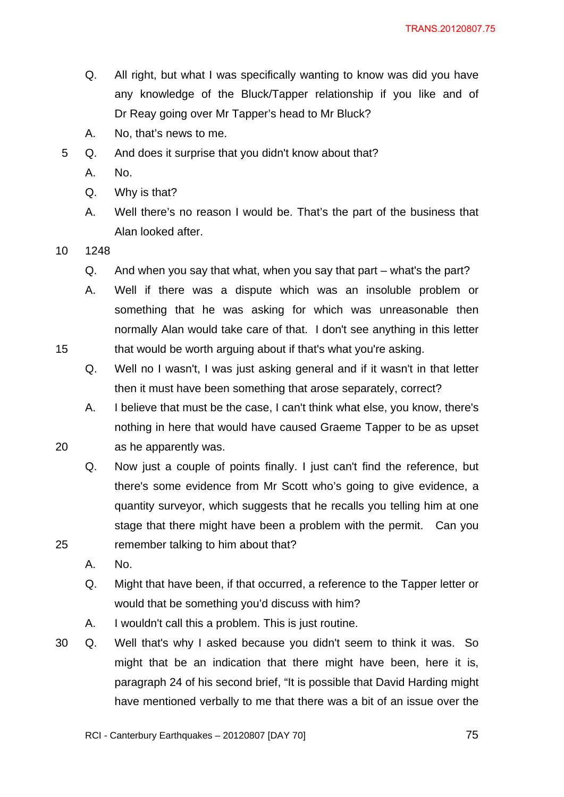- Q. All right, but what I was specifically wanting to know was did you have any knowledge of the Bluck/Tapper relationship if you like and of Dr Reay going over Mr Tapper's head to Mr Bluck?
- A. No, that's news to me.
- 5 Q. And does it surprise that you didn't know about that?
	- A. No.
	- Q. Why is that?
	- A. Well there's no reason I would be. That's the part of the business that Alan looked after.
- 10 1248
	- Q. And when you say that what, when you say that part what's the part?
- A. Well if there was a dispute which was an insoluble problem or something that he was asking for which was unreasonable then normally Alan would take care of that. I don't see anything in this letter 15 that would be worth arguing about if that's what you're asking.
	- Q. Well no I wasn't, I was just asking general and if it wasn't in that letter then it must have been something that arose separately, correct?
- A. I believe that must be the case, I can't think what else, you know, there's nothing in here that would have caused Graeme Tapper to be as upset 20 as he apparently was.
- Q. Now just a couple of points finally. I just can't find the reference, but there's some evidence from Mr Scott who's going to give evidence, a quantity surveyor, which suggests that he recalls you telling him at one stage that there might have been a problem with the permit. Can you 25 remember talking to him about that?
	- A. No.
	- Q. Might that have been, if that occurred, a reference to the Tapper letter or would that be something you'd discuss with him?
	- A. I wouldn't call this a problem. This is just routine.
- 30 Q. Well that's why I asked because you didn't seem to think it was. So might that be an indication that there might have been, here it is, paragraph 24 of his second brief, "It is possible that David Harding might have mentioned verbally to me that there was a bit of an issue over the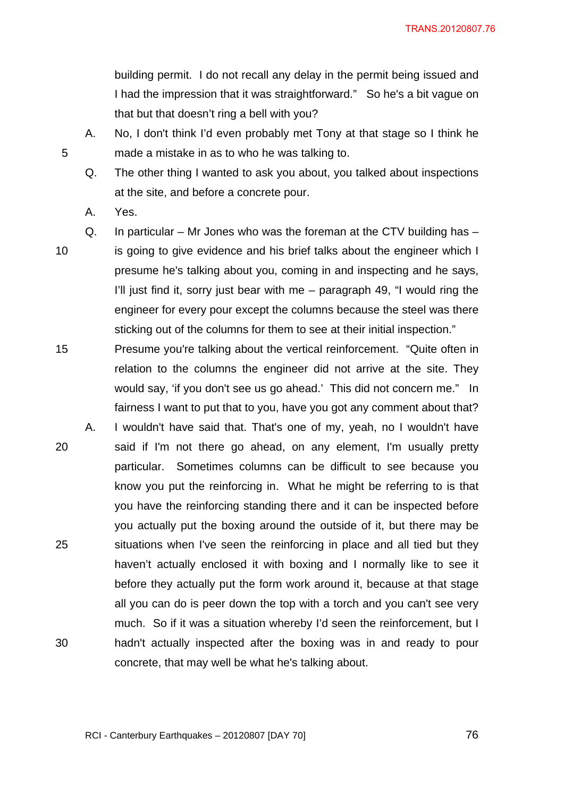building permit. I do not recall any delay in the permit being issued and I had the impression that it was straightforward." So he's a bit vague on that but that doesn't ring a bell with you?

A. No, I don't think I'd even probably met Tony at that stage so I think he 5 made a mistake in as to who he was talking to.

Q. The other thing I wanted to ask you about, you talked about inspections at the site, and before a concrete pour.

- A. Yes.
- 

Q. In particular – Mr Jones who was the foreman at the CTV building has – 10 is going to give evidence and his brief talks about the engineer which I presume he's talking about you, coming in and inspecting and he says, I'll just find it, sorry just bear with me – paragraph 49, "I would ring the engineer for every pour except the columns because the steel was there sticking out of the columns for them to see at their initial inspection."

- 15 Presume you're talking about the vertical reinforcement. "Quite often in relation to the columns the engineer did not arrive at the site. They would say, 'if you don't see us go ahead.' This did not concern me." In fairness I want to put that to you, have you got any comment about that?
- A. I wouldn't have said that. That's one of my, yeah, no I wouldn't have 20 said if I'm not there go ahead, on any element, I'm usually pretty particular. Sometimes columns can be difficult to see because you know you put the reinforcing in. What he might be referring to is that you have the reinforcing standing there and it can be inspected before you actually put the boxing around the outside of it, but there may be 25 situations when I've seen the reinforcing in place and all tied but they haven't actually enclosed it with boxing and I normally like to see it before they actually put the form work around it, because at that stage all you can do is peer down the top with a torch and you can't see very much. So if it was a situation whereby I'd seen the reinforcement, but I 30 hadn't actually inspected after the boxing was in and ready to pour concrete, that may well be what he's talking about.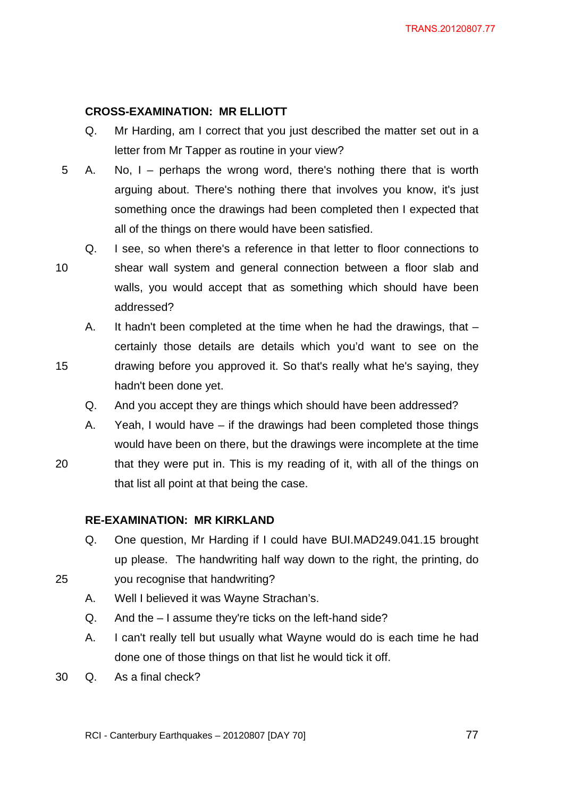# **CROSS-EXAMINATION: MR ELLIOTT**

- Q. Mr Harding, am I correct that you just described the matter set out in a letter from Mr Tapper as routine in your view?
- 5 A. No, I perhaps the wrong word, there's nothing there that is worth arguing about. There's nothing there that involves you know, it's just something once the drawings had been completed then I expected that all of the things on there would have been satisfied.
- Q. I see, so when there's a reference in that letter to floor connections to 10 shear wall system and general connection between a floor slab and walls, you would accept that as something which should have been addressed?
- A. It hadn't been completed at the time when he had the drawings, that certainly those details are details which you'd want to see on the 15 drawing before you approved it. So that's really what he's saying, they hadn't been done yet.
	- Q. And you accept they are things which should have been addressed?
	- A. Yeah, I would have if the drawings had been completed those things would have been on there, but the drawings were incomplete at the time
- 20 that they were put in. This is my reading of it, with all of the things on that list all point at that being the case.

# **RE-EXAMINATION: MR KIRKLAND**

- Q. One question, Mr Harding if I could have BUI.MAD249.041.15 brought up please. The handwriting half way down to the right, the printing, do 25 you recognise that handwriting?
	- A. Well I believed it was Wayne Strachan's.
	- Q. And the I assume they're ticks on the left-hand side?
	- A. I can't really tell but usually what Wayne would do is each time he had done one of those things on that list he would tick it off.
- 30 Q. As a final check?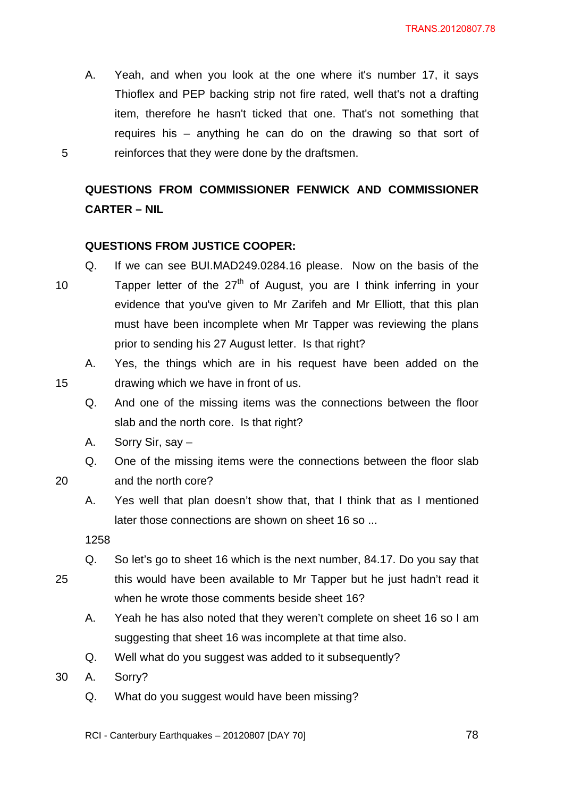A. Yeah, and when you look at the one where it's number 17, it says Thioflex and PEP backing strip not fire rated, well that's not a drafting item, therefore he hasn't ticked that one. That's not something that requires his – anything he can do on the drawing so that sort of 5 reinforces that they were done by the draftsmen.

# **QUESTIONS FROM COMMISSIONER FENWICK AND COMMISSIONER CARTER – NIL**

# **QUESTIONS FROM JUSTICE COOPER:**

- Q. If we can see BUI.MAD249.0284.16 please. Now on the basis of the 10 Tapper letter of the  $27<sup>th</sup>$  of August, you are I think inferring in your evidence that you've given to Mr Zarifeh and Mr Elliott, that this plan must have been incomplete when Mr Tapper was reviewing the plans prior to sending his 27 August letter. Is that right?
- A. Yes, the things which are in his request have been added on the 15 drawing which we have in front of us.
	- Q. And one of the missing items was the connections between the floor slab and the north core. Is that right?
	- A. Sorry Sir, say –
	- Q. One of the missing items were the connections between the floor slab

20 and the north core?

A. Yes well that plan doesn't show that, that I think that as I mentioned

later those connections are shown on sheet 16 so ...

1258

- Q. So let's go to sheet 16 which is the next number, 84.17. Do you say that 25 this would have been available to Mr Tapper but he just hadn't read it when he wrote those comments beside sheet 16?
	- A. Yeah he has also noted that they weren't complete on sheet 16 so I am suggesting that sheet 16 was incomplete at that time also.
	- Q. Well what do you suggest was added to it subsequently?

30 A. Sorry?

- Q. What do you suggest would have been missing?
- RCI Canterbury Earthquakes 20120807 [DAY 70]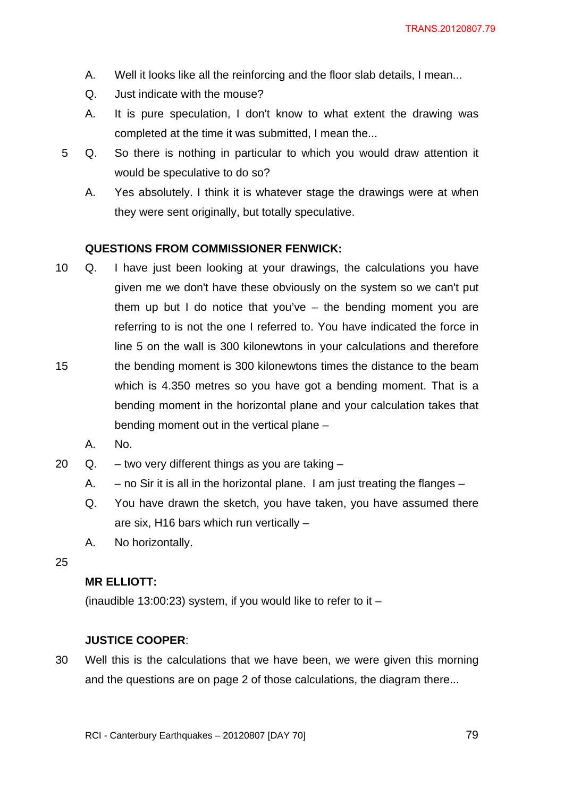- A. Well it looks like all the reinforcing and the floor slab details, I mean...
- Q. Just indicate with the mouse?
- A. It is pure speculation, I don't know to what extent the drawing was completed at the time it was submitted, I mean the...
- 5 Q. So there is nothing in particular to which you would draw attention it would be speculative to do so?
	- A. Yes absolutely. I think it is whatever stage the drawings were at when they were sent originally, but totally speculative.

#### **QUESTIONS FROM COMMISSIONER FENWICK:**

- 10 Q. I have just been looking at your drawings, the calculations you have given me we don't have these obviously on the system so we can't put them up but I do notice that you've – the bending moment you are referring to is not the one I referred to. You have indicated the force in line 5 on the wall is 300 kilonewtons in your calculations and therefore 15 the bending moment is 300 kilonewtons times the distance to the beam which is 4.350 metres so you have got a bending moment. That is a bending moment in the horizontal plane and your calculation takes that
	- A. No.
- 20  $Q. -$  two very different things as you are taking  $-$

bending moment out in the vertical plane –

- A.  $-$  no Sir it is all in the horizontal plane. I am just treating the flanges  $-$
- Q. You have drawn the sketch, you have taken, you have assumed there are six, H16 bars which run vertically –
- A. No horizontally.

#### 25

## **MR ELLIOTT:**

(inaudible 13:00:23) system, if you would like to refer to it  $-$ 

#### **JUSTICE COOPER**:

30 Well this is the calculations that we have been, we were given this morning and the questions are on page 2 of those calculations, the diagram there...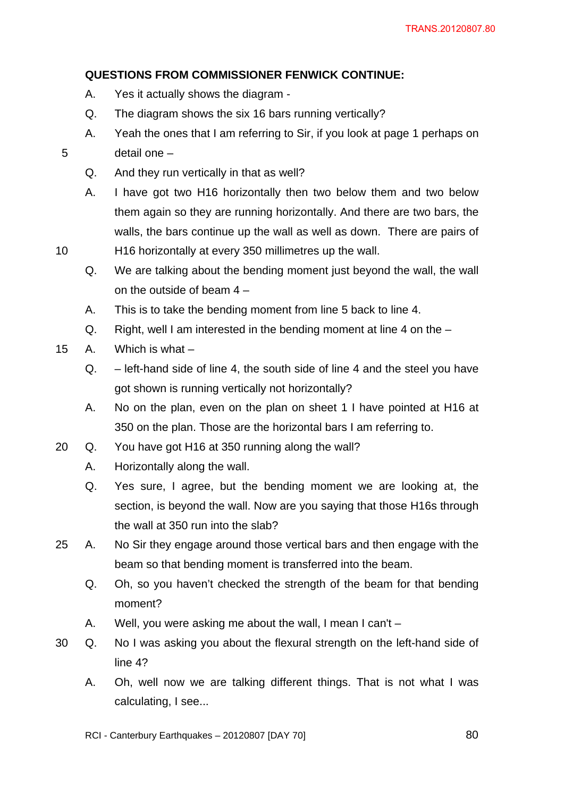# **QUESTIONS FROM COMMISSIONER FENWICK CONTINUE:**

- A. Yes it actually shows the diagram -
- Q. The diagram shows the six 16 bars running vertically?
- A. Yeah the ones that I am referring to Sir, if you look at page 1 perhaps on 5 detail one –
	- Q. And they run vertically in that as well?
- A. I have got two H16 horizontally then two below them and two below them again so they are running horizontally. And there are two bars, the walls, the bars continue up the wall as well as down. There are pairs of 10 H16 horizontally at every 350 millimetres up the wall.
	- Q. We are talking about the bending moment just beyond the wall, the wall on the outside of beam 4 –
	- A. This is to take the bending moment from line 5 back to line 4.
	- Q. Right, well I am interested in the bending moment at line 4 on the –
- 15 A. Which is what
	- Q. left-hand side of line 4, the south side of line 4 and the steel you have got shown is running vertically not horizontally?
	- A. No on the plan, even on the plan on sheet 1 I have pointed at H16 at 350 on the plan. Those are the horizontal bars I am referring to.
- 20 Q. You have got H16 at 350 running along the wall?
	- A. Horizontally along the wall.
	- Q. Yes sure, I agree, but the bending moment we are looking at, the section, is beyond the wall. Now are you saying that those H16s through the wall at 350 run into the slab?
- 25 A. No Sir they engage around those vertical bars and then engage with the beam so that bending moment is transferred into the beam.
	- Q. Oh, so you haven't checked the strength of the beam for that bending moment?
	- A. Well, you were asking me about the wall, I mean I can't –
- 30 Q. No I was asking you about the flexural strength on the left-hand side of line 4?
	- A. Oh, well now we are talking different things. That is not what I was calculating, I see...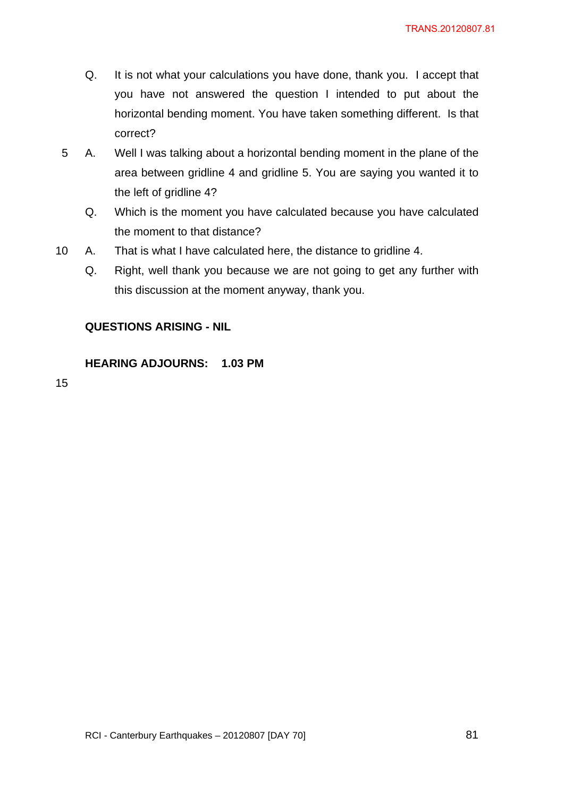- Q. It is not what your calculations you have done, thank you. I accept that you have not answered the question I intended to put about the horizontal bending moment. You have taken something different. Is that correct?
- 5 A. Well I was talking about a horizontal bending moment in the plane of the area between gridline 4 and gridline 5. You are saying you wanted it to the left of gridline 4?
	- Q. Which is the moment you have calculated because you have calculated the moment to that distance?
- 10 A. That is what I have calculated here, the distance to gridline 4.
	- Q. Right, well thank you because we are not going to get any further with this discussion at the moment anyway, thank you.

# **QUESTIONS ARISING - NIL**

## **HEARING ADJOURNS: 1.03 PM**

15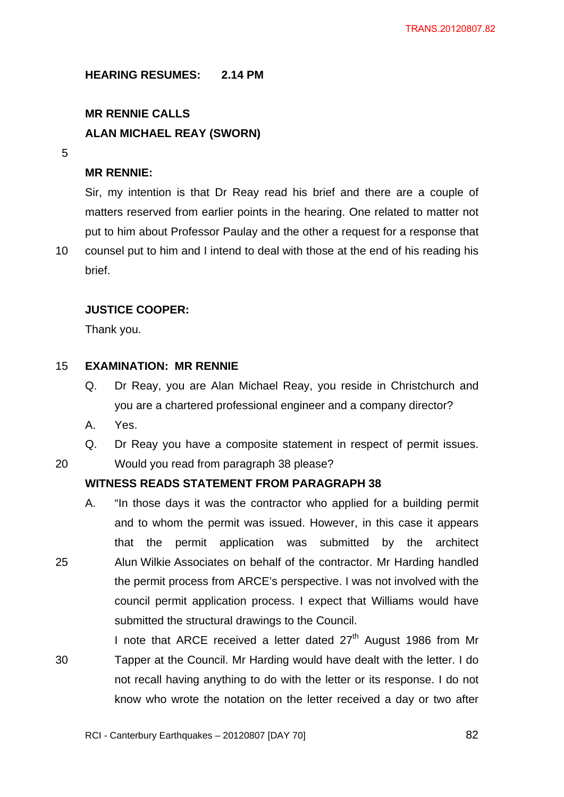**HEARING RESUMES: 2.14 PM** 

# **MR RENNIE CALLS ALAN MICHAEL REAY (SWORN)**

5

## **MR RENNIE:**

Sir, my intention is that Dr Reay read his brief and there are a couple of matters reserved from earlier points in the hearing. One related to matter not put to him about Professor Paulay and the other a request for a response that

10 counsel put to him and I intend to deal with those at the end of his reading his brief.

## **JUSTICE COOPER:**

Thank you.

#### 15 **EXAMINATION: MR RENNIE**

- Q. Dr Reay, you are Alan Michael Reay, you reside in Christchurch and you are a chartered professional engineer and a company director?
- A. Yes.
- Q. Dr Reay you have a composite statement in respect of permit issues.

20 Would you read from paragraph 38 please?

# **WITNESS READS STATEMENT FROM PARAGRAPH 38**

- A. "In those days it was the contractor who applied for a building permit and to whom the permit was issued. However, in this case it appears that the permit application was submitted by the architect 25 Alun Wilkie Associates on behalf of the contractor. Mr Harding handled the permit process from ARCE's perspective. I was not involved with the council permit application process. I expect that Williams would have submitted the structural drawings to the Council.
- I note that ARCE received a letter dated  $27<sup>th</sup>$  August 1986 from Mr 30 Tapper at the Council. Mr Harding would have dealt with the letter. I do not recall having anything to do with the letter or its response. I do not know who wrote the notation on the letter received a day or two after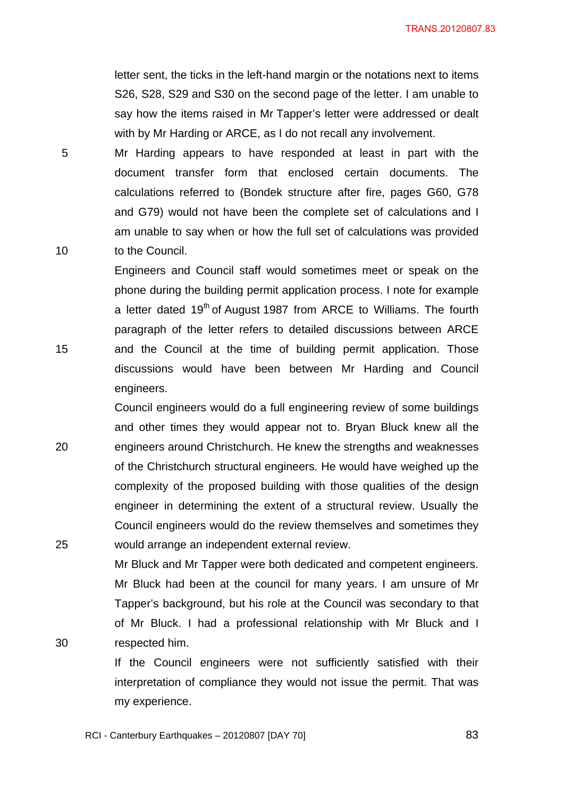letter sent, the ticks in the left-hand margin or the notations next to items S26, S28, S29 and S30 on the second page of the letter. I am unable to say how the items raised in Mr Tapper's letter were addressed or dealt with by Mr Harding or ARCE, as I do not recall any involvement.

5 Mr Harding appears to have responded at least in part with the document transfer form that enclosed certain documents. The calculations referred to (Bondek structure after fire, pages G60, G78 and G79) would not have been the complete set of calculations and I am unable to say when or how the full set of calculations was provided 10 to the Council.

Engineers and Council staff would sometimes meet or speak on the phone during the building permit application process. I note for example a letter dated 19<sup>th</sup> of August 1987 from ARCE to Williams. The fourth paragraph of the letter refers to detailed discussions between ARCE 15 and the Council at the time of building permit application. Those discussions would have been between Mr Harding and Council engineers.

Council engineers would do a full engineering review of some buildings and other times they would appear not to. Bryan Bluck knew all the 20 engineers around Christchurch. He knew the strengths and weaknesses of the Christchurch structural engineers. He would have weighed up the complexity of the proposed building with those qualities of the design engineer in determining the extent of a structural review. Usually the Council engineers would do the review themselves and sometimes they 25 would arrange an independent external review.

Mr Bluck and Mr Tapper were both dedicated and competent engineers. Mr Bluck had been at the council for many years. I am unsure of Mr Tapper's background, but his role at the Council was secondary to that of Mr Bluck. I had a professional relationship with Mr Bluck and I 30 respected him.

> If the Council engineers were not sufficiently satisfied with their interpretation of compliance they would not issue the permit. That was my experience.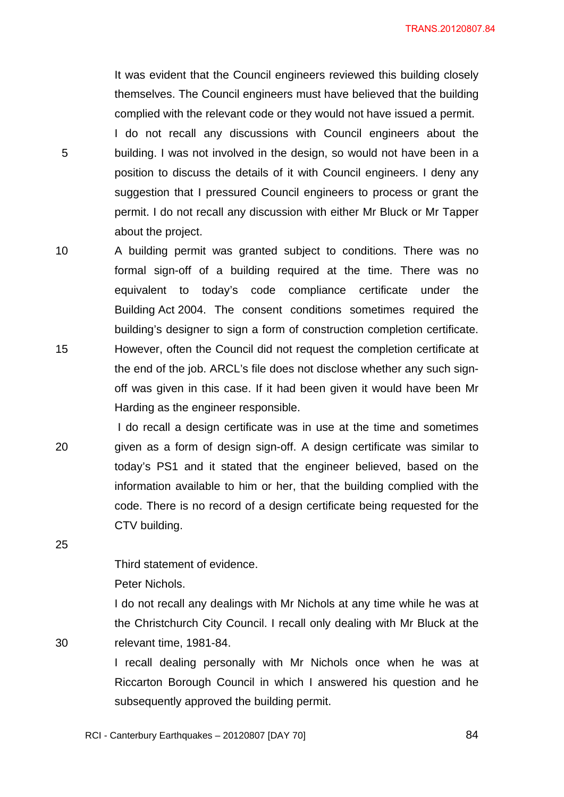It was evident that the Council engineers reviewed this building closely themselves. The Council engineers must have believed that the building complied with the relevant code or they would not have issued a permit. I do not recall any discussions with Council engineers about the 5 building. I was not involved in the design, so would not have been in a position to discuss the details of it with Council engineers. I deny any suggestion that I pressured Council engineers to process or grant the permit. I do not recall any discussion with either Mr Bluck or Mr Tapper about the project.

10 A building permit was granted subject to conditions. There was no formal sign-off of a building required at the time. There was no equivalent to today's code compliance certificate under the Building Act 2004. The consent conditions sometimes required the building's designer to sign a form of construction completion certificate. 15 However, often the Council did not request the completion certificate at the end of the job. ARCL's file does not disclose whether any such signoff was given in this case. If it had been given it would have been Mr Harding as the engineer responsible.

 I do recall a design certificate was in use at the time and sometimes 20 given as a form of design sign-off. A design certificate was similar to today's PS1 and it stated that the engineer believed, based on the information available to him or her, that the building complied with the code. There is no record of a design certificate being requested for the CTV building.

Third statement of evidence.

Peter Nichols.

25

I do not recall any dealings with Mr Nichols at any time while he was at the Christchurch City Council. I recall only dealing with Mr Bluck at the 30 relevant time, 1981-84.

> I recall dealing personally with Mr Nichols once when he was at Riccarton Borough Council in which I answered his question and he subsequently approved the building permit.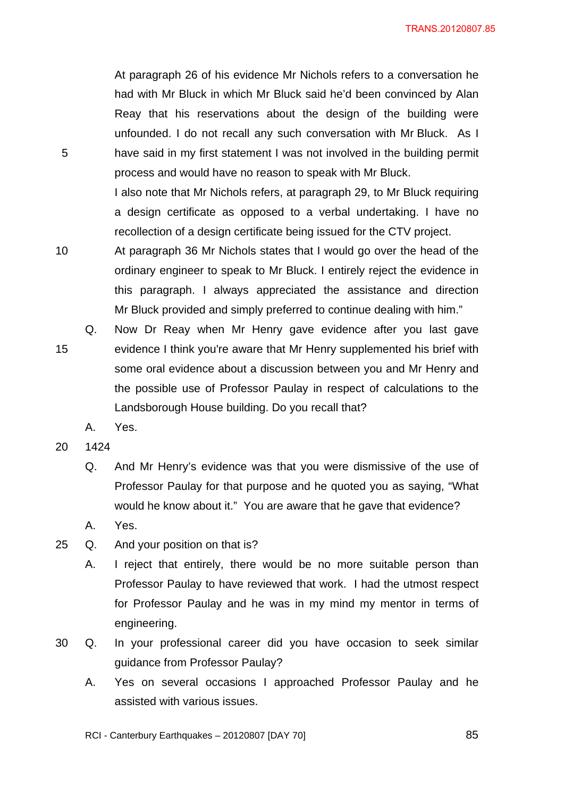At paragraph 26 of his evidence Mr Nichols refers to a conversation he had with Mr Bluck in which Mr Bluck said he'd been convinced by Alan Reay that his reservations about the design of the building were unfounded. I do not recall any such conversation with Mr Bluck. As I 5 have said in my first statement I was not involved in the building permit process and would have no reason to speak with Mr Bluck.

> I also note that Mr Nichols refers, at paragraph 29, to Mr Bluck requiring a design certificate as opposed to a verbal undertaking. I have no recollection of a design certificate being issued for the CTV project.

- 10 At paragraph 36 Mr Nichols states that I would go over the head of the ordinary engineer to speak to Mr Bluck. I entirely reject the evidence in this paragraph. I always appreciated the assistance and direction Mr Bluck provided and simply preferred to continue dealing with him."
- Q. Now Dr Reay when Mr Henry gave evidence after you last gave 15 evidence I think you're aware that Mr Henry supplemented his brief with some oral evidence about a discussion between you and Mr Henry and the possible use of Professor Paulay in respect of calculations to the Landsborough House building. Do you recall that?
	- A. Yes.
- 20 1424
	- Q. And Mr Henry's evidence was that you were dismissive of the use of Professor Paulay for that purpose and he quoted you as saying, "What would he know about it." You are aware that he gave that evidence?
	- A. Yes.
- 25 Q. And your position on that is?
	- A. I reject that entirely, there would be no more suitable person than Professor Paulay to have reviewed that work. I had the utmost respect for Professor Paulay and he was in my mind my mentor in terms of engineering.
- 30 Q. In your professional career did you have occasion to seek similar guidance from Professor Paulay?
	- A. Yes on several occasions I approached Professor Paulay and he assisted with various issues.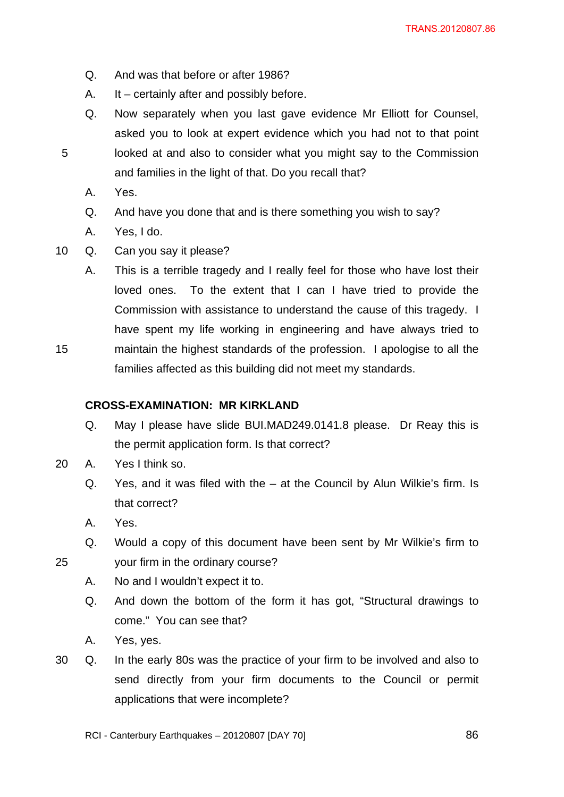- Q. And was that before or after 1986?
- A. It certainly after and possibly before.
- Q. Now separately when you last gave evidence Mr Elliott for Counsel, asked you to look at expert evidence which you had not to that point 5 looked at and also to consider what you might say to the Commission and families in the light of that. Do you recall that?
	- A. Yes.
	- Q. And have you done that and is there something you wish to say?
	- A. Yes, I do.
- 10 Q. Can you say it please?
- A. This is a terrible tragedy and I really feel for those who have lost their loved ones. To the extent that I can I have tried to provide the Commission with assistance to understand the cause of this tragedy. I have spent my life working in engineering and have always tried to 15 maintain the highest standards of the profession. I apologise to all the families affected as this building did not meet my standards.

#### **CROSS-EXAMINATION: MR KIRKLAND**

- Q. May I please have slide BUI.MAD249.0141.8 please. Dr Reay this is the permit application form. Is that correct?
- 20 A. Yes I think so.
	- Q. Yes, and it was filed with the at the Council by Alun Wilkie's firm. Is that correct?
	- A. Yes.
- Q. Would a copy of this document have been sent by Mr Wilkie's firm to 25 your firm in the ordinary course?

- A. No and I wouldn't expect it to.
- Q. And down the bottom of the form it has got, "Structural drawings to come." You can see that?
- A. Yes, yes.
- 30 Q. In the early 80s was the practice of your firm to be involved and also to send directly from your firm documents to the Council or permit applications that were incomplete?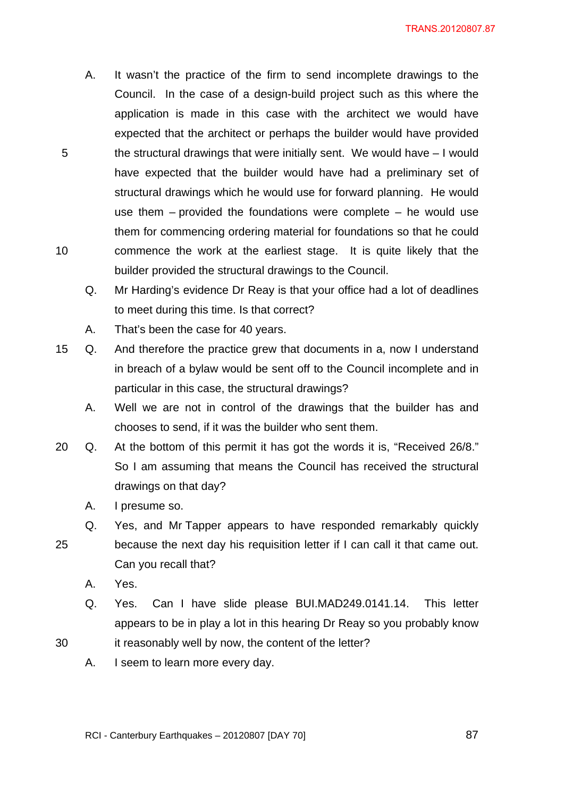- A. It wasn't the practice of the firm to send incomplete drawings to the Council. In the case of a design-build project such as this where the application is made in this case with the architect we would have expected that the architect or perhaps the builder would have provided 5 the structural drawings that were initially sent. We would have – I would have expected that the builder would have had a preliminary set of structural drawings which he would use for forward planning. He would use them – provided the foundations were complete – he would use them for commencing ordering material for foundations so that he could 10 commence the work at the earliest stage. It is quite likely that the builder provided the structural drawings to the Council.
	- Q. Mr Harding's evidence Dr Reay is that your office had a lot of deadlines to meet during this time. Is that correct?
	- A. That's been the case for 40 years.
- 15 Q. And therefore the practice grew that documents in a, now I understand in breach of a bylaw would be sent off to the Council incomplete and in particular in this case, the structural drawings?
	- A. Well we are not in control of the drawings that the builder has and chooses to send, if it was the builder who sent them.
- 20 Q. At the bottom of this permit it has got the words it is, "Received 26/8." So I am assuming that means the Council has received the structural drawings on that day?
	- A. I presume so.
	- Q. Yes, and Mr Tapper appears to have responded remarkably quickly
- 25 because the next day his requisition letter if I can call it that came out. Can you recall that?
	- A. Yes.
- Q. Yes. Can I have slide please BUI.MAD249.0141.14. This letter appears to be in play a lot in this hearing Dr Reay so you probably know 30 it reasonably well by now, the content of the letter?
	- A. I seem to learn more every day.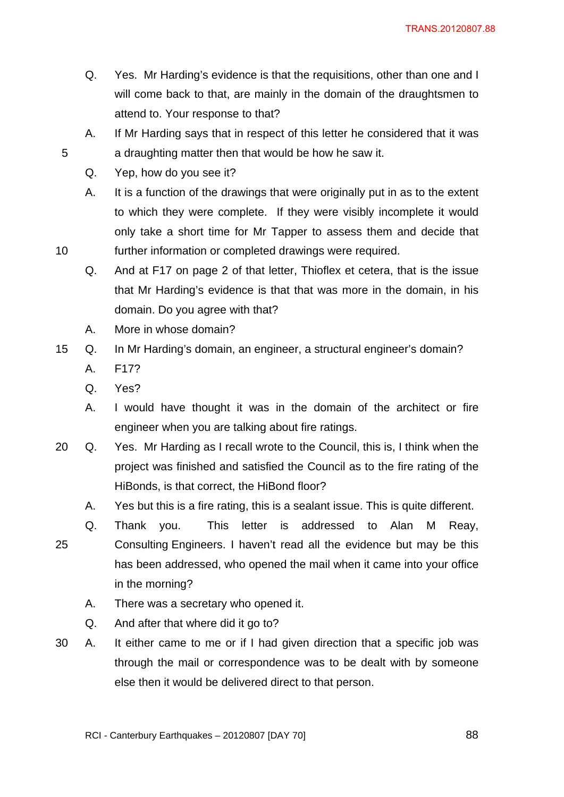- Q. Yes. Mr Harding's evidence is that the requisitions, other than one and I will come back to that, are mainly in the domain of the draughtsmen to attend to. Your response to that?
- A. If Mr Harding says that in respect of this letter he considered that it was 5 a draughting matter then that would be how he saw it.
	- Q. Yep, how do you see it?
- A. It is a function of the drawings that were originally put in as to the extent to which they were complete. If they were visibly incomplete it would only take a short time for Mr Tapper to assess them and decide that 10 further information or completed drawings were required.
	- Q. And at F17 on page 2 of that letter, Thioflex et cetera, that is the issue that Mr Harding's evidence is that that was more in the domain, in his domain. Do you agree with that?
	- A. More in whose domain?
- 15 Q. In Mr Harding's domain, an engineer, a structural engineer's domain?
	- A. F17?
	- Q. Yes?
	- A. I would have thought it was in the domain of the architect or fire engineer when you are talking about fire ratings.
- 20 Q. Yes. Mr Harding as I recall wrote to the Council, this is, I think when the project was finished and satisfied the Council as to the fire rating of the HiBonds, is that correct, the HiBond floor?
	- A. Yes but this is a fire rating, this is a sealant issue. This is quite different.
- Q. Thank you. This letter is addressed to Alan M Reay, 25 Consulting Engineers. I haven't read all the evidence but may be this has been addressed, who opened the mail when it came into your office in the morning?
	- A. There was a secretary who opened it.
	- Q. And after that where did it go to?
- 30 A. It either came to me or if I had given direction that a specific job was through the mail or correspondence was to be dealt with by someone else then it would be delivered direct to that person.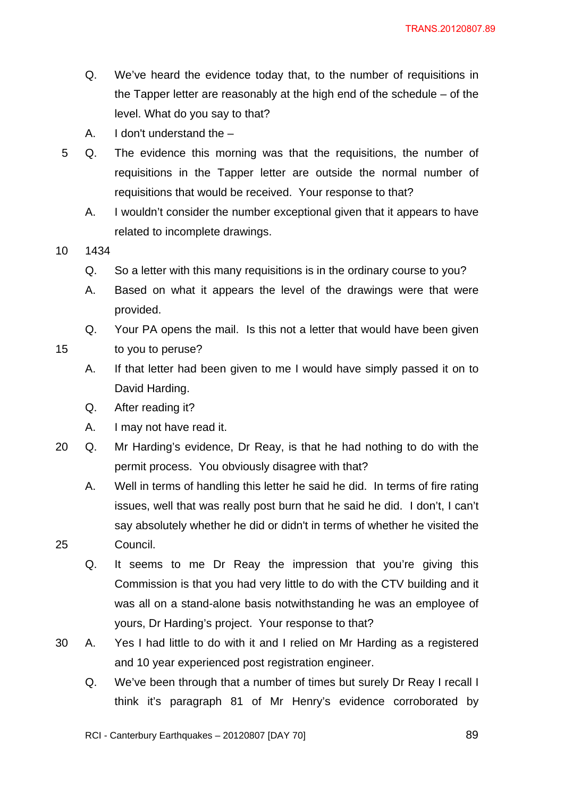- Q. We've heard the evidence today that, to the number of requisitions in the Tapper letter are reasonably at the high end of the schedule – of the level. What do you say to that?
- A. I don't understand the –
- 5 Q. The evidence this morning was that the requisitions, the number of requisitions in the Tapper letter are outside the normal number of requisitions that would be received. Your response to that?
	- A. I wouldn't consider the number exceptional given that it appears to have related to incomplete drawings.
- 10 1434
	- Q. So a letter with this many requisitions is in the ordinary course to you?
	- A. Based on what it appears the level of the drawings were that were provided.

Q. Your PA opens the mail. Is this not a letter that would have been given

15 to you to peruse?

- A. If that letter had been given to me I would have simply passed it on to David Harding.
- Q. After reading it?
- A. I may not have read it.
- 20 Q. Mr Harding's evidence, Dr Reay, is that he had nothing to do with the permit process. You obviously disagree with that?
- A. Well in terms of handling this letter he said he did. In terms of fire rating issues, well that was really post burn that he said he did. I don't, I can't say absolutely whether he did or didn't in terms of whether he visited the 25 Council.
	- Q. It seems to me Dr Reay the impression that you're giving this Commission is that you had very little to do with the CTV building and it was all on a stand-alone basis notwithstanding he was an employee of yours, Dr Harding's project. Your response to that?
- 30 A. Yes I had little to do with it and I relied on Mr Harding as a registered and 10 year experienced post registration engineer.
	- Q. We've been through that a number of times but surely Dr Reay I recall I think it's paragraph 81 of Mr Henry's evidence corroborated by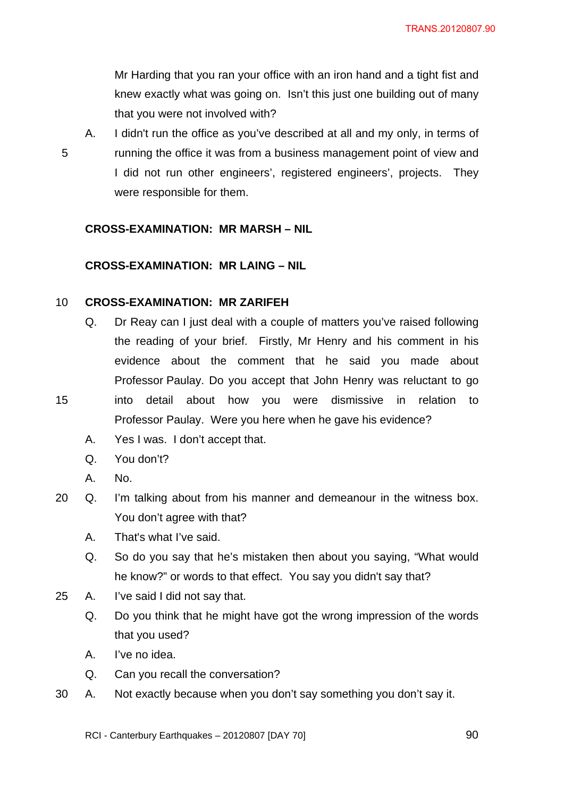Mr Harding that you ran your office with an iron hand and a tight fist and knew exactly what was going on. Isn't this just one building out of many that you were not involved with?

- 
- A. I didn't run the office as you've described at all and my only, in terms of 5 running the office it was from a business management point of view and I did not run other engineers', registered engineers', projects. They were responsible for them.

## **CROSS-EXAMINATION: MR MARSH – NIL**

# **CROSS-EXAMINATION: MR LAING – NIL**

#### 10 **CROSS-EXAMINATION: MR ZARIFEH**

- Q. Dr Reay can I just deal with a couple of matters you've raised following the reading of your brief. Firstly, Mr Henry and his comment in his evidence about the comment that he said you made about Professor Paulay. Do you accept that John Henry was reluctant to go 15 into detail about how you were dismissive in relation to Professor Paulay. Were you here when he gave his evidence?
	- A. Yes I was. I don't accept that.
	- Q. You don't?
	- A. No.
- 20 Q. I'm talking about from his manner and demeanour in the witness box. You don't agree with that?
	- A. That's what I've said.
	- Q. So do you say that he's mistaken then about you saying, "What would he know?" or words to that effect. You say you didn't say that?
- 25 A. I've said I did not say that.
	- Q. Do you think that he might have got the wrong impression of the words that you used?
	- A. I've no idea.
	- Q. Can you recall the conversation?
- 30 A. Not exactly because when you don't say something you don't say it.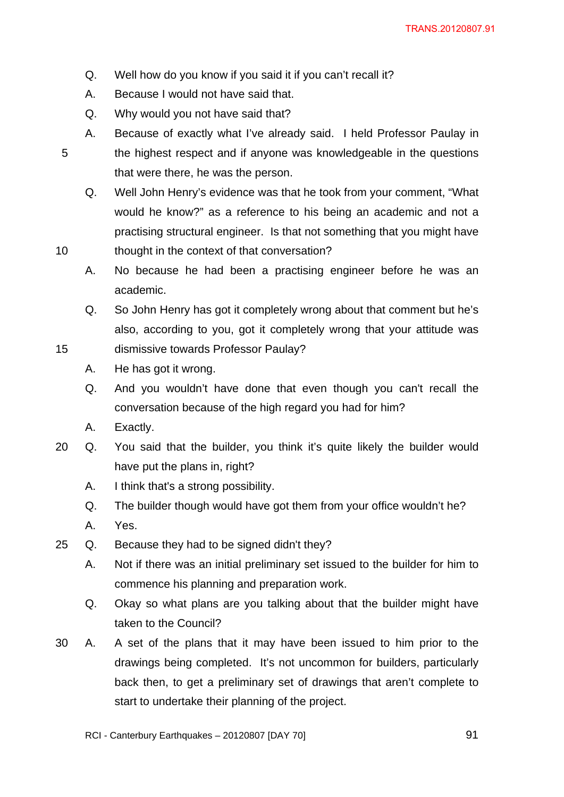- Q. Well how do you know if you said it if you can't recall it?
- A. Because I would not have said that.
- Q. Why would you not have said that?
- A. Because of exactly what I've already said. I held Professor Paulay in 5 the highest respect and if anyone was knowledgeable in the questions that were there, he was the person.
- Q. Well John Henry's evidence was that he took from your comment, "What would he know?" as a reference to his being an academic and not a practising structural engineer. Is that not something that you might have 10 thought in the context of that conversation?
	- A. No because he had been a practising engineer before he was an academic.
- Q. So John Henry has got it completely wrong about that comment but he's also, according to you, got it completely wrong that your attitude was 15 dismissive towards Professor Paulay?
	- A. He has got it wrong.
	- Q. And you wouldn't have done that even though you can't recall the conversation because of the high regard you had for him?
	- A. Exactly.
- 20 Q. You said that the builder, you think it's quite likely the builder would have put the plans in, right?
	- A. I think that's a strong possibility.
	- Q. The builder though would have got them from your office wouldn't he?
	- A. Yes.
- 25 Q. Because they had to be signed didn't they?
	- A. Not if there was an initial preliminary set issued to the builder for him to commence his planning and preparation work.
	- Q. Okay so what plans are you talking about that the builder might have taken to the Council?
- 30 A. A set of the plans that it may have been issued to him prior to the drawings being completed. It's not uncommon for builders, particularly back then, to get a preliminary set of drawings that aren't complete to start to undertake their planning of the project.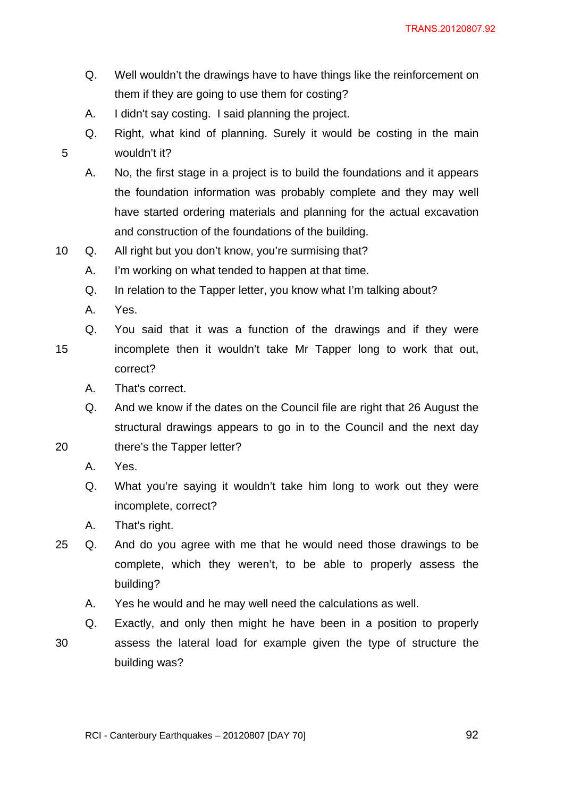- Q. Well wouldn't the drawings have to have things like the reinforcement on them if they are going to use them for costing?
- A. I didn't say costing. I said planning the project.
- Q. Right, what kind of planning. Surely it would be costing in the main 5 wouldn't it?
	- A. No, the first stage in a project is to build the foundations and it appears the foundation information was probably complete and they may well have started ordering materials and planning for the actual excavation and construction of the foundations of the building.
- 10 Q. All right but you don't know, you're surmising that?
	- A. I'm working on what tended to happen at that time.
	- Q. In relation to the Tapper letter, you know what I'm talking about?
	- A. Yes.
	- Q. You said that it was a function of the drawings and if they were
- 15 incomplete then it wouldn't take Mr Tapper long to work that out, correct?
	- A. That's correct.
- Q. And we know if the dates on the Council file are right that 26 August the structural drawings appears to go in to the Council and the next day 20 there's the Tapper letter?
	- A. Yes.
	- Q. What you're saying it wouldn't take him long to work out they were incomplete, correct?
	- A. That's right.
- 25 Q. And do you agree with me that he would need those drawings to be complete, which they weren't, to be able to properly assess the building?
	- A. Yes he would and he may well need the calculations as well.
- Q. Exactly, and only then might he have been in a position to properly 30 assess the lateral load for example given the type of structure the building was?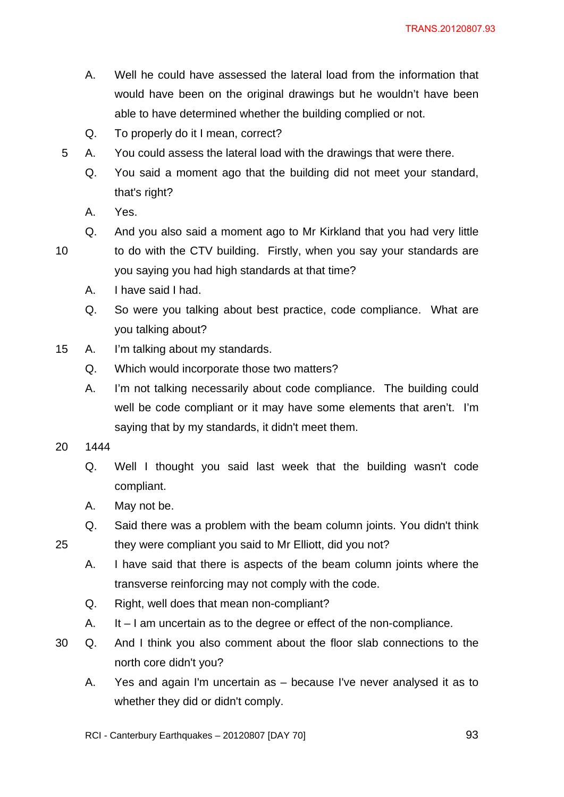- A. Well he could have assessed the lateral load from the information that would have been on the original drawings but he wouldn't have been able to have determined whether the building complied or not.
- Q. To properly do it I mean, correct?
- 5 A. You could assess the lateral load with the drawings that were there.
	- Q. You said a moment ago that the building did not meet your standard, that's right?
	- A. Yes.
	- Q. And you also said a moment ago to Mr Kirkland that you had very little

10 to do with the CTV building. Firstly, when you say your standards are

- you saying you had high standards at that time?
- A. I have said I had.
- Q. So were you talking about best practice, code compliance. What are you talking about?
- 15 A. I'm talking about my standards.
	- Q. Which would incorporate those two matters?
	- A. I'm not talking necessarily about code compliance. The building could well be code compliant or it may have some elements that aren't. I'm saying that by my standards, it didn't meet them.

20 1444

- Q. Well I thought you said last week that the building wasn't code compliant.
- A. May not be.
- Q. Said there was a problem with the beam column joints. You didn't think 25 they were compliant you said to Mr Elliott, did you not?
	- A. I have said that there is aspects of the beam column joints where the transverse reinforcing may not comply with the code.
	- Q. Right, well does that mean non-compliant?
	- A. It I am uncertain as to the degree or effect of the non-compliance.
- 30 Q. And I think you also comment about the floor slab connections to the north core didn't you?
	- A. Yes and again I'm uncertain as because I've never analysed it as to whether they did or didn't comply.
	- RCI Canterbury Earthquakes 20120807 [DAY 70]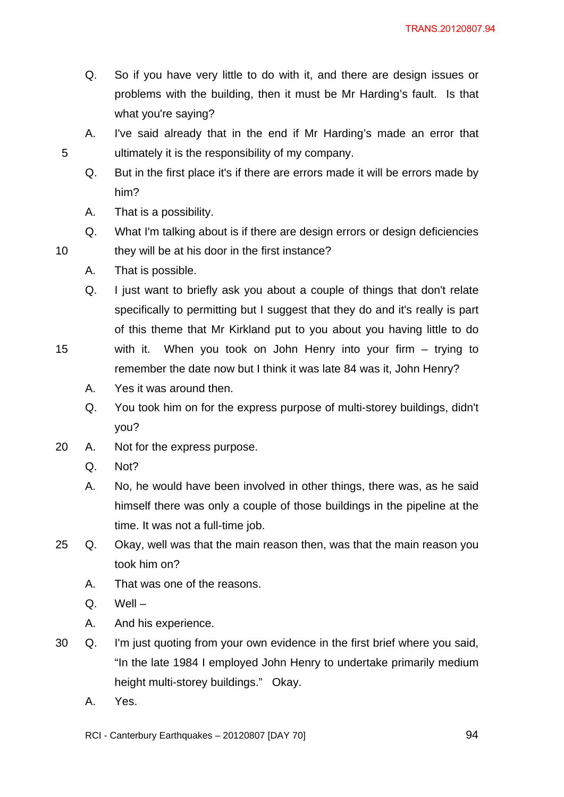- Q. So if you have very little to do with it, and there are design issues or problems with the building, then it must be Mr Harding's fault. Is that what you're saying?
- A. I've said already that in the end if Mr Harding's made an error that 5 ultimately it is the responsibility of my company.
	- Q. But in the first place it's if there are errors made it will be errors made by him?
	- A. That is a possibility.
- Q. What I'm talking about is if there are design errors or design deficiencies 10 they will be at his door in the first instance?
	- A. That is possible.
	- Q. I just want to briefly ask you about a couple of things that don't relate specifically to permitting but I suggest that they do and it's really is part of this theme that Mr Kirkland put to you about you having little to do
- 15 with it. When you took on John Henry into your firm trying to remember the date now but I think it was late 84 was it, John Henry?
	- A. Yes it was around then.
	- Q. You took him on for the express purpose of multi-storey buildings, didn't you?
- 20 A. Not for the express purpose.
	- Q. Not?
	- A. No, he would have been involved in other things, there was, as he said himself there was only a couple of those buildings in the pipeline at the time. It was not a full-time job.
- 25 Q. Okay, well was that the main reason then, was that the main reason you took him on?
	- A. That was one of the reasons.
	- Q. Well –
	- A. And his experience.
- 30 Q. I'm just quoting from your own evidence in the first brief where you said, "In the late 1984 I employed John Henry to undertake primarily medium height multi-storey buildings." Okay.
	- A. Yes.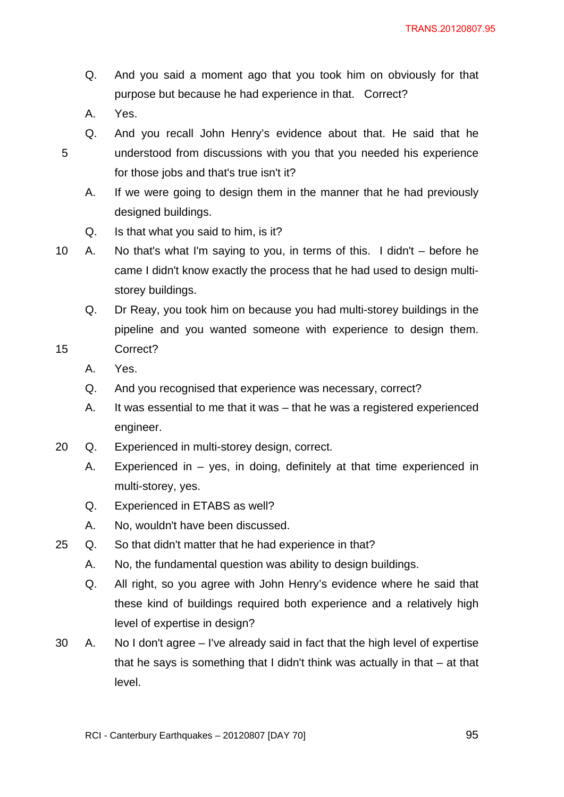- Q. And you said a moment ago that you took him on obviously for that purpose but because he had experience in that. Correct?
- A. Yes.

- Q. And you recall John Henry's evidence about that. He said that he 5 understood from discussions with you that you needed his experience for those jobs and that's true isn't it?
	- A. If we were going to design them in the manner that he had previously designed buildings.
	- Q. Is that what you said to him, is it?
- 10 A. No that's what I'm saying to you, in terms of this. I didn't before he came I didn't know exactly the process that he had used to design multistorey buildings.
	- Q. Dr Reay, you took him on because you had multi-storey buildings in the pipeline and you wanted someone with experience to design them.
- 15 Correct?
	- A. Yes.
	- Q. And you recognised that experience was necessary, correct?
	- A. It was essential to me that it was that he was a registered experienced engineer.
- 20 Q. Experienced in multi-storey design, correct.
	- A. Experienced in yes, in doing, definitely at that time experienced in multi-storey, yes.
	- Q. Experienced in ETABS as well?
	- A. No, wouldn't have been discussed.
- 25 Q. So that didn't matter that he had experience in that?
	- A. No, the fundamental question was ability to design buildings.
	- Q. All right, so you agree with John Henry's evidence where he said that these kind of buildings required both experience and a relatively high level of expertise in design?
- 30 A. No I don't agree I've already said in fact that the high level of expertise that he says is something that I didn't think was actually in that – at that level.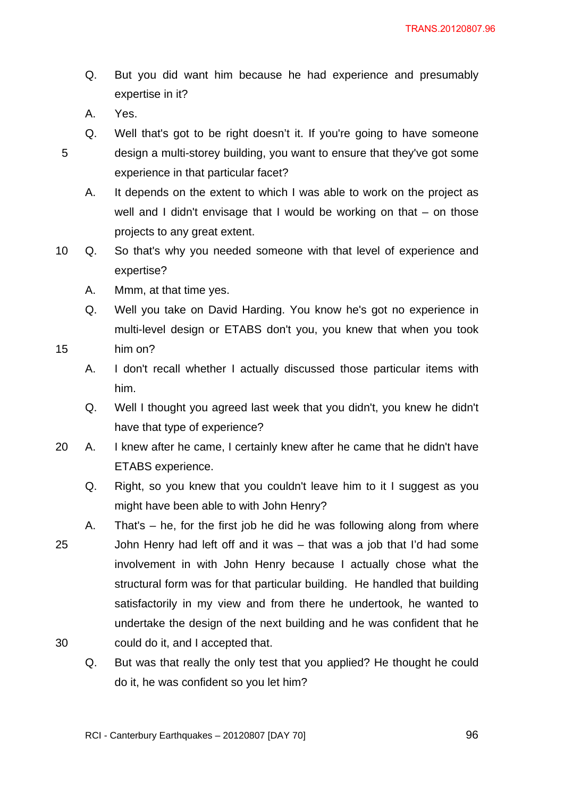- Q. But you did want him because he had experience and presumably expertise in it?
- A. Yes.

Q. Well that's got to be right doesn't it. If you're going to have someone 5 design a multi-storey building, you want to ensure that they've got some experience in that particular facet?

A. It depends on the extent to which I was able to work on the project as well and I didn't envisage that I would be working on that – on those projects to any great extent.

- 10 Q. So that's why you needed someone with that level of experience and expertise?
	- A. Mmm, at that time yes.
	- Q. Well you take on David Harding. You know he's got no experience in multi-level design or ETABS don't you, you knew that when you took
- 15 him on?
	- A. I don't recall whether I actually discussed those particular items with him.
	- Q. Well I thought you agreed last week that you didn't, you knew he didn't have that type of experience?
- 20 A. I knew after he came, I certainly knew after he came that he didn't have ETABS experience.
	- Q. Right, so you knew that you couldn't leave him to it I suggest as you might have been able to with John Henry?
- A. That's he, for the first job he did he was following along from where 25 John Henry had left off and it was – that was a job that I'd had some involvement in with John Henry because I actually chose what the structural form was for that particular building. He handled that building satisfactorily in my view and from there he undertook, he wanted to undertake the design of the next building and he was confident that he 30 could do it, and I accepted that.
	- Q. But was that really the only test that you applied? He thought he could do it, he was confident so you let him?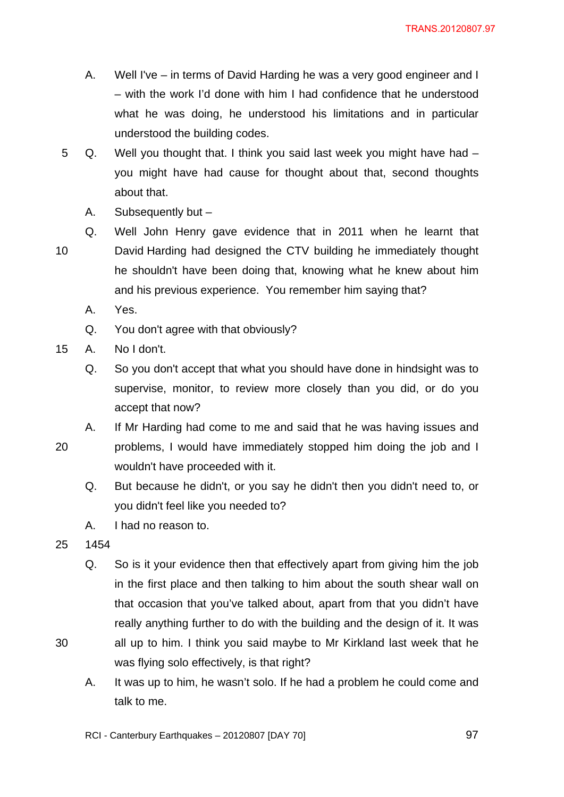- A. Well I've in terms of David Harding he was a very good engineer and I – with the work I'd done with him I had confidence that he understood what he was doing, he understood his limitations and in particular understood the building codes.
- 5 Q. Well you thought that. I think you said last week you might have had you might have had cause for thought about that, second thoughts about that.
	- A. Subsequently but –

Q. Well John Henry gave evidence that in 2011 when he learnt that 10 David Harding had designed the CTV building he immediately thought he shouldn't have been doing that, knowing what he knew about him and his previous experience. You remember him saying that?

- A. Yes.
- Q. You don't agree with that obviously?
- 15 A. No I don't.
	- Q. So you don't accept that what you should have done in hindsight was to supervise, monitor, to review more closely than you did, or do you accept that now?
- A. If Mr Harding had come to me and said that he was having issues and 20 problems, I would have immediately stopped him doing the job and I wouldn't have proceeded with it.
	- Q. But because he didn't, or you say he didn't then you didn't need to, or you didn't feel like you needed to?
	- A. I had no reason to.
- 25 1454
- Q. So is it your evidence then that effectively apart from giving him the job in the first place and then talking to him about the south shear wall on that occasion that you've talked about, apart from that you didn't have really anything further to do with the building and the design of it. It was 30 all up to him. I think you said maybe to Mr Kirkland last week that he was flying solo effectively, is that right?
	- A. It was up to him, he wasn't solo. If he had a problem he could come and talk to me.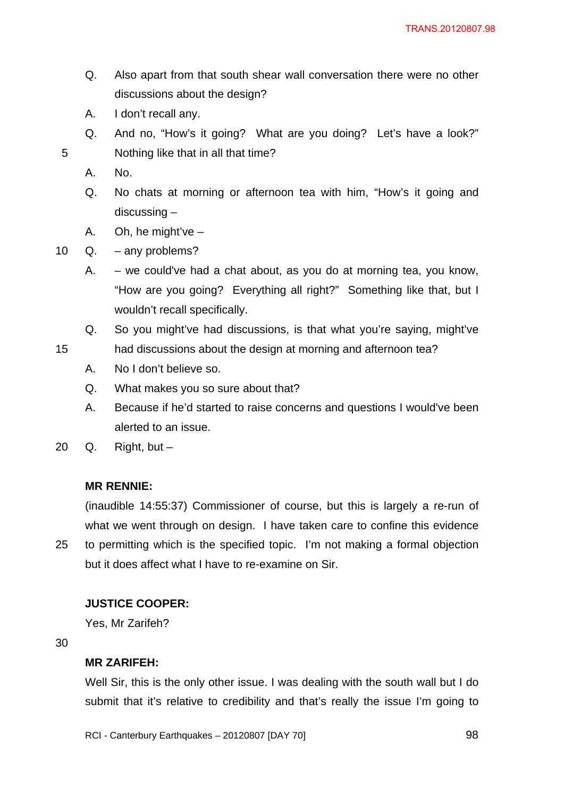- Q. Also apart from that south shear wall conversation there were no other discussions about the design?
- A. I don't recall any.
- Q. And no, "How's it going? What are you doing? Let's have a look?" 5 Nothing like that in all that time?
	- A. No.
	- Q. No chats at morning or afternoon tea with him, "How's it going and discussing –
	- A. Oh, he might've –
- 10 Q. any problems?
	- A. we could've had a chat about, as you do at morning tea, you know, "How are you going? Everything all right?" Something like that, but I wouldn't recall specifically.
	- Q. So you might've had discussions, is that what you're saying, might've
- 15 had discussions about the design at morning and afternoon tea?
	- A. No I don't believe so.
	- Q. What makes you so sure about that?
	- A. Because if he'd started to raise concerns and questions I would've been alerted to an issue.
- 20  $Q.$  Right, but  $-$

# **MR RENNIE:**

(inaudible 14:55:37) Commissioner of course, but this is largely a re-run of what we went through on design. I have taken care to confine this evidence 25 to permitting which is the specified topic. I'm not making a formal objection but it does affect what I have to re-examine on Sir.

# **JUSTICE COOPER:**

Yes, Mr Zarifeh?

30

# **MR ZARIFEH:**

Well Sir, this is the only other issue. I was dealing with the south wall but I do submit that it's relative to credibility and that's really the issue I'm going to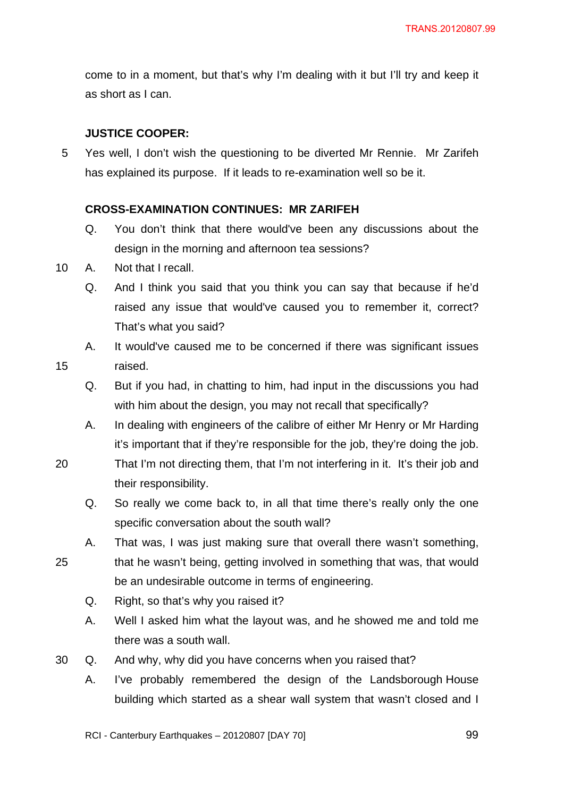come to in a moment, but that's why I'm dealing with it but I'll try and keep it as short as I can.

# **JUSTICE COOPER:**

5 Yes well, I don't wish the questioning to be diverted Mr Rennie. Mr Zarifeh has explained its purpose. If it leads to re-examination well so be it.

# **CROSS-EXAMINATION CONTINUES: MR ZARIFEH**

- Q. You don't think that there would've been any discussions about the design in the morning and afternoon tea sessions?
- 10 A. Not that I recall.
	- Q. And I think you said that you think you can say that because if he'd raised any issue that would've caused you to remember it, correct? That's what you said?
- A. It would've caused me to be concerned if there was significant issues 15 raised.
	- Q. But if you had, in chatting to him, had input in the discussions you had with him about the design, you may not recall that specifically?
	- A. In dealing with engineers of the calibre of either Mr Henry or Mr Harding it's important that if they're responsible for the job, they're doing the job.
- 20 That I'm not directing them, that I'm not interfering in it. It's their job and their responsibility.
	- Q. So really we come back to, in all that time there's really only the one specific conversation about the south wall?
- A. That was, I was just making sure that overall there wasn't something, 25 that he wasn't being, getting involved in something that was, that would be an undesirable outcome in terms of engineering.
	- Q. Right, so that's why you raised it?
	- A. Well I asked him what the layout was, and he showed me and told me there was a south wall.
- 30 Q. And why, why did you have concerns when you raised that?
	- A. I've probably remembered the design of the Landsborough House building which started as a shear wall system that wasn't closed and I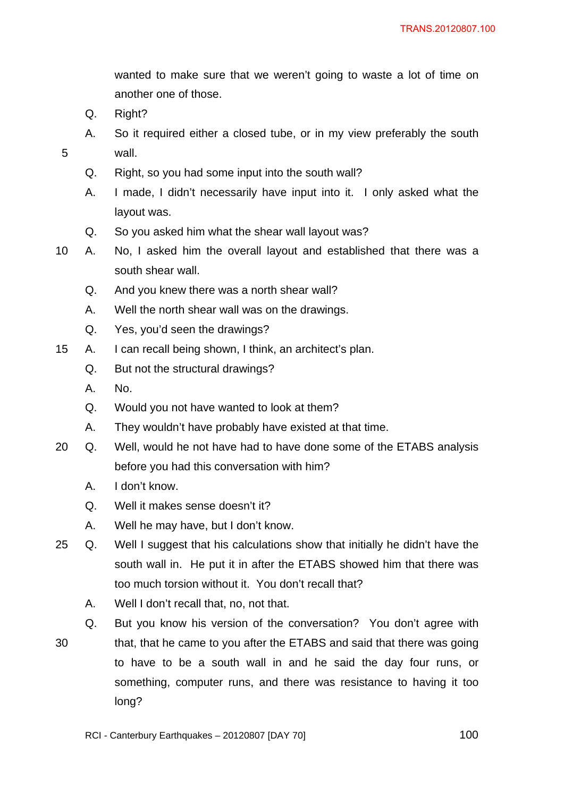wanted to make sure that we weren't going to waste a lot of time on another one of those.

- Q. Right?
- A. So it required either a closed tube, or in my view preferably the south 5 wall.
	- Q. Right, so you had some input into the south wall?
	- A. I made, I didn't necessarily have input into it. I only asked what the layout was.
	- Q. So you asked him what the shear wall layout was?
- 10 A. No, I asked him the overall layout and established that there was a south shear wall.
	- Q. And you knew there was a north shear wall?
	- A. Well the north shear wall was on the drawings.
	- Q. Yes, you'd seen the drawings?
- 15 A. I can recall being shown, I think, an architect's plan.
	- Q. But not the structural drawings?
	- A. No.
	- Q. Would you not have wanted to look at them?
	- A. They wouldn't have probably have existed at that time.
- 20 Q. Well, would he not have had to have done some of the ETABS analysis before you had this conversation with him?
	- A. I don't know.
	- Q. Well it makes sense doesn't it?
	- A. Well he may have, but I don't know.
- 25 Q. Well I suggest that his calculations show that initially he didn't have the south wall in. He put it in after the ETABS showed him that there was too much torsion without it. You don't recall that?
	- A. Well I don't recall that, no, not that.
	- Q. But you know his version of the conversation? You don't agree with
- 30 that, that he came to you after the ETABS and said that there was going to have to be a south wall in and he said the day four runs, or something, computer runs, and there was resistance to having it too long?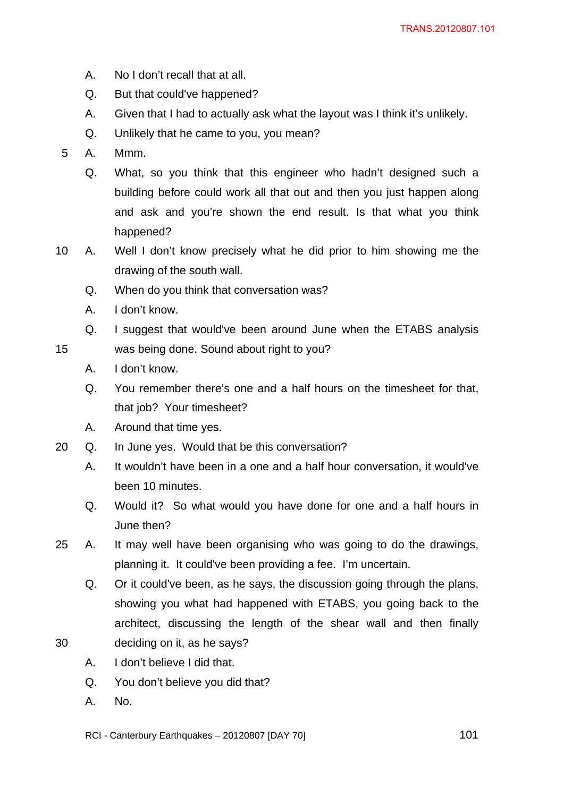- A. No I don't recall that at all.
- Q. But that could've happened?
- A. Given that I had to actually ask what the layout was I think it's unlikely.
- Q. Unlikely that he came to you, you mean?
- 5 A. Mmm.
	- Q. What, so you think that this engineer who hadn't designed such a building before could work all that out and then you just happen along and ask and you're shown the end result. Is that what you think happened?
- 10 A. Well I don't know precisely what he did prior to him showing me the drawing of the south wall.
	- Q. When do you think that conversation was?
	- A. I don't know.
- Q. I suggest that would've been around June when the ETABS analysis 15 was being done. Sound about right to you?
	- A. I don't know.
	- Q. You remember there's one and a half hours on the timesheet for that, that job? Your timesheet?
	- A. Around that time yes.
- 20 Q. In June yes. Would that be this conversation?
	- A. It wouldn't have been in a one and a half hour conversation, it would've been 10 minutes.
	- Q. Would it? So what would you have done for one and a half hours in June then?
- 25 A. It may well have been organising who was going to do the drawings, planning it. It could've been providing a fee. I'm uncertain.
- Q. Or it could've been, as he says, the discussion going through the plans, showing you what had happened with ETABS, you going back to the architect, discussing the length of the shear wall and then finally 30 deciding on it, as he says?
	- A. I don't believe I did that.
	- Q. You don't believe you did that?
	- A. No.
	- RCI Canterbury Earthquakes  $20120807$  [DAY 70]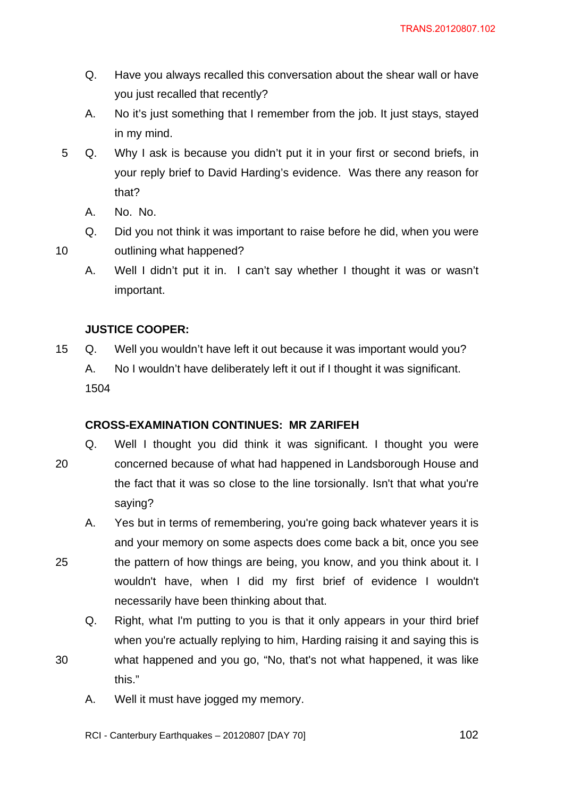- Q. Have you always recalled this conversation about the shear wall or have you just recalled that recently?
- A. No it's just something that I remember from the job. It just stays, stayed in my mind.
- 5 Q. Why I ask is because you didn't put it in your first or second briefs, in your reply brief to David Harding's evidence. Was there any reason for that?
	- A. No. No.
- Q. Did you not think it was important to raise before he did, when you were 10 outlining what happened?
	- A. Well I didn't put it in. I can't say whether I thought it was or wasn't important.

# **JUSTICE COOPER:**

15 Q. Well you wouldn't have left it out because it was important would you? A. No I wouldn't have deliberately left it out if I thought it was significant. 1504

# **CROSS-EXAMINATION CONTINUES: MR ZARIFEH**

- Q. Well I thought you did think it was significant. I thought you were 20 concerned because of what had happened in Landsborough House and the fact that it was so close to the line torsionally. Isn't that what you're saying?
- A. Yes but in terms of remembering, you're going back whatever years it is and your memory on some aspects does come back a bit, once you see 25 the pattern of how things are being, you know, and you think about it. I wouldn't have, when I did my first brief of evidence I wouldn't
	- necessarily have been thinking about that.
	- Q. Right, what I'm putting to you is that it only appears in your third brief when you're actually replying to him, Harding raising it and saying this is
- 30 what happened and you go, "No, that's not what happened, it was like this."
	- A. Well it must have jogged my memory.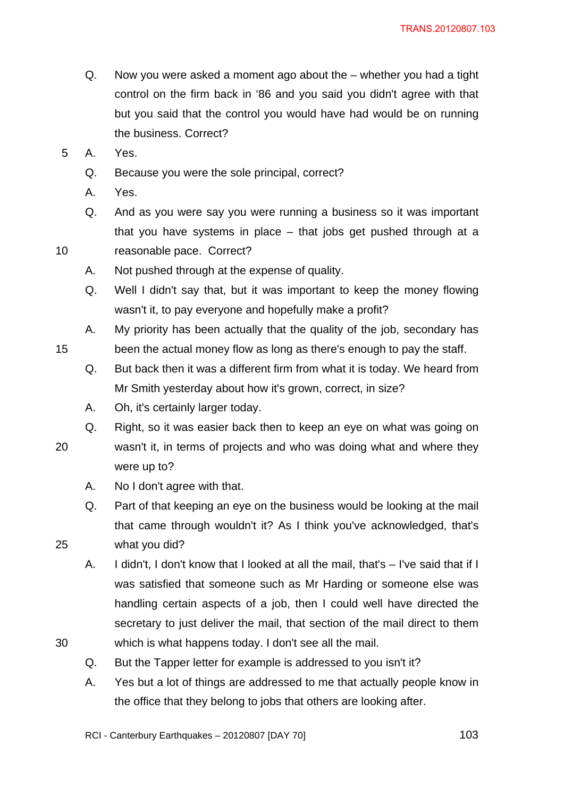- Q. Now you were asked a moment ago about the whether you had a tight control on the firm back in '86 and you said you didn't agree with that but you said that the control you would have had would be on running the business. Correct?
- 5 A. Yes.
	- Q. Because you were the sole principal, correct?
	- A. Yes.
- Q. And as you were say you were running a business so it was important that you have systems in place – that jobs get pushed through at a 10 reasonable pace. Correct?
- 
- A. Not pushed through at the expense of quality.
- Q. Well I didn't say that, but it was important to keep the money flowing wasn't it, to pay everyone and hopefully make a profit?
- A. My priority has been actually that the quality of the job, secondary has 15 been the actual money flow as long as there's enough to pay the staff.
	- Q. But back then it was a different firm from what it is today. We heard from Mr Smith yesterday about how it's grown, correct, in size?
	- A. Oh, it's certainly larger today.
	- Q. Right, so it was easier back then to keep an eye on what was going on
- 

20 wasn't it, in terms of projects and who was doing what and where they

A. No I don't agree with that.

were up to?

- Q. Part of that keeping an eye on the business would be looking at the mail that came through wouldn't it? As I think you've acknowledged, that's 25 what you did?
- A. I didn't, I don't know that I looked at all the mail, that's I've said that if I was satisfied that someone such as Mr Harding or someone else was handling certain aspects of a job, then I could well have directed the secretary to just deliver the mail, that section of the mail direct to them 30 which is what happens today. I don't see all the mail.
	- Q. But the Tapper letter for example is addressed to you isn't it?
	- A. Yes but a lot of things are addressed to me that actually people know in the office that they belong to jobs that others are looking after.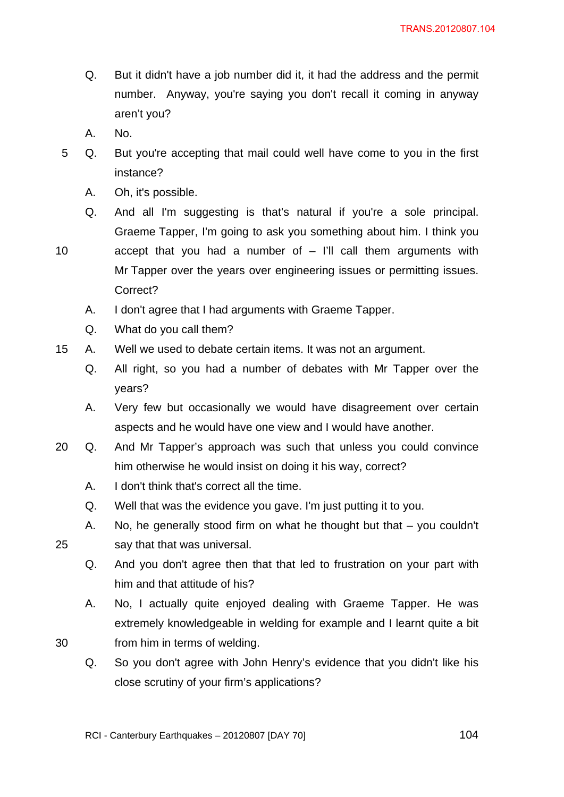- Q. But it didn't have a job number did it, it had the address and the permit number. Anyway, you're saying you don't recall it coming in anyway aren't you?
- A. No.
- 5 Q. But you're accepting that mail could well have come to you in the first instance?
	- A. Oh, it's possible.
	- Q. And all I'm suggesting is that's natural if you're a sole principal. Graeme Tapper, I'm going to ask you something about him. I think you

10 accept that you had a number of – I'll call them arguments with Mr Tapper over the years over engineering issues or permitting issues. Correct?

- A. I don't agree that I had arguments with Graeme Tapper.
- Q. What do you call them?
- 15 A. Well we used to debate certain items. It was not an argument.
	- Q. All right, so you had a number of debates with Mr Tapper over the years?
	- A. Very few but occasionally we would have disagreement over certain aspects and he would have one view and I would have another.
- 20 Q. And Mr Tapper's approach was such that unless you could convince him otherwise he would insist on doing it his way, correct?
	- A. I don't think that's correct all the time.
	- Q. Well that was the evidence you gave. I'm just putting it to you.
- A. No, he generally stood firm on what he thought but that you couldn't 25 say that that was universal.
	- Q. And you don't agree then that that led to frustration on your part with him and that attitude of his?
- A. No, I actually quite enjoyed dealing with Graeme Tapper. He was extremely knowledgeable in welding for example and I learnt quite a bit 30 from him in terms of welding.
	- Q. So you don't agree with John Henry's evidence that you didn't like his close scrutiny of your firm's applications?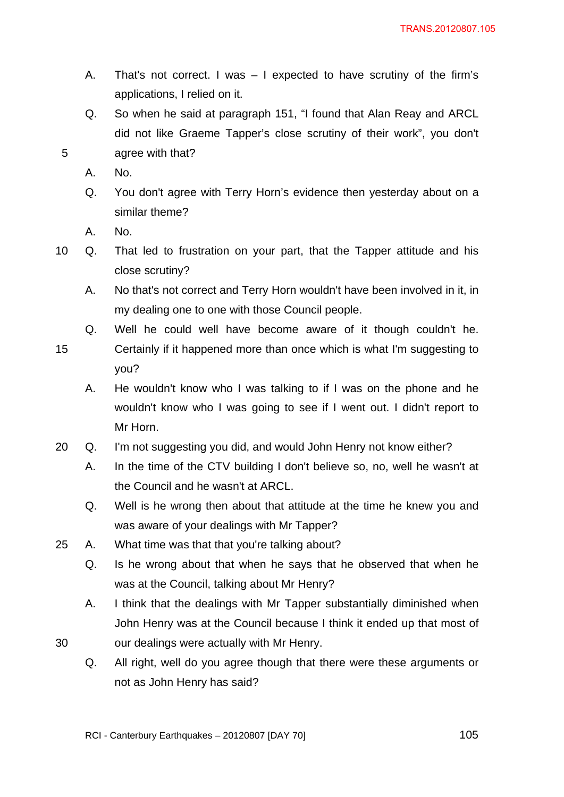- A. That's not correct. I was I expected to have scrutiny of the firm's applications, I relied on it.
- Q. So when he said at paragraph 151, "I found that Alan Reay and ARCL did not like Graeme Tapper's close scrutiny of their work", you don't 5 agree with that?
	- A. No.
	- Q. You don't agree with Terry Horn's evidence then yesterday about on a similar theme?
	- A. No.
- 10 Q. That led to frustration on your part, that the Tapper attitude and his close scrutiny?
	- A. No that's not correct and Terry Horn wouldn't have been involved in it, in my dealing one to one with those Council people.
	- Q. Well he could well have become aware of it though couldn't he.
- 15 Certainly if it happened more than once which is what I'm suggesting to you?
	- A. He wouldn't know who I was talking to if I was on the phone and he wouldn't know who I was going to see if I went out. I didn't report to Mr Horn.
- 20 Q. I'm not suggesting you did, and would John Henry not know either?
	- A. In the time of the CTV building I don't believe so, no, well he wasn't at the Council and he wasn't at ARCL.
	- Q. Well is he wrong then about that attitude at the time he knew you and was aware of your dealings with Mr Tapper?
- 25 A. What time was that that you're talking about?
	- Q. Is he wrong about that when he says that he observed that when he was at the Council, talking about Mr Henry?
- A. I think that the dealings with Mr Tapper substantially diminished when John Henry was at the Council because I think it ended up that most of 30 our dealings were actually with Mr Henry.
	- Q. All right, well do you agree though that there were these arguments or not as John Henry has said?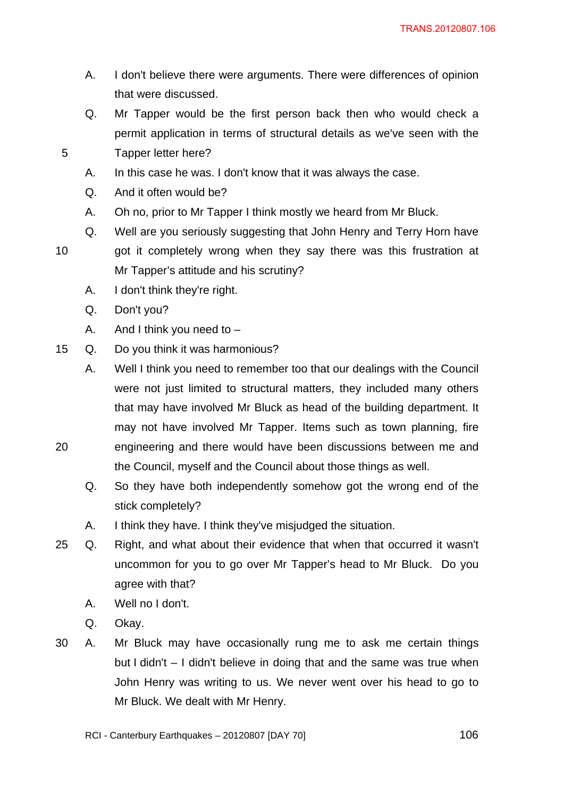- A. I don't believe there were arguments. There were differences of opinion that were discussed.
- Q. Mr Tapper would be the first person back then who would check a permit application in terms of structural details as we've seen with the 5 Tapper letter here?
	- A. In this case he was. I don't know that it was always the case.
	- Q. And it often would be?
	- A. Oh no, prior to Mr Tapper I think mostly we heard from Mr Bluck.
	- Q. Well are you seriously suggesting that John Henry and Terry Horn have
- 10 got it completely wrong when they say there was this frustration at Mr Tapper's attitude and his scrutiny?
	- A. I don't think they're right.
	- Q. Don't you?
	- A. And I think you need to  $-$
- 15 Q. Do you think it was harmonious?
- A. Well I think you need to remember too that our dealings with the Council were not just limited to structural matters, they included many others that may have involved Mr Bluck as head of the building department. It may not have involved Mr Tapper. Items such as town planning, fire 20 engineering and there would have been discussions between me and
	- the Council, myself and the Council about those things as well.
	- Q. So they have both independently somehow got the wrong end of the stick completely?
	- A. I think they have. I think they've misjudged the situation.
- 25 Q. Right, and what about their evidence that when that occurred it wasn't uncommon for you to go over Mr Tapper's head to Mr Bluck. Do you agree with that?
	- A. Well no I don't.
	- Q. Okay.
- 30 A. Mr Bluck may have occasionally rung me to ask me certain things but I didn't – I didn't believe in doing that and the same was true when John Henry was writing to us. We never went over his head to go to Mr Bluck. We dealt with Mr Henry.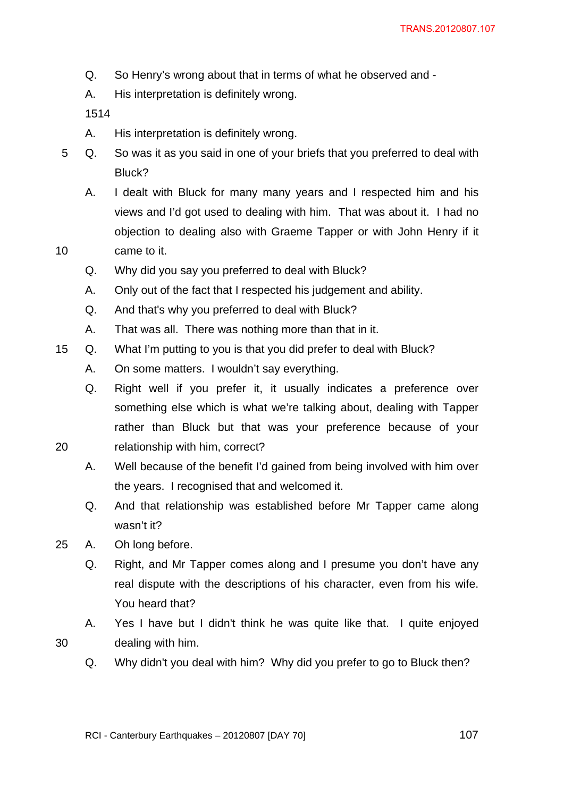- Q. So Henry's wrong about that in terms of what he observed and -
- A. His interpretation is definitely wrong.

1514

- A. His interpretation is definitely wrong.
- 5 Q. So was it as you said in one of your briefs that you preferred to deal with Bluck?
- A. I dealt with Bluck for many many years and I respected him and his views and I'd got used to dealing with him. That was about it. I had no objection to dealing also with Graeme Tapper or with John Henry if it 10 came to it.

- Q. Why did you say you preferred to deal with Bluck?
- A. Only out of the fact that I respected his judgement and ability.
- Q. And that's why you preferred to deal with Bluck?
- A. That was all. There was nothing more than that in it.
- 15 Q. What I'm putting to you is that you did prefer to deal with Bluck?
	- A. On some matters. I wouldn't say everything.
- Q. Right well if you prefer it, it usually indicates a preference over something else which is what we're talking about, dealing with Tapper rather than Bluck but that was your preference because of your 20 relationship with him, correct?
	- A. Well because of the benefit I'd gained from being involved with him over the years. I recognised that and welcomed it.
	- Q. And that relationship was established before Mr Tapper came along wasn't it?
- 25 A. Oh long before.
	- Q. Right, and Mr Tapper comes along and I presume you don't have any real dispute with the descriptions of his character, even from his wife. You heard that?
- A. Yes I have but I didn't think he was quite like that. I quite enjoyed 30 dealing with him.
- 
- Q. Why didn't you deal with him? Why did you prefer to go to Bluck then?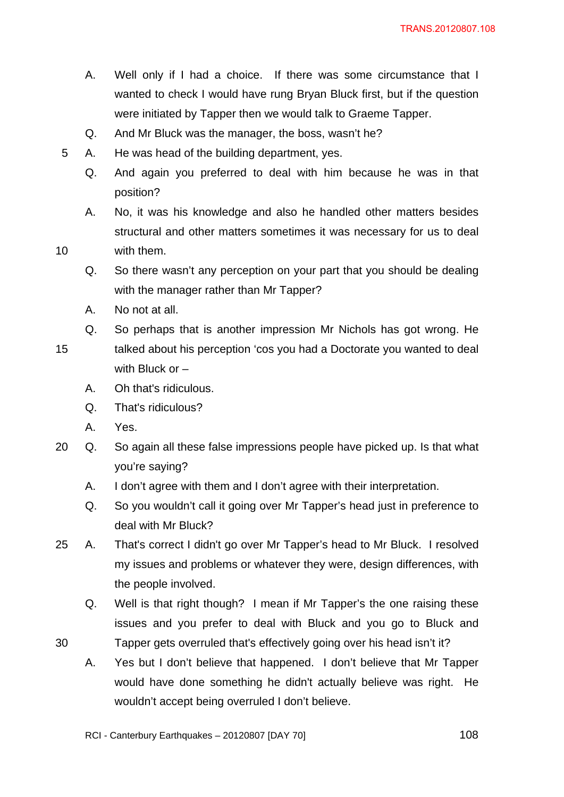- A. Well only if I had a choice. If there was some circumstance that I wanted to check I would have rung Bryan Bluck first, but if the question were initiated by Tapper then we would talk to Graeme Tapper.
- Q. And Mr Bluck was the manager, the boss, wasn't he?
- 5 A. He was head of the building department, yes.
	- Q. And again you preferred to deal with him because he was in that position?
- A. No, it was his knowledge and also he handled other matters besides structural and other matters sometimes it was necessary for us to deal 10 with them.

Q. So there wasn't any perception on your part that you should be dealing with the manager rather than Mr Tapper?

- A. No not at all.
- Q. So perhaps that is another impression Mr Nichols has got wrong. He
- 15 talked about his perception 'cos you had a Doctorate you wanted to deal with Bluck or –
	- A. Oh that's ridiculous.
	- Q. That's ridiculous?
	- A. Yes.
- 20 Q. So again all these false impressions people have picked up. Is that what you're saying?
	- A. I don't agree with them and I don't agree with their interpretation.
	- Q. So you wouldn't call it going over Mr Tapper's head just in preference to deal with Mr Bluck?
- 25 A. That's correct I didn't go over Mr Tapper's head to Mr Bluck. I resolved my issues and problems or whatever they were, design differences, with the people involved.
- Q. Well is that right though? I mean if Mr Tapper's the one raising these issues and you prefer to deal with Bluck and you go to Bluck and 30 Tapper gets overruled that's effectively going over his head isn't it?
	- A. Yes but I don't believe that happened. I don't believe that Mr Tapper would have done something he didn't actually believe was right. He wouldn't accept being overruled I don't believe.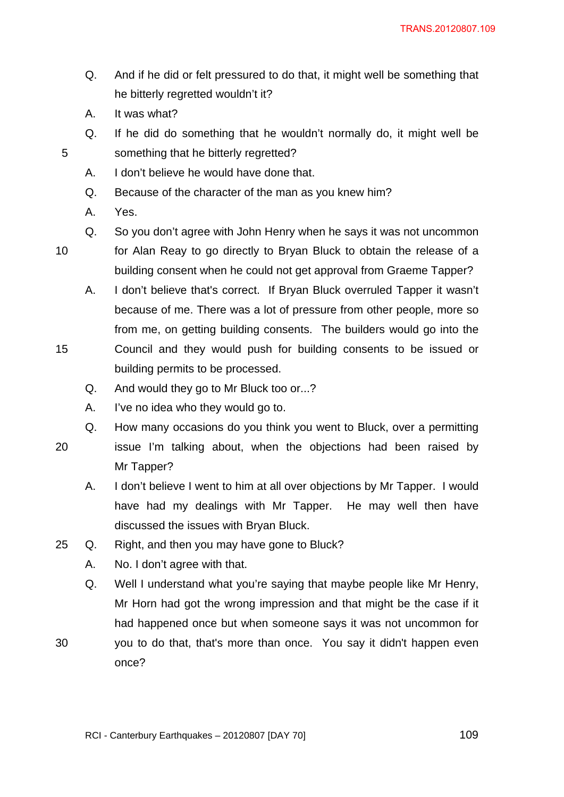- Q. And if he did or felt pressured to do that, it might well be something that he bitterly regretted wouldn't it?
- A. It was what?
- Q. If he did do something that he wouldn't normally do, it might well be 5 something that he bitterly regretted?
	- A. I don't believe he would have done that.
	- Q. Because of the character of the man as you knew him?
	- A. Yes.
- 
- Q. So you don't agree with John Henry when he says it was not uncommon

10 for Alan Reay to go directly to Bryan Bluck to obtain the release of a

- building consent when he could not get approval from Graeme Tapper? A. I don't believe that's correct. If Bryan Bluck overruled Tapper it wasn't because of me. There was a lot of pressure from other people, more so
- from me, on getting building consents. The builders would go into the 15 Council and they would push for building consents to be issued or building permits to be processed.
	- Q. And would they go to Mr Bluck too or...?
	- A. I've no idea who they would go to.

Q. How many occasions do you think you went to Bluck, over a permitting

- 
- 20 issue I'm talking about, when the objections had been raised by Mr Tapper?
	- A. I don't believe I went to him at all over objections by Mr Tapper. I would have had my dealings with Mr Tapper. He may well then have discussed the issues with Bryan Bluck.
- 25 Q. Right, and then you may have gone to Bluck?
	- A. No. I don't agree with that.
	- Q. Well I understand what you're saying that maybe people like Mr Henry, Mr Horn had got the wrong impression and that might be the case if it had happened once but when someone says it was not uncommon for
- 30 you to do that, that's more than once. You say it didn't happen even once?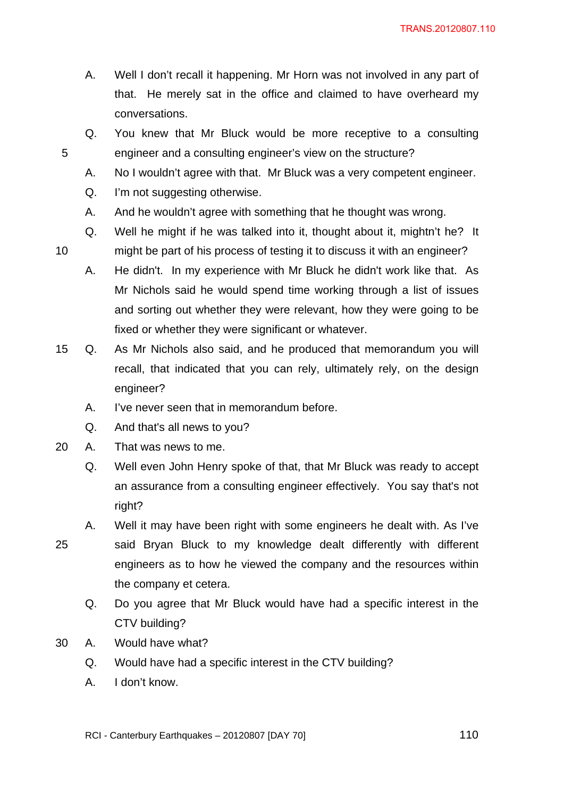- A. Well I don't recall it happening. Mr Horn was not involved in any part of that. He merely sat in the office and claimed to have overheard my conversations.
- Q. You knew that Mr Bluck would be more receptive to a consulting 5 engineer and a consulting engineer's view on the structure?
	- A. No I wouldn't agree with that. Mr Bluck was a very competent engineer.
	- Q. I'm not suggesting otherwise.
	- A. And he wouldn't agree with something that he thought was wrong.
- Q. Well he might if he was talked into it, thought about it, mightn't he? It 10 might be part of his process of testing it to discuss it with an engineer?
	- A. He didn't. In my experience with Mr Bluck he didn't work like that. As Mr Nichols said he would spend time working through a list of issues and sorting out whether they were relevant, how they were going to be fixed or whether they were significant or whatever.
- 15 Q. As Mr Nichols also said, and he produced that memorandum you will recall, that indicated that you can rely, ultimately rely, on the design engineer?
	- A. I've never seen that in memorandum before.
	- Q. And that's all news to you?
- 20 A. That was news to me.
	- Q. Well even John Henry spoke of that, that Mr Bluck was ready to accept an assurance from a consulting engineer effectively. You say that's not right?
- A. Well it may have been right with some engineers he dealt with. As I've 25 said Bryan Bluck to my knowledge dealt differently with different engineers as to how he viewed the company and the resources within the company et cetera.
	- Q. Do you agree that Mr Bluck would have had a specific interest in the CTV building?
- 30 A. Would have what?
	- Q. Would have had a specific interest in the CTV building?
	- A. I don't know.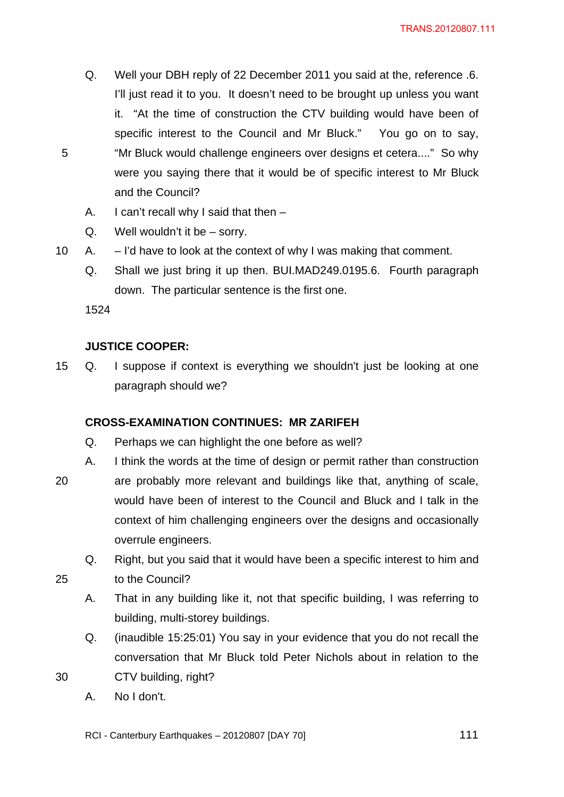- Q. Well your DBH reply of 22 December 2011 you said at the, reference .6. I'll just read it to you. It doesn't need to be brought up unless you want it. "At the time of construction the CTV building would have been of specific interest to the Council and Mr Bluck." You go on to say, 5 "Mr Bluck would challenge engineers over designs et cetera...." So why were you saying there that it would be of specific interest to Mr Bluck and the Council?
	- A. I can't recall why I said that then –
	- Q. Well wouldn't it be sorry.
- 10 A. I'd have to look at the context of why I was making that comment.
	- Q. Shall we just bring it up then. BUI.MAD249.0195.6. Fourth paragraph down. The particular sentence is the first one.

1524

#### **JUSTICE COOPER:**

15 Q. I suppose if context is everything we shouldn't just be looking at one paragraph should we?

#### **CROSS-EXAMINATION CONTINUES: MR ZARIFEH**

- Q. Perhaps we can highlight the one before as well?
- A. I think the words at the time of design or permit rather than construction
- 20 are probably more relevant and buildings like that, anything of scale, would have been of interest to the Council and Bluck and I talk in the context of him challenging engineers over the designs and occasionally overrule engineers.
- Q. Right, but you said that it would have been a specific interest to him and 25 to the Council?
	- A. That in any building like it, not that specific building, I was referring to building, multi-storey buildings.
- Q. (inaudible 15:25:01) You say in your evidence that you do not recall the conversation that Mr Bluck told Peter Nichols about in relation to the 30 CTV building, right?
	- A. No I don't.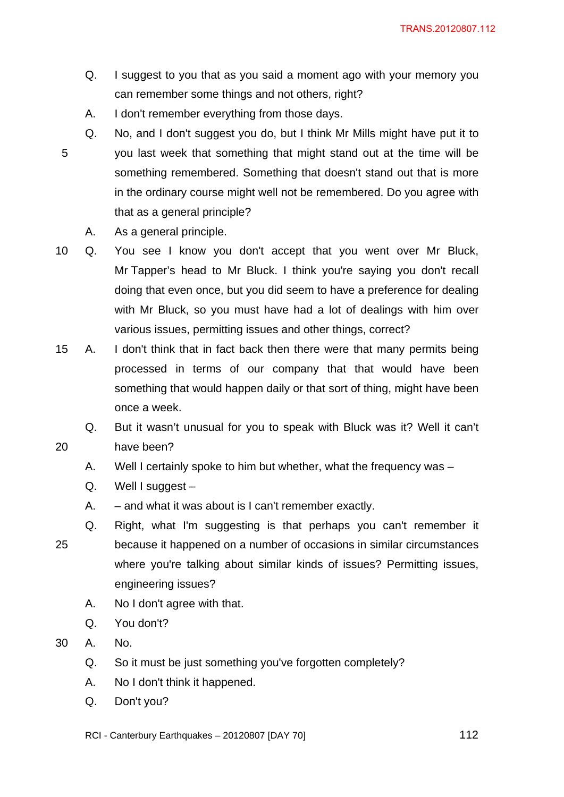- Q. I suggest to you that as you said a moment ago with your memory you can remember some things and not others, right?
- A. I don't remember everything from those days.
- Q. No, and I don't suggest you do, but I think Mr Mills might have put it to 5 you last week that something that might stand out at the time will be something remembered. Something that doesn't stand out that is more in the ordinary course might well not be remembered. Do you agree with that as a general principle?
	- A. As a general principle.

10 Q. You see I know you don't accept that you went over Mr Bluck, Mr Tapper's head to Mr Bluck. I think you're saying you don't recall doing that even once, but you did seem to have a preference for dealing with Mr Bluck, so you must have had a lot of dealings with him over various issues, permitting issues and other things, correct?

- 15 A. I don't think that in fact back then there were that many permits being processed in terms of our company that that would have been something that would happen daily or that sort of thing, might have been once a week.
- Q. But it wasn't unusual for you to speak with Bluck was it? Well it can't 20 have been?
	- A. Well I certainly spoke to him but whether, what the frequency was –
	- Q. Well I suggest –
	- A. and what it was about is I can't remember exactly.
- Q. Right, what I'm suggesting is that perhaps you can't remember it 25 because it happened on a number of occasions in similar circumstances where you're talking about similar kinds of issues? Permitting issues, engineering issues?
	- A. No I don't agree with that.
	- Q. You don't?
- 30 A. No.
	- Q. So it must be just something you've forgotten completely?
	- A. No I don't think it happened.
	- Q. Don't you?

RCI - Canterbury Earthquakes – 20120807 [DAY 70]  $112$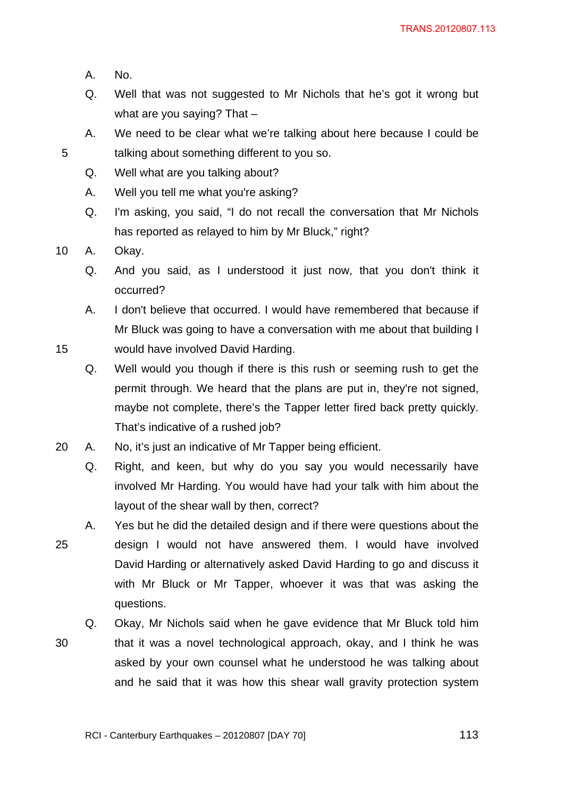- A. No.
- Q. Well that was not suggested to Mr Nichols that he's got it wrong but what are you saying? That –
- A. We need to be clear what we're talking about here because I could be 5 talking about something different to you so.
	- Q. Well what are you talking about?
	- A. Well you tell me what you're asking?
	- Q. I'm asking, you said, "I do not recall the conversation that Mr Nichols has reported as relayed to him by Mr Bluck," right?

10 A. Okay.

Q. And you said, as I understood it just now, that you don't think it occurred?

A. I don't believe that occurred. I would have remembered that because if Mr Bluck was going to have a conversation with me about that building I 15 would have involved David Harding.

- Q. Well would you though if there is this rush or seeming rush to get the permit through. We heard that the plans are put in, they're not signed, maybe not complete, there's the Tapper letter fired back pretty quickly. That's indicative of a rushed job?
- 20 A. No, it's just an indicative of Mr Tapper being efficient.
	- Q. Right, and keen, but why do you say you would necessarily have involved Mr Harding. You would have had your talk with him about the layout of the shear wall by then, correct?
- A. Yes but he did the detailed design and if there were questions about the 25 design I would not have answered them. I would have involved David Harding or alternatively asked David Harding to go and discuss it with Mr Bluck or Mr Tapper, whoever it was that was asking the questions.
- Q. Okay, Mr Nichols said when he gave evidence that Mr Bluck told him 30 that it was a novel technological approach, okay, and I think he was asked by your own counsel what he understood he was talking about and he said that it was how this shear wall gravity protection system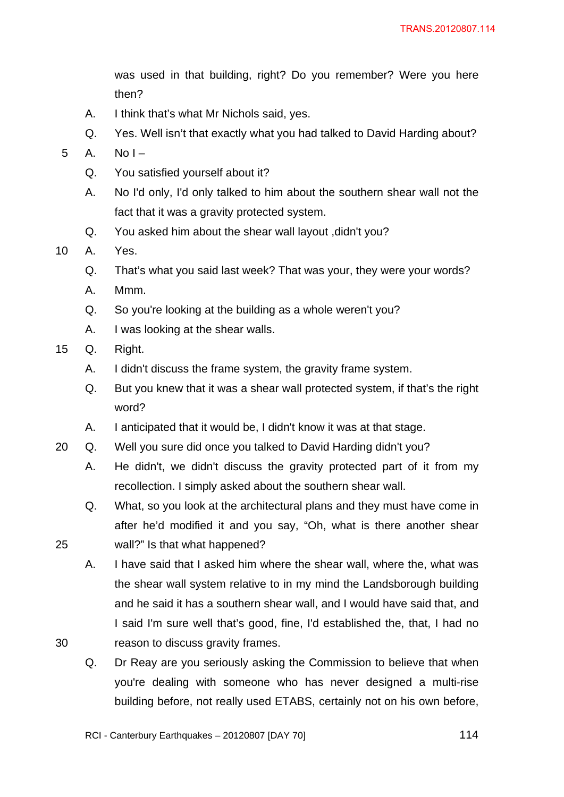was used in that building, right? Do you remember? Were you here then?

- A. I think that's what Mr Nichols said, yes.
- Q. Yes. Well isn't that exactly what you had talked to David Harding about?
- $5$  A. No I
	- Q. You satisfied yourself about it?
	- A. No I'd only, I'd only talked to him about the southern shear wall not the fact that it was a gravity protected system.
	- Q. You asked him about the shear wall layout ,didn't you?
- 10 A. Yes.
	- Q. That's what you said last week? That was your, they were your words?
	- A. Mmm.
	- Q. So you're looking at the building as a whole weren't you?
	- A. I was looking at the shear walls.
- 15 Q. Right.
	- A. I didn't discuss the frame system, the gravity frame system.
	- Q. But you knew that it was a shear wall protected system, if that's the right word?
	- A. I anticipated that it would be, I didn't know it was at that stage.
- 20 Q. Well you sure did once you talked to David Harding didn't you?
	- A. He didn't, we didn't discuss the gravity protected part of it from my recollection. I simply asked about the southern shear wall.
- Q. What, so you look at the architectural plans and they must have come in after he'd modified it and you say, "Oh, what is there another shear 25 wall?" Is that what happened?
- A. I have said that I asked him where the shear wall, where the, what was the shear wall system relative to in my mind the Landsborough building and he said it has a southern shear wall, and I would have said that, and I said I'm sure well that's good, fine, I'd established the, that, I had no 30 reason to discuss gravity frames.
	- Q. Dr Reay are you seriously asking the Commission to believe that when you're dealing with someone who has never designed a multi-rise building before, not really used ETABS, certainly not on his own before,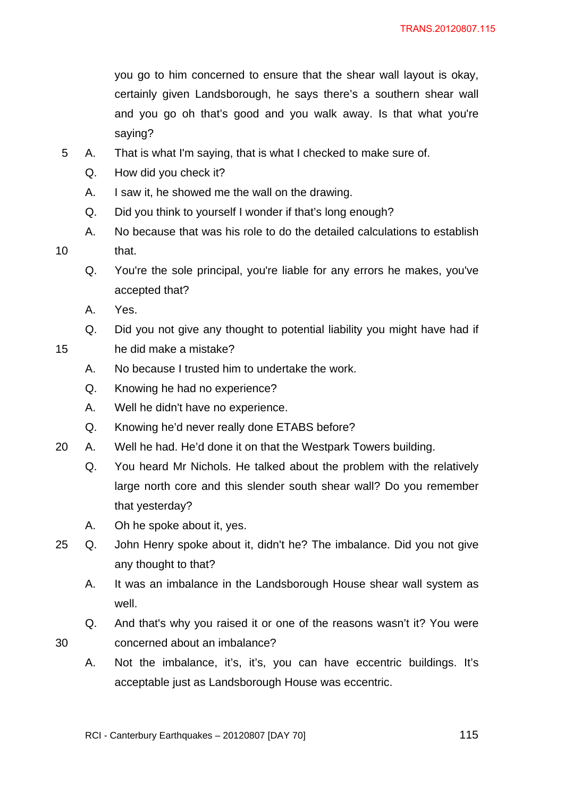you go to him concerned to ensure that the shear wall layout is okay, certainly given Landsborough, he says there's a southern shear wall and you go oh that's good and you walk away. Is that what you're saying?

- 5 A. That is what I'm saying, that is what I checked to make sure of.
	- Q. How did you check it?
	- A. I saw it, he showed me the wall on the drawing.
	- Q. Did you think to yourself I wonder if that's long enough?
- A. No because that was his role to do the detailed calculations to establish 10 that.
	- Q. You're the sole principal, you're liable for any errors he makes, you've accepted that?
	- A. Yes.
- Q. Did you not give any thought to potential liability you might have had if 15 he did make a mistake?
	- A. No because I trusted him to undertake the work.
	- Q. Knowing he had no experience?
	- A. Well he didn't have no experience.
	- Q. Knowing he'd never really done ETABS before?
- 20 A. Well he had. He'd done it on that the Westpark Towers building.
	- Q. You heard Mr Nichols. He talked about the problem with the relatively large north core and this slender south shear wall? Do you remember that yesterday?
	- A. Oh he spoke about it, yes.
- 25 Q. John Henry spoke about it, didn't he? The imbalance. Did you not give any thought to that?
	- A. It was an imbalance in the Landsborough House shear wall system as well.
- Q. And that's why you raised it or one of the reasons wasn't it? You were 30 concerned about an imbalance?
	- A. Not the imbalance, it's, it's, you can have eccentric buildings. It's acceptable just as Landsborough House was eccentric.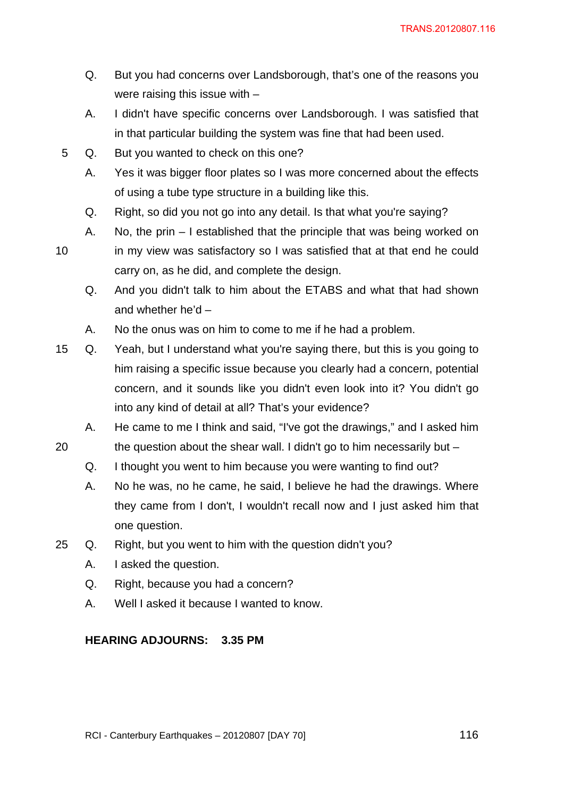- Q. But you had concerns over Landsborough, that's one of the reasons you were raising this issue with –
- A. I didn't have specific concerns over Landsborough. I was satisfied that in that particular building the system was fine that had been used.
- 5 Q. But you wanted to check on this one?
	- A. Yes it was bigger floor plates so I was more concerned about the effects of using a tube type structure in a building like this.
	- Q. Right, so did you not go into any detail. Is that what you're saying?
	- A. No, the prin I established that the principle that was being worked on
- 10 in my view was satisfactory so I was satisfied that at that end he could carry on, as he did, and complete the design.
	- Q. And you didn't talk to him about the ETABS and what that had shown and whether he'd –
	- A. No the onus was on him to come to me if he had a problem.
- 15 Q. Yeah, but I understand what you're saying there, but this is you going to him raising a specific issue because you clearly had a concern, potential concern, and it sounds like you didn't even look into it? You didn't go into any kind of detail at all? That's your evidence?
	- A. He came to me I think and said, "I've got the drawings," and I asked him
- 20 the question about the shear wall. I didn't go to him necessarily but
	- Q. I thought you went to him because you were wanting to find out?
	- A. No he was, no he came, he said, I believe he had the drawings. Where they came from I don't, I wouldn't recall now and I just asked him that one question.
- 25 Q. Right, but you went to him with the question didn't you?
	- A. I asked the question.
	- Q. Right, because you had a concern?
	- A. Well I asked it because I wanted to know.

### **HEARING ADJOURNS: 3.35 PM**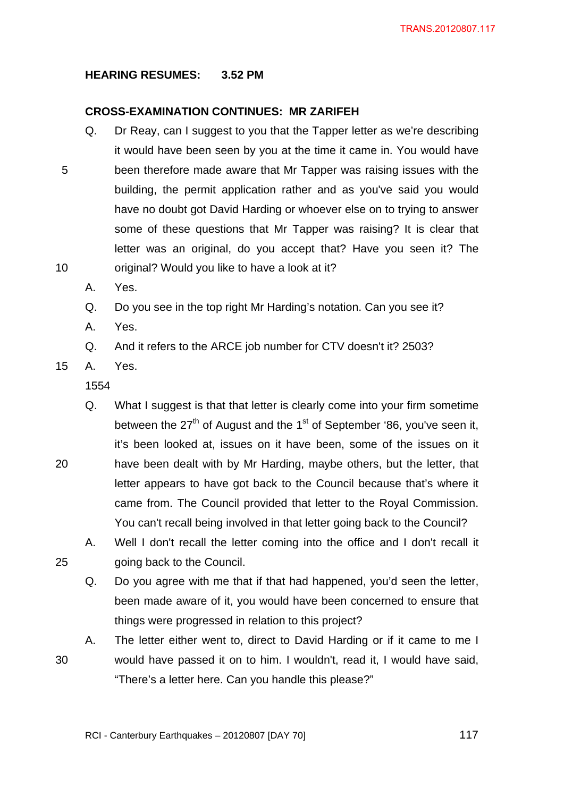### **HEARING RESUMES: 3.52 PM**

### **CROSS-EXAMINATION CONTINUES: MR ZARIFEH**

- Q. Dr Reay, can I suggest to you that the Tapper letter as we're describing it would have been seen by you at the time it came in. You would have 5 been therefore made aware that Mr Tapper was raising issues with the building, the permit application rather and as you've said you would have no doubt got David Harding or whoever else on to trying to answer some of these questions that Mr Tapper was raising? It is clear that letter was an original, do you accept that? Have you seen it? The 10 original? Would you like to have a look at it?
	- A. Yes.
	- Q. Do you see in the top right Mr Harding's notation. Can you see it?
	- A. Yes.

Q. And it refers to the ARCE job number for CTV doesn't it? 2503?

15 A. Yes.

1554

- Q. What I suggest is that that letter is clearly come into your firm sometime between the  $27<sup>th</sup>$  of August and the 1<sup>st</sup> of September '86, you've seen it, it's been looked at, issues on it have been, some of the issues on it 20 have been dealt with by Mr Harding, maybe others, but the letter, that letter appears to have got back to the Council because that's where it came from. The Council provided that letter to the Royal Commission. You can't recall being involved in that letter going back to the Council?
- A. Well I don't recall the letter coming into the office and I don't recall it 25 going back to the Council.
	- Q. Do you agree with me that if that had happened, you'd seen the letter, been made aware of it, you would have been concerned to ensure that things were progressed in relation to this project?

A. The letter either went to, direct to David Harding or if it came to me I 30 would have passed it on to him. I wouldn't, read it, I would have said, "There's a letter here. Can you handle this please?"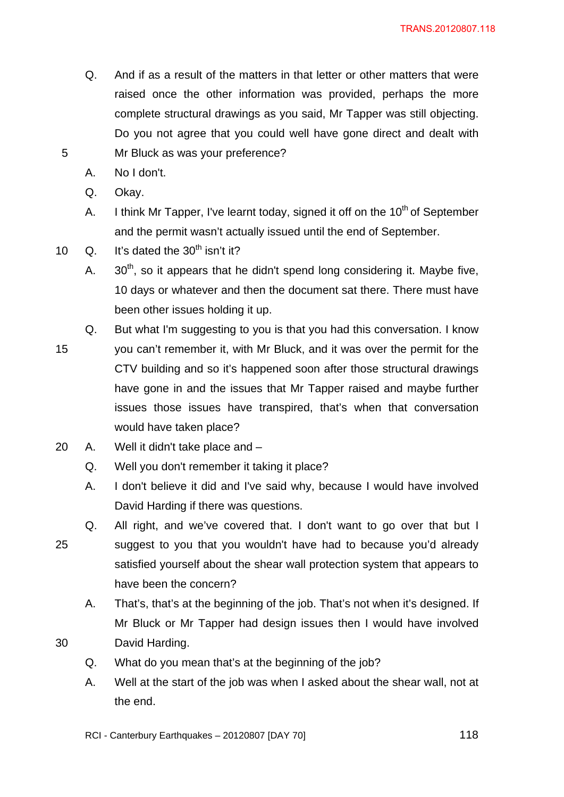- Q. And if as a result of the matters in that letter or other matters that were raised once the other information was provided, perhaps the more complete structural drawings as you said, Mr Tapper was still objecting. Do you not agree that you could well have gone direct and dealt with 5 Mr Bluck as was your preference?
	- A. No I don't.
	- Q. Okay.
	- A. I think Mr Tapper, I've learnt today, signed it off on the  $10<sup>th</sup>$  of September and the permit wasn't actually issued until the end of September.
- 10  $Q.$  It's dated the 30<sup>th</sup> isn't it?
	- A.  $30<sup>th</sup>$ , so it appears that he didn't spend long considering it. Maybe five, 10 days or whatever and then the document sat there. There must have been other issues holding it up.
	- Q. But what I'm suggesting to you is that you had this conversation. I know
- 15 you can't remember it, with Mr Bluck, and it was over the permit for the CTV building and so it's happened soon after those structural drawings have gone in and the issues that Mr Tapper raised and maybe further issues those issues have transpired, that's when that conversation would have taken place?
- 20 A. Well it didn't take place and
	- Q. Well you don't remember it taking it place?
	- A. I don't believe it did and I've said why, because I would have involved David Harding if there was questions.
- Q. All right, and we've covered that. I don't want to go over that but I 25 suggest to you that you wouldn't have had to because you'd already satisfied yourself about the shear wall protection system that appears to have been the concern?
	- A. That's, that's at the beginning of the job. That's not when it's designed. If Mr Bluck or Mr Tapper had design issues then I would have involved
- 30 David Harding.
	- Q. What do you mean that's at the beginning of the job?
	- A. Well at the start of the job was when I asked about the shear wall, not at the end.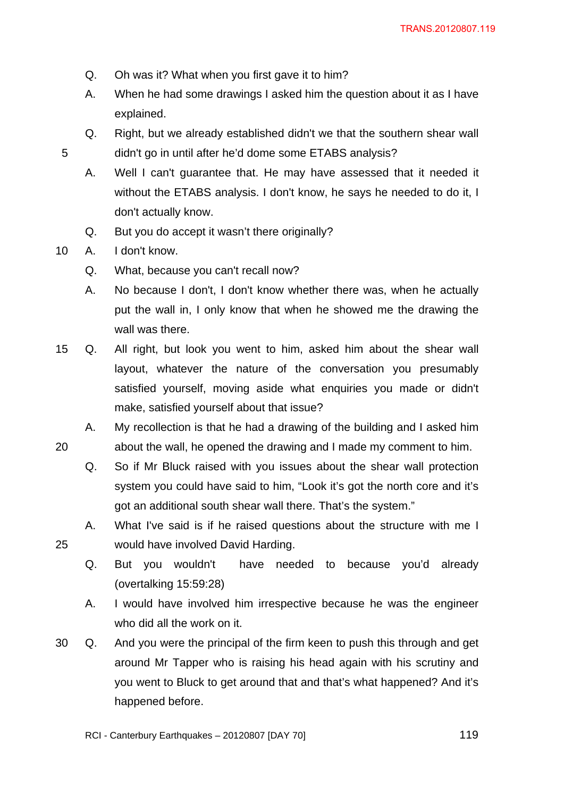- Q. Oh was it? What when you first gave it to him?
- A. When he had some drawings I asked him the question about it as I have explained.
- Q. Right, but we already established didn't we that the southern shear wall 5 didn't go in until after he'd dome some ETABS analysis?
	- A. Well I can't guarantee that. He may have assessed that it needed it without the ETABS analysis. I don't know, he says he needed to do it, I don't actually know.
	- Q. But you do accept it wasn't there originally?
- 10 A. I don't know.
	- Q. What, because you can't recall now?
	- A. No because I don't, I don't know whether there was, when he actually put the wall in, I only know that when he showed me the drawing the wall was there.
- 15 Q. All right, but look you went to him, asked him about the shear wall layout, whatever the nature of the conversation you presumably satisfied yourself, moving aside what enquiries you made or didn't make, satisfied yourself about that issue?
- A. My recollection is that he had a drawing of the building and I asked him 20 about the wall, he opened the drawing and I made my comment to him.
	- Q. So if Mr Bluck raised with you issues about the shear wall protection system you could have said to him, "Look it's got the north core and it's got an additional south shear wall there. That's the system."
- A. What I've said is if he raised questions about the structure with me I 25 would have involved David Harding.
	- Q. But you wouldn't have needed to because you'd already (overtalking 15:59:28)
	- A. I would have involved him irrespective because he was the engineer who did all the work on it.
- 30 Q. And you were the principal of the firm keen to push this through and get around Mr Tapper who is raising his head again with his scrutiny and you went to Bluck to get around that and that's what happened? And it's happened before.
	- RCI Canterbury Earthquakes 20120807 [DAY 70]  $119$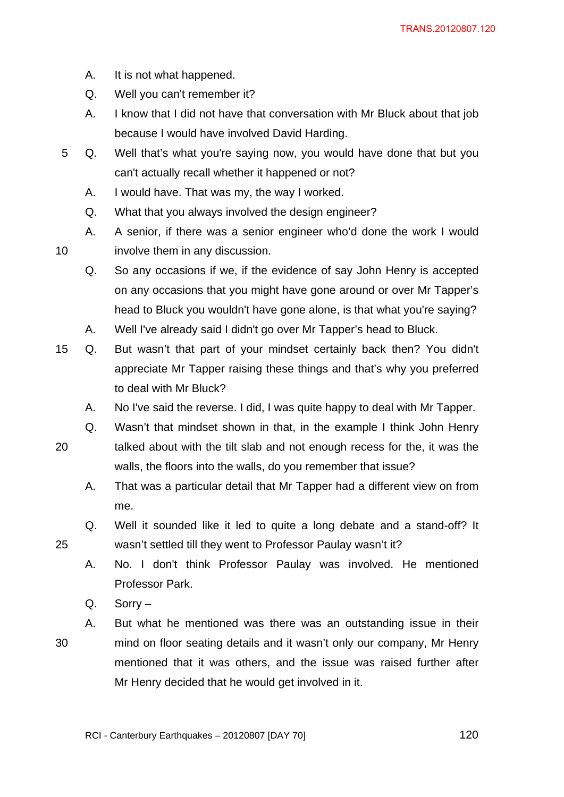- A. It is not what happened.
- Q. Well you can't remember it?
- A. I know that I did not have that conversation with Mr Bluck about that job because I would have involved David Harding.
- 5 Q. Well that's what you're saying now, you would have done that but you can't actually recall whether it happened or not?
	- A. I would have. That was my, the way I worked.
	- Q. What that you always involved the design engineer?
- A. A senior, if there was a senior engineer who'd done the work I would 10 involve them in any discussion.
	- Q. So any occasions if we, if the evidence of say John Henry is accepted on any occasions that you might have gone around or over Mr Tapper's head to Bluck you wouldn't have gone alone, is that what you're saying?
	- A. Well I've already said I didn't go over Mr Tapper's head to Bluck.
- 15 Q. But wasn't that part of your mindset certainly back then? You didn't appreciate Mr Tapper raising these things and that's why you preferred to deal with Mr Bluck?
	- A. No I've said the reverse. I did, I was quite happy to deal with Mr Tapper.
- 
- Q. Wasn't that mindset shown in that, in the example I think John Henry
- 20 talked about with the tilt slab and not enough recess for the, it was the walls, the floors into the walls, do you remember that issue?
	- A. That was a particular detail that Mr Tapper had a different view on from me.
- Q. Well it sounded like it led to quite a long debate and a stand-off? It 25 wasn't settled till they went to Professor Paulay wasn't it?
	- A. No. I don't think Professor Paulay was involved. He mentioned Professor Park.
	- Q. Sorry –
- A. But what he mentioned was there was an outstanding issue in their 30 mind on floor seating details and it wasn't only our company, Mr Henry mentioned that it was others, and the issue was raised further after Mr Henry decided that he would get involved in it.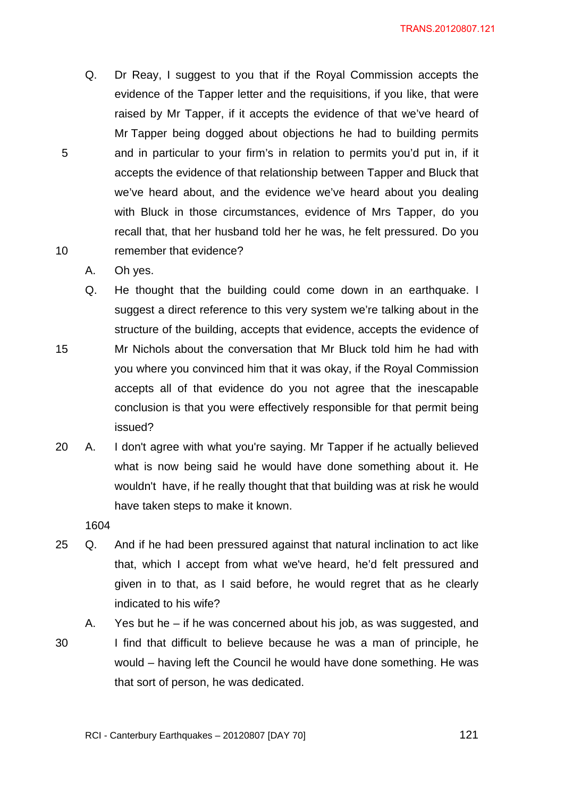- Q. Dr Reay, I suggest to you that if the Royal Commission accepts the evidence of the Tapper letter and the requisitions, if you like, that were raised by Mr Tapper, if it accepts the evidence of that we've heard of Mr Tapper being dogged about objections he had to building permits 5 and in particular to your firm's in relation to permits you'd put in, if it accepts the evidence of that relationship between Tapper and Bluck that we've heard about, and the evidence we've heard about you dealing with Bluck in those circumstances, evidence of Mrs Tapper, do you recall that, that her husband told her he was, he felt pressured. Do you 10 remember that evidence?
	- A. Oh yes.
- Q. He thought that the building could come down in an earthquake. I suggest a direct reference to this very system we're talking about in the structure of the building, accepts that evidence, accepts the evidence of 15 Mr Nichols about the conversation that Mr Bluck told him he had with you where you convinced him that it was okay, if the Royal Commission accepts all of that evidence do you not agree that the inescapable conclusion is that you were effectively responsible for that permit being issued?
- 20 A. I don't agree with what you're saying. Mr Tapper if he actually believed what is now being said he would have done something about it. He wouldn't have, if he really thought that that building was at risk he would have taken steps to make it known.

- 25 Q. And if he had been pressured against that natural inclination to act like that, which I accept from what we've heard, he'd felt pressured and given in to that, as I said before, he would regret that as he clearly indicated to his wife?
- A. Yes but he if he was concerned about his job, as was suggested, and 30 I find that difficult to believe because he was a man of principle, he would – having left the Council he would have done something. He was that sort of person, he was dedicated.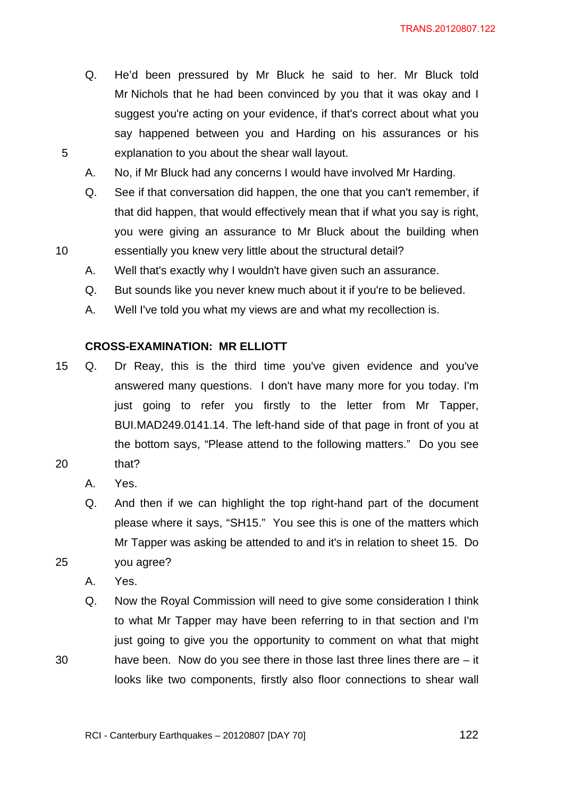- Q. He'd been pressured by Mr Bluck he said to her. Mr Bluck told Mr Nichols that he had been convinced by you that it was okay and I suggest you're acting on your evidence, if that's correct about what you say happened between you and Harding on his assurances or his 5 explanation to you about the shear wall layout.
	- A. No, if Mr Bluck had any concerns I would have involved Mr Harding.
- Q. See if that conversation did happen, the one that you can't remember, if that did happen, that would effectively mean that if what you say is right, you were giving an assurance to Mr Bluck about the building when 10 essentially you knew very little about the structural detail?
	- A. Well that's exactly why I wouldn't have given such an assurance.
	- Q. But sounds like you never knew much about it if you're to be believed.
	- A. Well I've told you what my views are and what my recollection is.

### **CROSS-EXAMINATION: MR ELLIOTT**

- 15 Q. Dr Reay, this is the third time you've given evidence and you've answered many questions. I don't have many more for you today. I'm just going to refer you firstly to the letter from Mr Tapper, BUI.MAD249.0141.14. The left-hand side of that page in front of you at the bottom says, "Please attend to the following matters." Do you see 20 that?
	- A. Yes.
- Q. And then if we can highlight the top right-hand part of the document please where it says, "SH15." You see this is one of the matters which Mr Tapper was asking be attended to and it's in relation to sheet 15. Do 25 you agree?
	- A. Yes.
- Q. Now the Royal Commission will need to give some consideration I think to what Mr Tapper may have been referring to in that section and I'm just going to give you the opportunity to comment on what that might 30 have been. Now do you see there in those last three lines there are – it looks like two components, firstly also floor connections to shear wall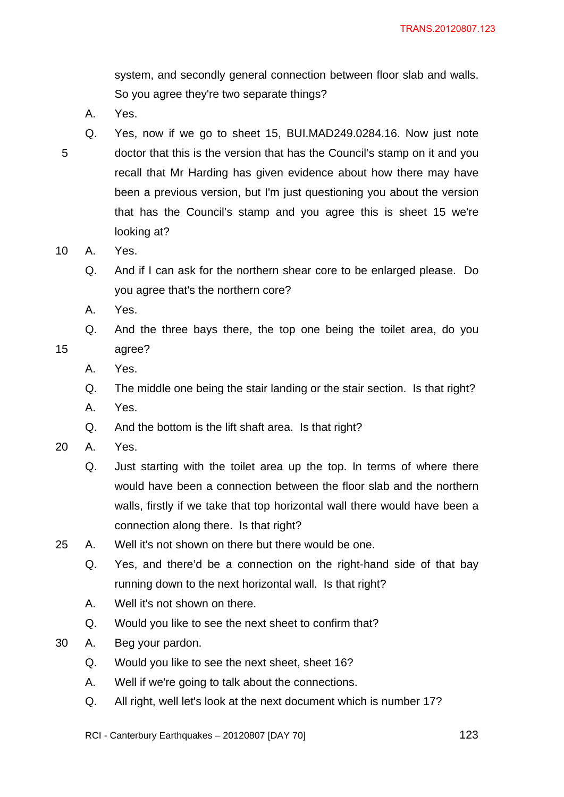system, and secondly general connection between floor slab and walls. So you agree they're two separate things?

- A. Yes.
- Q. Yes, now if we go to sheet 15, BUI.MAD249.0284.16. Now just note 5 doctor that this is the version that has the Council's stamp on it and you recall that Mr Harding has given evidence about how there may have been a previous version, but I'm just questioning you about the version that has the Council's stamp and you agree this is sheet 15 we're looking at?
- 10 A. Yes.
	- Q. And if I can ask for the northern shear core to be enlarged please. Do you agree that's the northern core?
	- A. Yes.
- Q. And the three bays there, the top one being the toilet area, do you 15 agree?
	- A. Yes.
	- Q. The middle one being the stair landing or the stair section. Is that right?
	- A. Yes.
	- Q. And the bottom is the lift shaft area. Is that right?
- 20 A. Yes.
	- Q. Just starting with the toilet area up the top. In terms of where there would have been a connection between the floor slab and the northern walls, firstly if we take that top horizontal wall there would have been a connection along there. Is that right?
- 25 A. Well it's not shown on there but there would be one.
	- Q. Yes, and there'd be a connection on the right-hand side of that bay running down to the next horizontal wall. Is that right?
	- A. Well it's not shown on there.
	- Q. Would you like to see the next sheet to confirm that?
- 30 A. Beg your pardon.
	- Q. Would you like to see the next sheet, sheet 16?
	- A. Well if we're going to talk about the connections.
	- Q. All right, well let's look at the next document which is number 17?
	- RCI Canterbury Earthquakes 20120807 [DAY 70]  $123$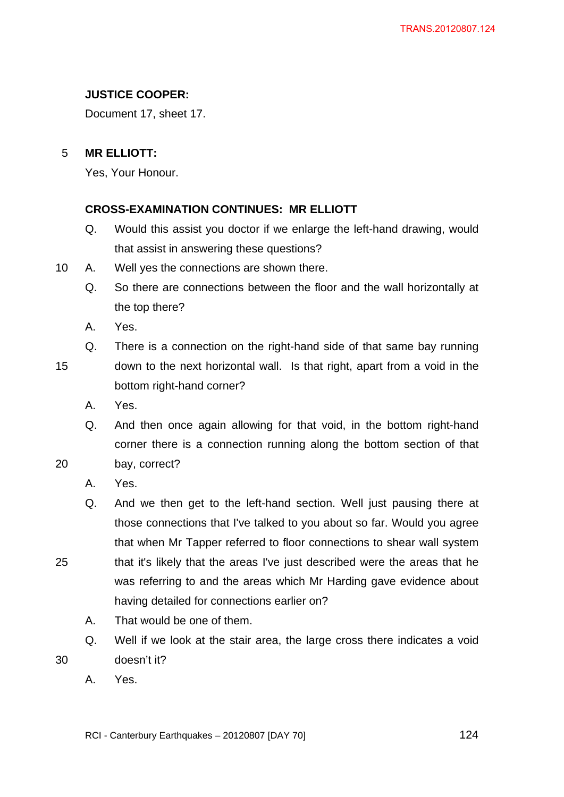# **JUSTICE COOPER:**

Document 17, sheet 17.

# 5 **MR ELLIOTT:**

Yes, Your Honour.

# **CROSS-EXAMINATION CONTINUES: MR ELLIOTT**

- Q. Would this assist you doctor if we enlarge the left-hand drawing, would that assist in answering these questions?
- 10 A. Well yes the connections are shown there.
	- Q. So there are connections between the floor and the wall horizontally at the top there?
	- A. Yes.
- 
- Q. There is a connection on the right-hand side of that same bay running 15 down to the next horizontal wall. Is that right, apart from a void in the bottom right-hand corner?
	- A. Yes.
- Q. And then once again allowing for that void, in the bottom right-hand corner there is a connection running along the bottom section of that 20 bay, correct?
	- A. Yes.
- Q. And we then get to the left-hand section. Well just pausing there at those connections that I've talked to you about so far. Would you agree that when Mr Tapper referred to floor connections to shear wall system 25 that it's likely that the areas I've just described were the areas that he was referring to and the areas which Mr Harding gave evidence about having detailed for connections earlier on?
	- A. That would be one of them.
- Q. Well if we look at the stair area, the large cross there indicates a void 30 doesn't it?
	- A. Yes.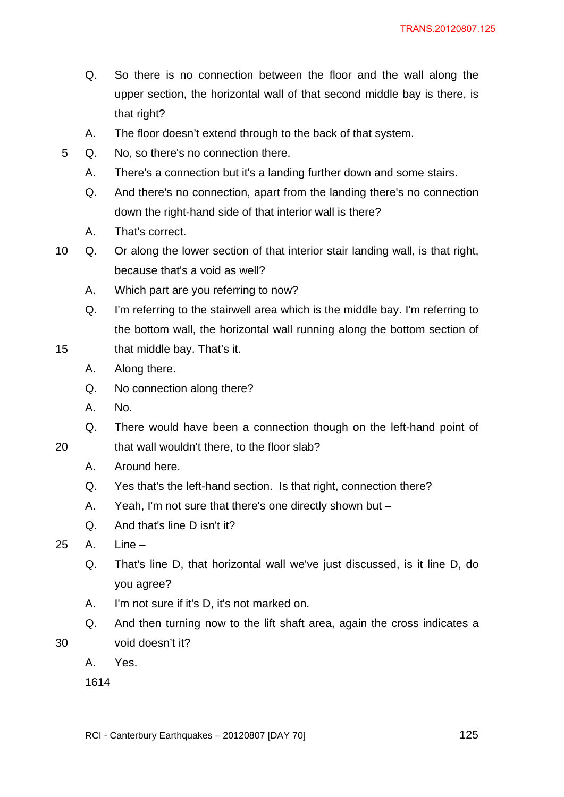- Q. So there is no connection between the floor and the wall along the upper section, the horizontal wall of that second middle bay is there, is that right?
- A. The floor doesn't extend through to the back of that system.
- 5 Q. No, so there's no connection there.
	- A. There's a connection but it's a landing further down and some stairs.
	- Q. And there's no connection, apart from the landing there's no connection down the right-hand side of that interior wall is there?
	- A. That's correct.
- 10 Q. Or along the lower section of that interior stair landing wall, is that right, because that's a void as well?
	- A. Which part are you referring to now?
- Q. I'm referring to the stairwell area which is the middle bay. I'm referring to the bottom wall, the horizontal wall running along the bottom section of 15 that middle bay. That's it.
	- A. Along there.
	- Q. No connection along there?
	- A. No.
	- Q. There would have been a connection though on the left-hand point of
- 20 that wall wouldn't there, to the floor slab?
	- A. Around here.
	- Q. Yes that's the left-hand section. Is that right, connection there?
	- A. Yeah, I'm not sure that there's one directly shown but –
	- Q. And that's line D isn't it?
- 25 A. Line
	- Q. That's line D, that horizontal wall we've just discussed, is it line D, do you agree?
	- A. I'm not sure if it's D, it's not marked on.
- Q. And then turning now to the lift shaft area, again the cross indicates a 30 void doesn't it?
	- A. Yes.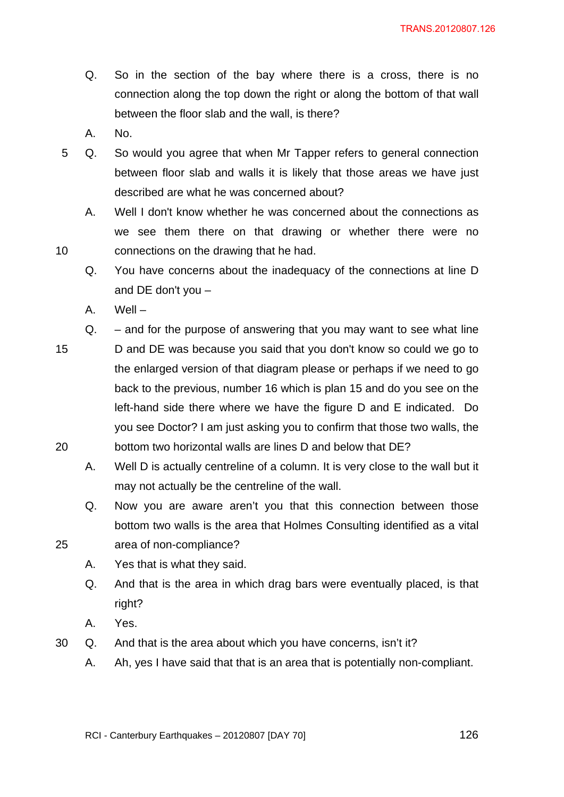- Q. So in the section of the bay where there is a cross, there is no connection along the top down the right or along the bottom of that wall between the floor slab and the wall, is there?
- A. No.
- 5 Q. So would you agree that when Mr Tapper refers to general connection between floor slab and walls it is likely that those areas we have just described are what he was concerned about?
- A. Well I don't know whether he was concerned about the connections as we see them there on that drawing or whether there were no 10 connections on the drawing that he had.
	- Q. You have concerns about the inadequacy of the connections at line D and DE don't you –
	- A. Well –
- Q. and for the purpose of answering that you may want to see what line 15 D and DE was because you said that you don't know so could we go to the enlarged version of that diagram please or perhaps if we need to go back to the previous, number 16 which is plan 15 and do you see on the left-hand side there where we have the figure D and E indicated. Do you see Doctor? I am just asking you to confirm that those two walls, the 20 bottom two horizontal walls are lines D and below that DE?
	- A. Well D is actually centreline of a column. It is very close to the wall but it may not actually be the centreline of the wall.
- Q. Now you are aware aren't you that this connection between those bottom two walls is the area that Holmes Consulting identified as a vital 25 area of non-compliance?
	- A. Yes that is what they said.
	- Q. And that is the area in which drag bars were eventually placed, is that right?
	- A. Yes.
- 30 Q. And that is the area about which you have concerns, isn't it?
	- A. Ah, yes I have said that that is an area that is potentially non-compliant.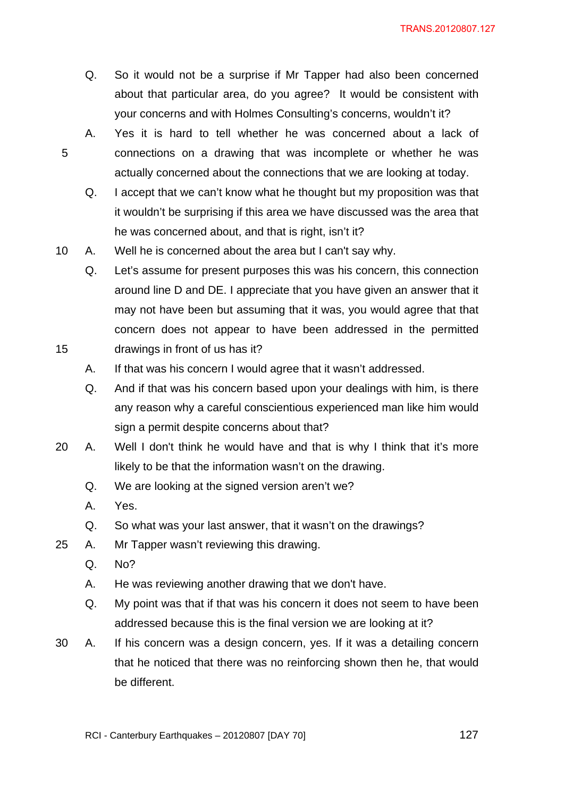- Q. So it would not be a surprise if Mr Tapper had also been concerned about that particular area, do you agree? It would be consistent with your concerns and with Holmes Consulting's concerns, wouldn't it?
- A. Yes it is hard to tell whether he was concerned about a lack of 5 connections on a drawing that was incomplete or whether he was actually concerned about the connections that we are looking at today.
	- Q. I accept that we can't know what he thought but my proposition was that it wouldn't be surprising if this area we have discussed was the area that he was concerned about, and that is right, isn't it?
- 10 A. Well he is concerned about the area but I can't say why.
- Q. Let's assume for present purposes this was his concern, this connection around line D and DE. I appreciate that you have given an answer that it may not have been but assuming that it was, you would agree that that concern does not appear to have been addressed in the permitted 15 drawings in front of us has it?
	- A. If that was his concern I would agree that it wasn't addressed.
	- Q. And if that was his concern based upon your dealings with him, is there any reason why a careful conscientious experienced man like him would sign a permit despite concerns about that?
- 20 A. Well I don't think he would have and that is why I think that it's more likely to be that the information wasn't on the drawing.
	- Q. We are looking at the signed version aren't we?
	- A. Yes.
	- Q. So what was your last answer, that it wasn't on the drawings?
- 25 A. Mr Tapper wasn't reviewing this drawing.
	- Q. No?
	- A. He was reviewing another drawing that we don't have.
	- Q. My point was that if that was his concern it does not seem to have been addressed because this is the final version we are looking at it?
- 30 A. If his concern was a design concern, yes. If it was a detailing concern that he noticed that there was no reinforcing shown then he, that would be different.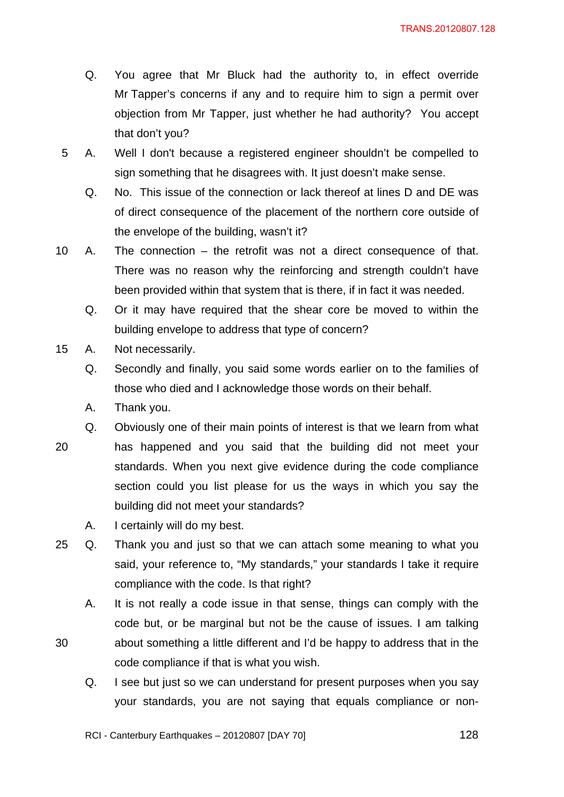- Q. You agree that Mr Bluck had the authority to, in effect override Mr Tapper's concerns if any and to require him to sign a permit over objection from Mr Tapper, just whether he had authority? You accept that don't you?
- 5 A. Well I don't because a registered engineer shouldn't be compelled to sign something that he disagrees with. It just doesn't make sense.
	- Q. No. This issue of the connection or lack thereof at lines D and DE was of direct consequence of the placement of the northern core outside of the envelope of the building, wasn't it?
- 10 A. The connection the retrofit was not a direct consequence of that. There was no reason why the reinforcing and strength couldn't have been provided within that system that is there, if in fact it was needed.
	- Q. Or it may have required that the shear core be moved to within the building envelope to address that type of concern?
- 15 A. Not necessarily.
	- Q. Secondly and finally, you said some words earlier on to the families of those who died and I acknowledge those words on their behalf.
	- A. Thank you.
	- Q. Obviously one of their main points of interest is that we learn from what
- 20 has happened and you said that the building did not meet your standards. When you next give evidence during the code compliance section could you list please for us the ways in which you say the building did not meet your standards?
	- A. I certainly will do my best.
- 25 Q. Thank you and just so that we can attach some meaning to what you said, your reference to, "My standards," your standards I take it require compliance with the code. Is that right?
- A. It is not really a code issue in that sense, things can comply with the code but, or be marginal but not be the cause of issues. I am talking 30 about something a little different and I'd be happy to address that in the
	- Q. I see but just so we can understand for present purposes when you say your standards, you are not saying that equals compliance or non-

RCI - Canterbury Earthquakes – 20120807 [DAY 70]  $128$ 

code compliance if that is what you wish.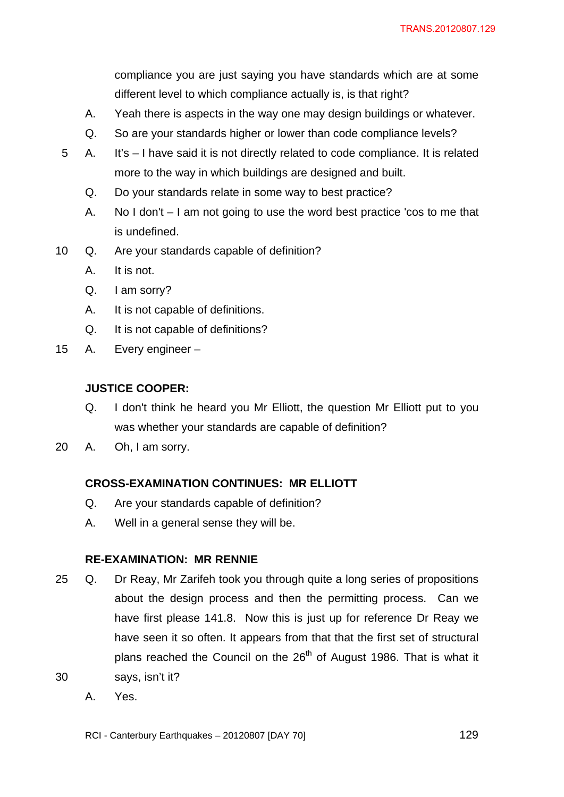compliance you are just saying you have standards which are at some different level to which compliance actually is, is that right?

- A. Yeah there is aspects in the way one may design buildings or whatever.
- Q. So are your standards higher or lower than code compliance levels?
- 5 A. It's I have said it is not directly related to code compliance. It is related more to the way in which buildings are designed and built.
	- Q. Do your standards relate in some way to best practice?
	- A. No I don't I am not going to use the word best practice 'cos to me that is undefined.
- 10 Q. Are your standards capable of definition?
	- A. It is not.
	- Q. I am sorry?
	- A. It is not capable of definitions.
	- Q. It is not capable of definitions?
- 15 A. Every engineer –

#### **JUSTICE COOPER:**

- Q. I don't think he heard you Mr Elliott, the question Mr Elliott put to you was whether your standards are capable of definition?
- 20 A. Oh, I am sorry.

#### **CROSS-EXAMINATION CONTINUES: MR ELLIOTT**

- Q. Are your standards capable of definition?
- A. Well in a general sense they will be.

#### **RE-EXAMINATION: MR RENNIE**

- 25 Q. Dr Reay, Mr Zarifeh took you through quite a long series of propositions about the design process and then the permitting process. Can we have first please 141.8. Now this is just up for reference Dr Reay we have seen it so often. It appears from that that the first set of structural plans reached the Council on the  $26<sup>th</sup>$  of August 1986. That is what it 30 says, isn't it?
	- A. Yes.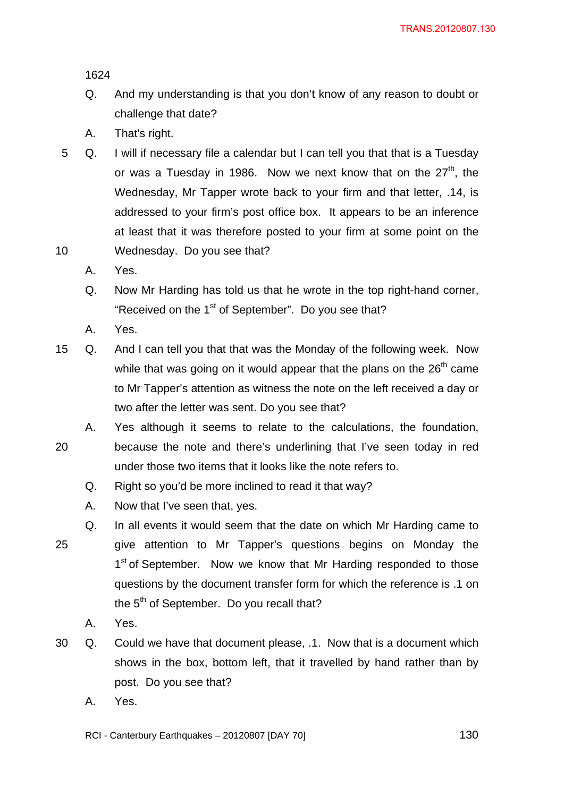- Q. And my understanding is that you don't know of any reason to doubt or challenge that date?
- A. That's right.
- 5 Q. I will if necessary file a calendar but I can tell you that that is a Tuesday or was a Tuesday in 1986. Now we next know that on the  $27<sup>th</sup>$ . the Wednesday, Mr Tapper wrote back to your firm and that letter, .14, is addressed to your firm's post office box. It appears to be an inference at least that it was therefore posted to your firm at some point on the 10 Wednesday. Do you see that?
	- A. Yes.
	- Q. Now Mr Harding has told us that he wrote in the top right-hand corner, "Received on the 1<sup>st</sup> of September". Do you see that?
	- A. Yes.
- 15 Q. And I can tell you that that was the Monday of the following week. Now while that was going on it would appear that the plans on the  $26<sup>th</sup>$  came to Mr Tapper's attention as witness the note on the left received a day or two after the letter was sent. Do you see that?
- A. Yes although it seems to relate to the calculations, the foundation, 20 because the note and there's underlining that I've seen today in red under those two items that it looks like the note refers to.
	- Q. Right so you'd be more inclined to read it that way?
	- A. Now that I've seen that, yes.
- Q. In all events it would seem that the date on which Mr Harding came to 25 give attention to Mr Tapper's questions begins on Monday the 1<sup>st</sup> of September. Now we know that Mr Harding responded to those questions by the document transfer form for which the reference is .1 on the  $5<sup>th</sup>$  of September. Do you recall that?
	- A. Yes.
- 30 Q. Could we have that document please, .1. Now that is a document which shows in the box, bottom left, that it travelled by hand rather than by post. Do you see that?
	- A. Yes.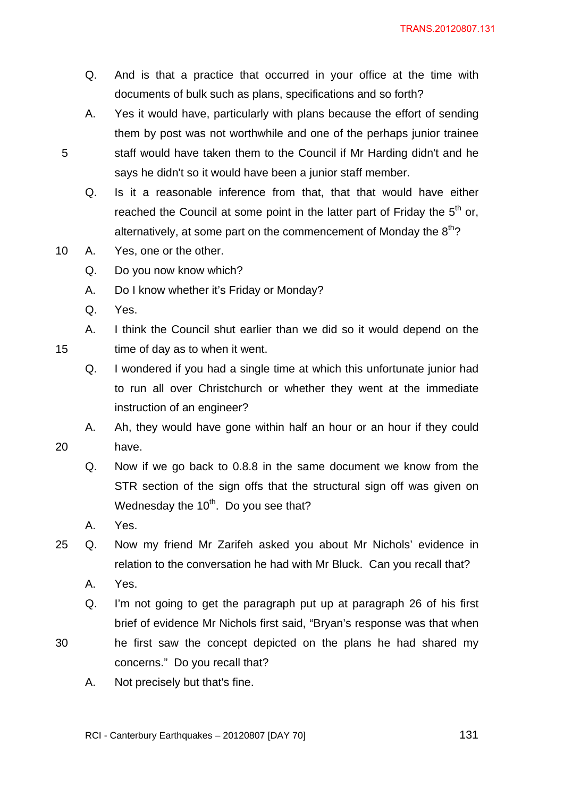- Q. And is that a practice that occurred in your office at the time with documents of bulk such as plans, specifications and so forth?
- A. Yes it would have, particularly with plans because the effort of sending them by post was not worthwhile and one of the perhaps junior trainee 5 staff would have taken them to the Council if Mr Harding didn't and he says he didn't so it would have been a junior staff member.
	- Q. Is it a reasonable inference from that, that that would have either reached the Council at some point in the latter part of Friday the  $5<sup>th</sup>$  or, alternatively, at some part on the commencement of Monday the  $8<sup>th</sup>$ ?
- 10 A. Yes, one or the other.
	- Q. Do you now know which?
	- A. Do I know whether it's Friday or Monday?
	- Q. Yes.
- A. I think the Council shut earlier than we did so it would depend on the 15 time of day as to when it went.
	- Q. I wondered if you had a single time at which this unfortunate junior had to run all over Christchurch or whether they went at the immediate instruction of an engineer?
- A. Ah, they would have gone within half an hour or an hour if they could 20 have.
	- Q. Now if we go back to 0.8.8 in the same document we know from the STR section of the sign offs that the structural sign off was given on Wednesday the  $10<sup>th</sup>$ . Do you see that?
	- A. Yes.
- 25 Q. Now my friend Mr Zarifeh asked you about Mr Nichols' evidence in relation to the conversation he had with Mr Bluck. Can you recall that?
	- A. Yes.
	- Q. I'm not going to get the paragraph put up at paragraph 26 of his first brief of evidence Mr Nichols first said, "Bryan's response was that when
- 30 he first saw the concept depicted on the plans he had shared my concerns." Do you recall that?
	- A. Not precisely but that's fine.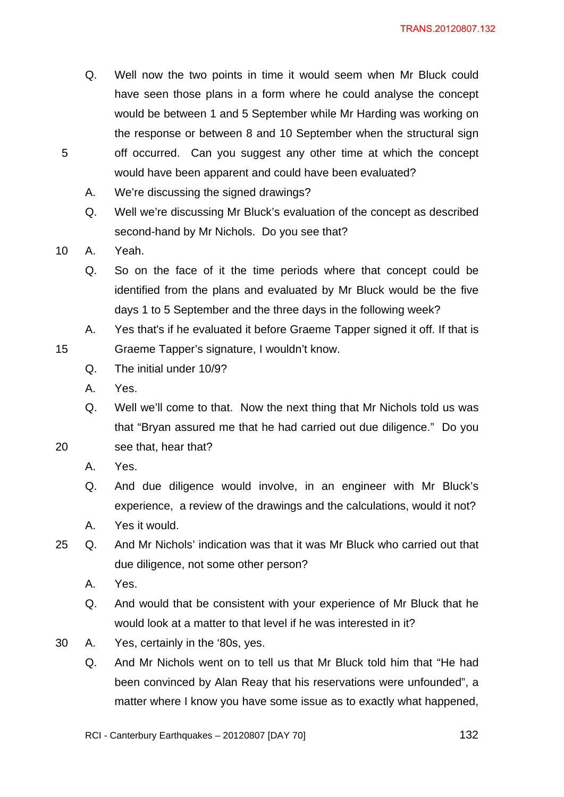- Q. Well now the two points in time it would seem when Mr Bluck could have seen those plans in a form where he could analyse the concept would be between 1 and 5 September while Mr Harding was working on the response or between 8 and 10 September when the structural sign 5 off occurred. Can you suggest any other time at which the concept would have been apparent and could have been evaluated?
	- A. We're discussing the signed drawings?
	- Q. Well we're discussing Mr Bluck's evaluation of the concept as described second-hand by Mr Nichols. Do you see that?
- 10 A. Yeah.
	- Q. So on the face of it the time periods where that concept could be identified from the plans and evaluated by Mr Bluck would be the five days 1 to 5 September and the three days in the following week?
- A. Yes that's if he evaluated it before Graeme Tapper signed it off. If that is 15 Graeme Tapper's signature, I wouldn't know.
	- Q. The initial under 10/9?
	- A. Yes.
- Q. Well we'll come to that. Now the next thing that Mr Nichols told us was that "Bryan assured me that he had carried out due diligence." Do you 20 see that, hear that?
	- A. Yes.
	- Q. And due diligence would involve, in an engineer with Mr Bluck's experience, a review of the drawings and the calculations, would it not?
	- A. Yes it would.
- 25 Q. And Mr Nichols' indication was that it was Mr Bluck who carried out that due diligence, not some other person?
	- A. Yes.
	- Q. And would that be consistent with your experience of Mr Bluck that he would look at a matter to that level if he was interested in it?
- 30 A. Yes, certainly in the '80s, yes.
	- Q. And Mr Nichols went on to tell us that Mr Bluck told him that "He had been convinced by Alan Reay that his reservations were unfounded", a matter where I know you have some issue as to exactly what happened,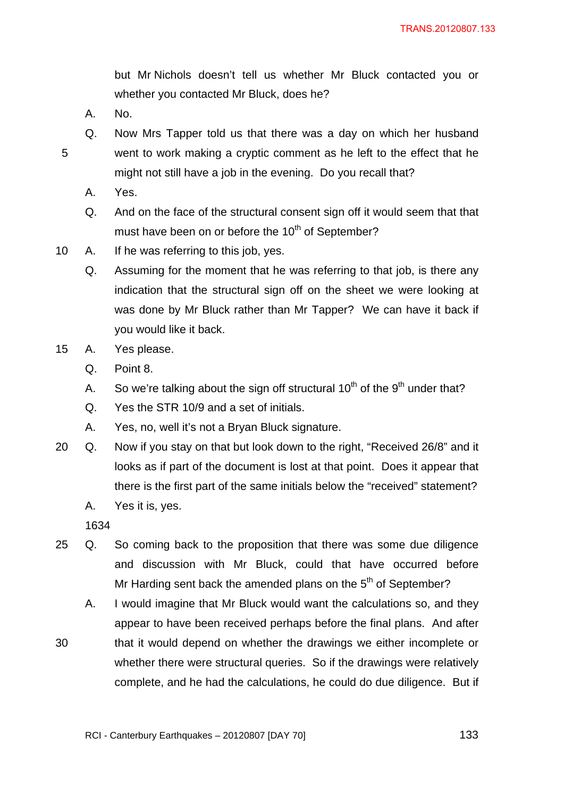but Mr Nichols doesn't tell us whether Mr Bluck contacted you or whether you contacted Mr Bluck, does he?

- A. No.
- Q. Now Mrs Tapper told us that there was a day on which her husband 5 went to work making a cryptic comment as he left to the effect that he might not still have a job in the evening. Do you recall that?
	- A. Yes.
	- Q. And on the face of the structural consent sign off it would seem that that must have been on or before the  $10<sup>th</sup>$  of September?
- 10 A. If he was referring to this job, yes.
	- Q. Assuming for the moment that he was referring to that job, is there any indication that the structural sign off on the sheet we were looking at was done by Mr Bluck rather than Mr Tapper? We can have it back if you would like it back.
- 15 A. Yes please.
	- Q. Point 8.
	- A. So we're talking about the sign off structural  $10^{th}$  of the  $9^{th}$  under that?
	- Q. Yes the STR 10/9 and a set of initials.
	- A. Yes, no, well it's not a Bryan Bluck signature.
- 20 Q. Now if you stay on that but look down to the right, "Received 26/8" and it looks as if part of the document is lost at that point. Does it appear that there is the first part of the same initials below the "received" statement?
	- A. Yes it is, yes.

- 25 Q. So coming back to the proposition that there was some due diligence and discussion with Mr Bluck, could that have occurred before Mr Harding sent back the amended plans on the  $5<sup>th</sup>$  of September?
	- A. I would imagine that Mr Bluck would want the calculations so, and they appear to have been received perhaps before the final plans. And after
- 30 that it would depend on whether the drawings we either incomplete or whether there were structural queries. So if the drawings were relatively complete, and he had the calculations, he could do due diligence. But if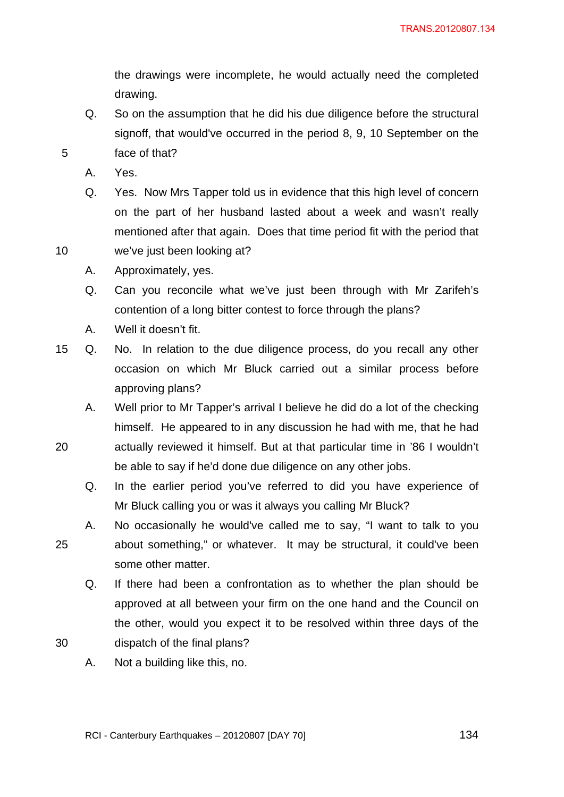the drawings were incomplete, he would actually need the completed drawing.

- Q. So on the assumption that he did his due diligence before the structural signoff, that would've occurred in the period 8, 9, 10 September on the 5 face of that?
	- A. Yes.
- Q. Yes. Now Mrs Tapper told us in evidence that this high level of concern on the part of her husband lasted about a week and wasn't really mentioned after that again. Does that time period fit with the period that 10 we've just been looking at?
	- A. Approximately, yes.
	- Q. Can you reconcile what we've just been through with Mr Zarifeh's contention of a long bitter contest to force through the plans?
	- A. Well it doesn't fit.
- 15 Q. No. In relation to the due diligence process, do you recall any other occasion on which Mr Bluck carried out a similar process before approving plans?
- A. Well prior to Mr Tapper's arrival I believe he did do a lot of the checking himself. He appeared to in any discussion he had with me, that he had 20 actually reviewed it himself. But at that particular time in '86 I wouldn't
	- be able to say if he'd done due diligence on any other jobs.
	- Q. In the earlier period you've referred to did you have experience of Mr Bluck calling you or was it always you calling Mr Bluck?
- A. No occasionally he would've called me to say, "I want to talk to you 25 about something," or whatever. It may be structural, it could've been some other matter.
- Q. If there had been a confrontation as to whether the plan should be approved at all between your firm on the one hand and the Council on the other, would you expect it to be resolved within three days of the 30 dispatch of the final plans?
	- A. Not a building like this, no.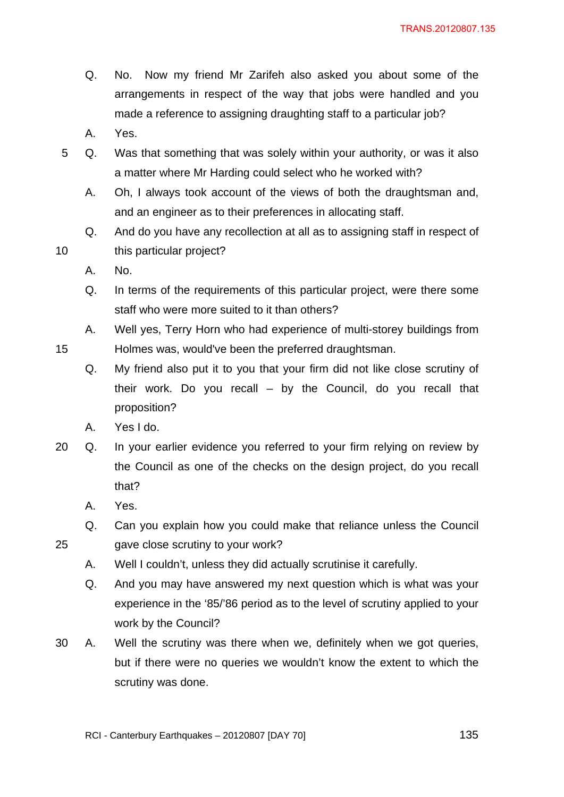- Q. No. Now my friend Mr Zarifeh also asked you about some of the arrangements in respect of the way that jobs were handled and you made a reference to assigning draughting staff to a particular job?
- A. Yes.
- 5 Q. Was that something that was solely within your authority, or was it also a matter where Mr Harding could select who he worked with?
	- A. Oh, I always took account of the views of both the draughtsman and, and an engineer as to their preferences in allocating staff.
- Q. And do you have any recollection at all as to assigning staff in respect of 10 this particular project?
	- A. No.
	- Q. In terms of the requirements of this particular project, were there some staff who were more suited to it than others?
- A. Well yes, Terry Horn who had experience of multi-storey buildings from 15 Holmes was, would've been the preferred draughtsman.
	- Q. My friend also put it to you that your firm did not like close scrutiny of their work. Do you recall – by the Council, do you recall that proposition?
	- A. Yes I do.
- 20 Q. In your earlier evidence you referred to your firm relying on review by the Council as one of the checks on the design project, do you recall that?
	- A. Yes.
- Q. Can you explain how you could make that reliance unless the Council 25 gave close scrutiny to your work?
	- A. Well I couldn't, unless they did actually scrutinise it carefully.
	- Q. And you may have answered my next question which is what was your experience in the '85/'86 period as to the level of scrutiny applied to your work by the Council?
- 30 A. Well the scrutiny was there when we, definitely when we got queries, but if there were no queries we wouldn't know the extent to which the scrutiny was done.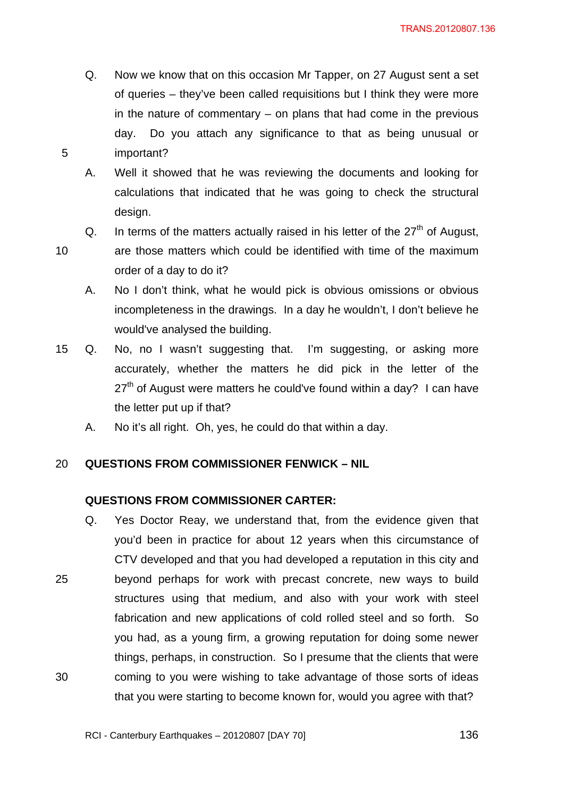- Q. Now we know that on this occasion Mr Tapper, on 27 August sent a set of queries – they've been called requisitions but I think they were more in the nature of commentary – on plans that had come in the previous day. Do you attach any significance to that as being unusual or 5 important?
	- A. Well it showed that he was reviewing the documents and looking for calculations that indicated that he was going to check the structural design.
	- Q. In terms of the matters actually raised in his letter of the  $27<sup>th</sup>$  of August,

- 10 are those matters which could be identified with time of the maximum order of a day to do it?
	- A. No I don't think, what he would pick is obvious omissions or obvious incompleteness in the drawings. In a day he wouldn't, I don't believe he would've analysed the building.
- 15 Q. No, no I wasn't suggesting that. I'm suggesting, or asking more accurately, whether the matters he did pick in the letter of the  $27<sup>th</sup>$  of August were matters he could've found within a day? I can have the letter put up if that?
	- A. No it's all right. Oh, yes, he could do that within a day.

## 20 **QUESTIONS FROM COMMISSIONER FENWICK – NIL**

#### **QUESTIONS FROM COMMISSIONER CARTER:**

Q. Yes Doctor Reay, we understand that, from the evidence given that you'd been in practice for about 12 years when this circumstance of CTV developed and that you had developed a reputation in this city and 25 beyond perhaps for work with precast concrete, new ways to build structures using that medium, and also with your work with steel fabrication and new applications of cold rolled steel and so forth. So you had, as a young firm, a growing reputation for doing some newer things, perhaps, in construction. So I presume that the clients that were 30 coming to you were wishing to take advantage of those sorts of ideas that you were starting to become known for, would you agree with that?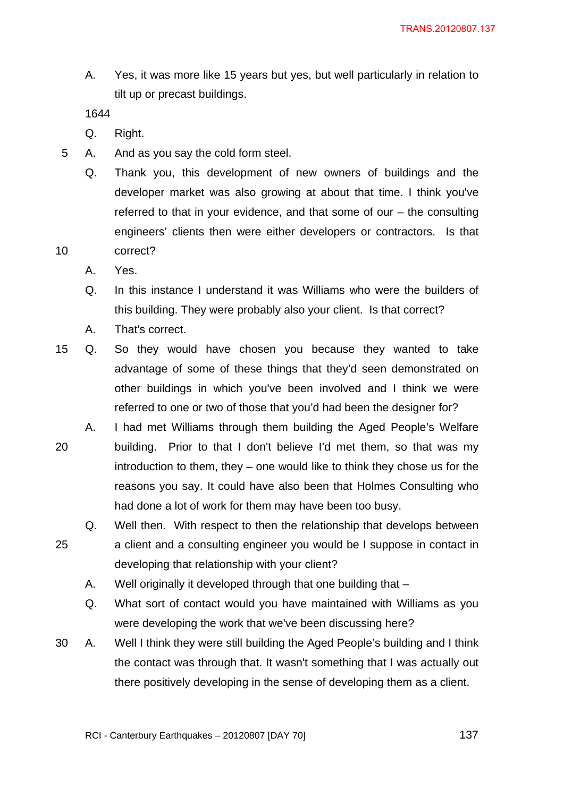A. Yes, it was more like 15 years but yes, but well particularly in relation to tilt up or precast buildings.

- Q. Right.
- 5 A. And as you say the cold form steel.
- Q. Thank you, this development of new owners of buildings and the developer market was also growing at about that time. I think you've referred to that in your evidence, and that some of our – the consulting engineers' clients then were either developers or contractors. Is that 10 correct?
	- A. Yes.
	- Q. In this instance I understand it was Williams who were the builders of this building. They were probably also your client. Is that correct?
	- A. That's correct.
- 15 Q. So they would have chosen you because they wanted to take advantage of some of these things that they'd seen demonstrated on other buildings in which you've been involved and I think we were referred to one or two of those that you'd had been the designer for?
- A. I had met Williams through them building the Aged People's Welfare 20 building. Prior to that I don't believe I'd met them, so that was my introduction to them, they – one would like to think they chose us for the reasons you say. It could have also been that Holmes Consulting who had done a lot of work for them may have been too busy.
- Q. Well then. With respect to then the relationship that develops between 25 a client and a consulting engineer you would be I suppose in contact in developing that relationship with your client?
	- A. Well originally it developed through that one building that –
	- Q. What sort of contact would you have maintained with Williams as you were developing the work that we've been discussing here?
- 30 A. Well I think they were still building the Aged People's building and I think the contact was through that. It wasn't something that I was actually out there positively developing in the sense of developing them as a client.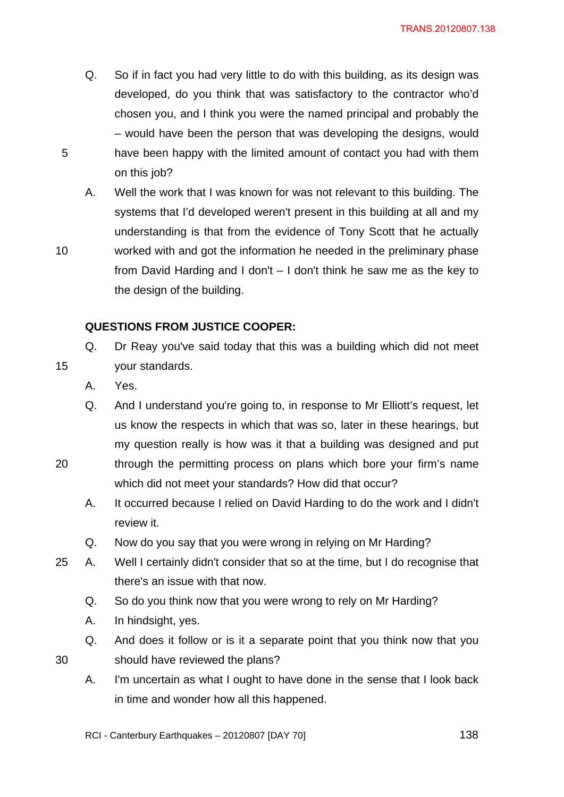- Q. So if in fact you had very little to do with this building, as its design was developed, do you think that was satisfactory to the contractor who'd chosen you, and I think you were the named principal and probably the – would have been the person that was developing the designs, would 5 have been happy with the limited amount of contact you had with them on this job?
- A. Well the work that I was known for was not relevant to this building. The systems that I'd developed weren't present in this building at all and my understanding is that from the evidence of Tony Scott that he actually 10 worked with and got the information he needed in the preliminary phase from David Harding and I don't – I don't think he saw me as the key to the design of the building.

## **QUESTIONS FROM JUSTICE COOPER:**

- Q. Dr Reay you've said today that this was a building which did not meet 15 your standards.
	- A. Yes.
- Q. And I understand you're going to, in response to Mr Elliott's request, let us know the respects in which that was so, later in these hearings, but my question really is how was it that a building was designed and put 20 through the permitting process on plans which bore your firm's name which did not meet your standards? How did that occur?
	- A. It occurred because I relied on David Harding to do the work and I didn't review it.
	- Q. Now do you say that you were wrong in relying on Mr Harding?
- 25 A. Well I certainly didn't consider that so at the time, but I do recognise that there's an issue with that now.
	- Q. So do you think now that you were wrong to rely on Mr Harding?
	- A. In hindsight, yes.
- Q. And does it follow or is it a separate point that you think now that you 30 should have reviewed the plans?
	- A. I'm uncertain as what I ought to have done in the sense that I look back in time and wonder how all this happened.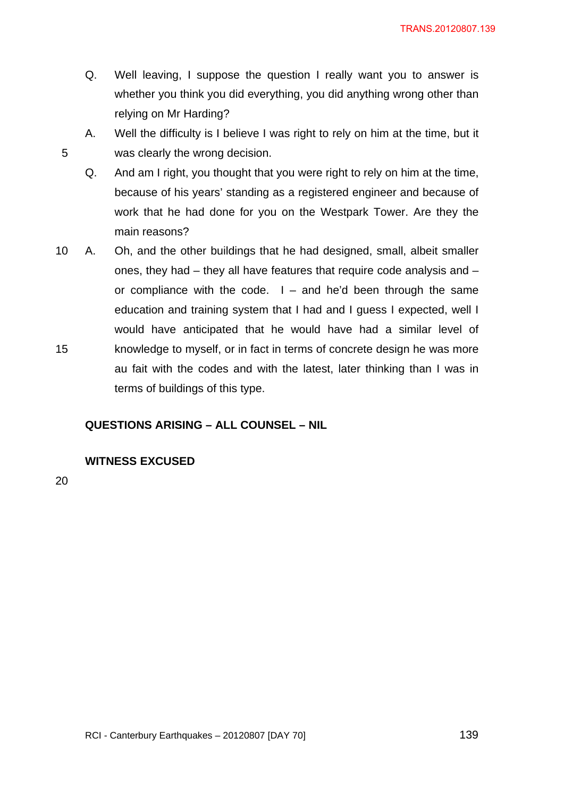- Q. Well leaving, I suppose the question I really want you to answer is whether you think you did everything, you did anything wrong other than relying on Mr Harding?
- A. Well the difficulty is I believe I was right to rely on him at the time, but it 5 was clearly the wrong decision.
	- Q. And am I right, you thought that you were right to rely on him at the time, because of his years' standing as a registered engineer and because of work that he had done for you on the Westpark Tower. Are they the main reasons?
- 10 A. Oh, and the other buildings that he had designed, small, albeit smaller ones, they had – they all have features that require code analysis and – or compliance with the code.  $I -$  and he'd been through the same education and training system that I had and I guess I expected, well I would have anticipated that he would have had a similar level of 15 knowledge to myself, or in fact in terms of concrete design he was more au fait with the codes and with the latest, later thinking than I was in terms of buildings of this type.

#### **QUESTIONS ARISING – ALL COUNSEL – NIL**

### **WITNESS EXCUSED**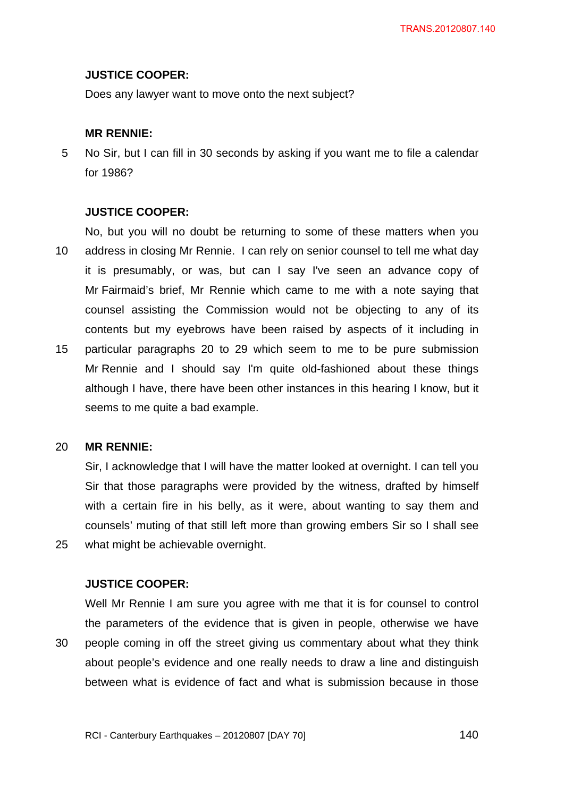#### **JUSTICE COOPER:**

Does any lawyer want to move onto the next subject?

#### **MR RENNIE:**

5 No Sir, but I can fill in 30 seconds by asking if you want me to file a calendar for 1986?

#### **JUSTICE COOPER:**

No, but you will no doubt be returning to some of these matters when you 10 address in closing Mr Rennie. I can rely on senior counsel to tell me what day it is presumably, or was, but can I say I've seen an advance copy of Mr Fairmaid's brief, Mr Rennie which came to me with a note saying that counsel assisting the Commission would not be objecting to any of its contents but my eyebrows have been raised by aspects of it including in 15 particular paragraphs 20 to 29 which seem to me to be pure submission Mr Rennie and I should say I'm quite old-fashioned about these things although I have, there have been other instances in this hearing I know, but it seems to me quite a bad example.

#### 20 **MR RENNIE:**

Sir, I acknowledge that I will have the matter looked at overnight. I can tell you Sir that those paragraphs were provided by the witness, drafted by himself with a certain fire in his belly, as it were, about wanting to say them and counsels' muting of that still left more than growing embers Sir so I shall see 25 what might be achievable overnight.

### **JUSTICE COOPER:**

Well Mr Rennie I am sure you agree with me that it is for counsel to control the parameters of the evidence that is given in people, otherwise we have 30 people coming in off the street giving us commentary about what they think about people's evidence and one really needs to draw a line and distinguish between what is evidence of fact and what is submission because in those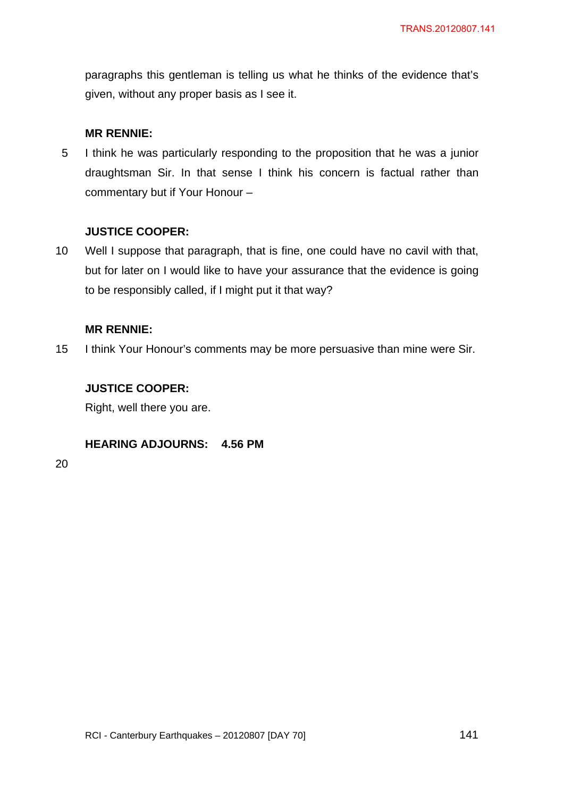paragraphs this gentleman is telling us what he thinks of the evidence that's given, without any proper basis as I see it.

### **MR RENNIE:**

5 I think he was particularly responding to the proposition that he was a junior draughtsman Sir. In that sense I think his concern is factual rather than commentary but if Your Honour –

## **JUSTICE COOPER:**

10 Well I suppose that paragraph, that is fine, one could have no cavil with that, but for later on I would like to have your assurance that the evidence is going to be responsibly called, if I might put it that way?

### **MR RENNIE:**

15 I think Your Honour's comments may be more persuasive than mine were Sir.

## **JUSTICE COOPER:**

Right, well there you are.

### **HEARING ADJOURNS: 4.56 PM**